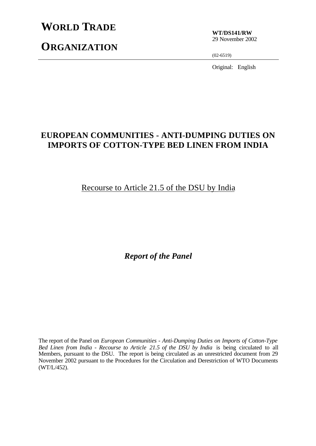# **WORLD TRADE**

**ORGANIZATION**

**WT/DS141/RW** 29 November 2002

(02-6519)

Original: English

# **EUROPEAN COMMUNITIES - ANTI-DUMPING DUTIES ON IMPORTS OF COTTON-TYPE BED LINEN FROM INDIA**

Recourse to Article 21.5 of the DSU by India

*Report of the Panel*

The report of the Panel on *European Communities - Anti-Dumping Duties on Imports of Cotton-Type Bed Linen from India - Recourse to Article 21.5 of the DSU by India* is being circulated to all Members, pursuant to the DSU. The report is being circulated as an unrestricted document from 29 November 2002 pursuant to the Procedures for the Circulation and Derestriction of WTO Documents (WT/L/452).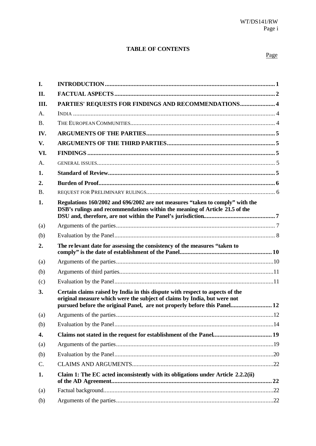# **TABLE OF CONTENTS**

### Page

| I.         |                                                                                                                                                                                                                                       |     |
|------------|---------------------------------------------------------------------------------------------------------------------------------------------------------------------------------------------------------------------------------------|-----|
| II.        |                                                                                                                                                                                                                                       |     |
| III.       | PARTIES' REQUESTS FOR FINDINGS AND RECOMMENDATIONS 4                                                                                                                                                                                  |     |
| A.         |                                                                                                                                                                                                                                       |     |
| <b>B.</b>  |                                                                                                                                                                                                                                       |     |
| IV.        |                                                                                                                                                                                                                                       |     |
| V.         |                                                                                                                                                                                                                                       |     |
| VI.        |                                                                                                                                                                                                                                       |     |
| А.         |                                                                                                                                                                                                                                       |     |
| 1.         |                                                                                                                                                                                                                                       |     |
| 2.         |                                                                                                                                                                                                                                       |     |
| <b>B.</b>  |                                                                                                                                                                                                                                       |     |
| 1.         | Regulations 160/2002 and 696/2002 are not measures "taken to comply" with the<br>DSB's rulings and recommendations within the meaning of Article 21.5 of the                                                                          |     |
| (a)        |                                                                                                                                                                                                                                       |     |
| (b)        |                                                                                                                                                                                                                                       |     |
|            | The relevant date for assessing the consistency of the measures "taken to                                                                                                                                                             |     |
| 2.         |                                                                                                                                                                                                                                       |     |
| (a)        |                                                                                                                                                                                                                                       |     |
| (b)        |                                                                                                                                                                                                                                       |     |
| (c)        |                                                                                                                                                                                                                                       |     |
| 3.         | Certain claims raised by India in this dispute with respect to aspects of the<br>original measure which were the subject of claims by India, but were not<br>pursued before the original Panel, are not properly before this Panel 12 |     |
|            |                                                                                                                                                                                                                                       | .12 |
| (a)<br>(b) |                                                                                                                                                                                                                                       |     |
| 4.         |                                                                                                                                                                                                                                       |     |
| (a)        |                                                                                                                                                                                                                                       |     |
| (b)        |                                                                                                                                                                                                                                       |     |
| C.         |                                                                                                                                                                                                                                       |     |
| 1.         | Claim 1: The EC acted inconsistently with its obligations under Article 2.2.2(ii)                                                                                                                                                     |     |
| (a)        |                                                                                                                                                                                                                                       |     |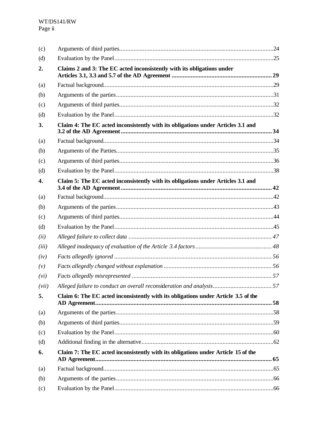| Claims 2 and 3: The EC acted inconsistently with its obligations under             |  |  |
|------------------------------------------------------------------------------------|--|--|
|                                                                                    |  |  |
|                                                                                    |  |  |
|                                                                                    |  |  |
|                                                                                    |  |  |
| Claim 4: The EC acted inconsistently with its obligations under Articles 3.1 and   |  |  |
|                                                                                    |  |  |
|                                                                                    |  |  |
|                                                                                    |  |  |
|                                                                                    |  |  |
| Claim 5: The EC acted inconsistently with its obligations under Articles 3.1 and   |  |  |
|                                                                                    |  |  |
|                                                                                    |  |  |
|                                                                                    |  |  |
|                                                                                    |  |  |
|                                                                                    |  |  |
|                                                                                    |  |  |
|                                                                                    |  |  |
|                                                                                    |  |  |
|                                                                                    |  |  |
|                                                                                    |  |  |
| Claim 6: The EC acted inconsistently with its obligations under Article 3.5 of the |  |  |
|                                                                                    |  |  |
|                                                                                    |  |  |
|                                                                                    |  |  |
|                                                                                    |  |  |
| Claim 7: The EC acted inconsistently with its obligations under Article 15 of the  |  |  |
|                                                                                    |  |  |
|                                                                                    |  |  |
|                                                                                    |  |  |
|                                                                                    |  |  |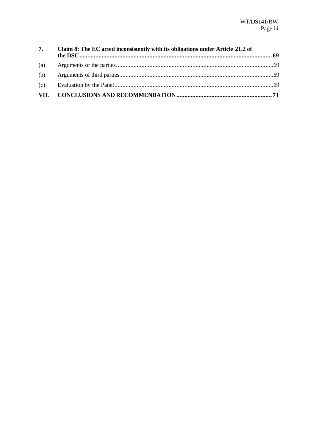| 7.  | Claim 8: The EC acted inconsistently with its obligations under Article 21.2 of |  |
|-----|---------------------------------------------------------------------------------|--|
| (a) |                                                                                 |  |
| (b) |                                                                                 |  |
|     |                                                                                 |  |
|     |                                                                                 |  |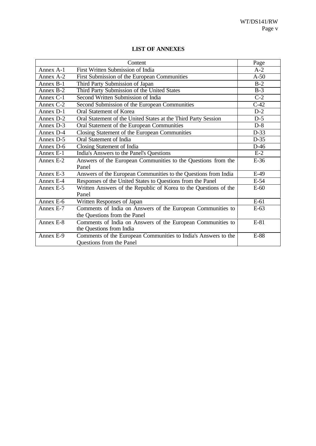|             | Content                                                          | Page   |
|-------------|------------------------------------------------------------------|--------|
| Annex A-1   | First Written Submission of India                                | $A-2$  |
| Annex $A-2$ | First Submission of the European Communities                     | $A-50$ |
| Annex B-1   | Third Party Submission of Japan                                  | $B-2$  |
| Annex B-2   | Third Party Submission of the United States                      | $B-3$  |
| Annex $C-1$ | Second Written Submission of India                               | $C-2$  |
| Annex C-2   | Second Submission of the European Communities                    | $C-42$ |
| Annex D-1   | Oral Statement of Korea                                          | $D-2$  |
| Annex D-2   | Oral Statement of the United States at the Third Party Session   | $D-5$  |
| Annex D-3   | Oral Statement of the European Communities                       | $D-8$  |
| Annex D-4   | Closing Statement of the European Communities                    | $D-33$ |
| Annex D-5   | Oral Statement of India                                          | $D-35$ |
| Annex D-6   | Closing Statement of India                                       | $D-46$ |
| Annex E-1   | India's Answers to the Panel's Questions                         | $E-2$  |
| Annex E-2   | Answers of the European Communities to the Questions from the    | $E-36$ |
|             | Panel                                                            |        |
| Annex E-3   | Answers of the European Communities to the Questions from India  | $E-49$ |
| Annex E-4   | Responses of the United States to Questions from the Panel       | $E-54$ |
| Annex E-5   | Written Answers of the Republic of Korea to the Questions of the | $E-60$ |
|             | Panel                                                            |        |
| Annex E-6   | Written Responses of Japan                                       | $E-61$ |
| Annex E-7   | Comments of India on Answers of the European Communities to      | $E-63$ |
|             | the Questions from the Panel                                     |        |
| Annex E-8   | Comments of India on Answers of the European Communities to      | E-81   |
|             | the Questions from India                                         |        |
| Annex E-9   | Comments of the European Communities to India's Answers to the   | E-88   |
|             | Questions from the Panel                                         |        |

# **LIST OF ANNEXES**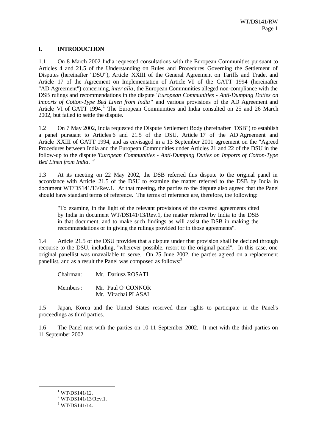# **I. INTRODUCTION**

1.1 On 8 March 2002 India requested consultations with the European Communities pursuant to Articles 4 and 21.5 of the Understanding on Rules and Procedures Governing the Settlement of Disputes (hereinafter "DSU"), Article XXIII of the General Agreement on Tariffs and Trade, and Article 17 of the Agreement on Implementation of Article VI of the GATT 1994 (hereinafter "AD Agreement") concerning, *inter alia*, the European Communities alleged non-compliance with the DSB rulings and recommendations in the dispute "*European Communities - Anti-Dumping Duties on Imports of Cotton-Type Bed Linen from India*" and various provisions of the AD Agreement and Article VI of GATT 1994.<sup>1</sup> The European Communities and India consulted on 25 and 26 March 2002, but failed to settle the dispute.

1.2 On 7 May 2002, India requested the Dispute Settlement Body (hereinafter "DSB") to establish a panel pursuant to Articles 6 and 21.5 of the DSU, Article 17 of the AD Agreement and Article XXIII of GATT 1994, and as envisaged in a 13 September 2001 agreement on the "Agreed Procedures between India and the European Communities under Articles 21 and 22 of the DSU in the follow-up to the dispute '*European Communities - Anti-Dumping Duties on Imports of Cotton-Type Bed Linen from India*.'"<sup>2</sup>

1.3 At its meeting on 22 May 2002, the DSB referred this dispute to the original panel in accordance with Article 21.5 of the DSU to examine the matter referred to the DSB by India in document WT/DS141/13/Rev.1. At that meeting, the parties to the dispute also agreed that the Panel should have standard terms of reference. The terms of reference are, therefore, the following:

"To examine, in the light of the relevant provisions of the covered agreements cited by India in document WT/DS141/13/Rev.1, the matter referred by India to the DSB in that document, and to make such findings as will assist the DSB in making the recommendations or in giving the rulings provided for in those agreements".

1.4 Article 21.5 of the DSU provides that a dispute under that provision shall be decided through recourse to the DSU, including, "wherever possible, resort to the original panel". In this case, one original panellist was unavailable to serve. On 25 June 2002, the parties agreed on a replacement panellist, and as a result the Panel was composed as follows:<sup>3</sup>

Chairman: Mr. Dariusz ROSATI Members : Mr. Paul O' CONNOR Mr. Virachai PLASAI

1.5 Japan, Korea and the United States reserved their rights to participate in the Panel's proceedings as third parties.

1.6 The Panel met with the parties on 10-11 September 2002. It met with the third parties on 11 September 2002.

 $1$  WT/DS141/12.

 $2$  WT/DS141/13/Rev.1.

 $3$  WT/DS141/14.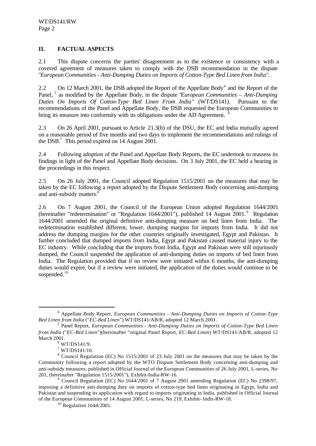# **II. FACTUAL ASPECTS**

2.1 This dispute concerns the parties' disagreement as to the existence or consistency with a covered agreement of measures taken to comply with the DSB recommendation in the dispute "*European Communities - Anti-Dumping Duties on Imports of Cotton-Type Bed Linen from India".*

2.2 On 12 March 2001, the DSB adopted the Report of the Appellate Body<sup>4</sup> and the Report of the Panel, <sup>5</sup> as modified by the Appellate Body, in the dispute "*European Communities – Anti-Dumping Duties On Imports Of Cotton-Type Bed Linen From India*" (WT/DS141). Pursuant to the recommendations of the Panel and Appellate Body, the DSB requested the European Communities to bring its measure into conformity with its obligations under the AD Agreement.

2.3 On 26 April 2001, pursuant to Article 21.3(b) of the DSU, the EC and India mutually agreed on a reasonable period of five months and two days to implement the recommendations and rulings of the DSB.<sup>7</sup> This period expired on 14 August 2001.

2.4 Following adoption of the Panel and Appellate Body Reports, the EC undertook to reassess its findings in light of the Panel and Appellate Body decisions. On 3 July 2001, the EC held a hearing in the proceedings in this respect.

2.5 On 26 July 2001, the Council adopted Regulation 1515/2001 on the measures that may be taken by the EC following a report adopted by the Dispute Settlement Body concerning anti-dumping and anti-subsidy matters.<sup>8</sup>

2.6 On 7 August 2001, the Council of the European Union adopted Regulation 1644/2001 (hereinafter "redetermination" or "Regulation 1644/2001"), published 14 August 2001.<sup>9</sup> Regulation 1644/2001 amended the original definitive anti-dumping measure on bed linen from India. The redetermination established different, lower, dumping margins for imports from India. It did not address the dumping margins for the other countries originally investigated, Egypt and Pakistan. It further concluded that dumped imports from India, Egypt and Pakistan caused material injury to the EC industry. While concluding that the imports from India, Egypt and Pakistan were still injuriously dumped, the Council suspended the application of anti-dumping duties on imports of bed linen from India. The Regulation provided that if no review were initiated within 6 months, the anti-dumping duties would expire, but if a review were initiated, the application of the duties would continue to be suspended. $10$ 

<sup>4</sup> Appellate Body Report, *European Communities - Anti-Dumping Duties on Imports of Cotton-Type Bed Linen from India* ("*EC-Bed Linen*") WT/DS141/AB/R, adopted 12 March 2001.

<sup>5</sup> Panel Report, *European Communities - Anti-Dumping Duties on Imports of Cotton-Type Bed Linen from India* ("*EC-Bed Linen*")(hereinafter "original Panel Report, *EC-Bed Linen*) WT/DS141/AB/R, adopted 12 March 2001.

 $6$  WT/DS141/9.

 $7$  WT/DS141/10.

<sup>&</sup>lt;sup>8</sup> Council Regulation (EC) No 1515/2001 of 23 July 2001 on the measures that may be taken by the Community following a report adopted by the WTO Dispute Settlement Body concerning anti-dumping and anti-subsidy measures, published in Official Journal of the European Communities of 26 July 2001, L-series, No 201, (hereinafter "Regulation 1515/2001"), Exhibit-India-RW-16.

<sup>&</sup>lt;sup>9</sup> Council Regulation (EC) No 1644/2001 of 7 August 2001 amending Regulation (EC) No 2398/97, imposing a definitive anti-dumping duty on imports of cotton-type bed linen originating in Egypt, India and Pakistan and suspending its application with regard to imports originating in India, published in Official Journal of the European Communities of 14 August 2001, L-series, No 219, Exhibit- Indis-RW-18.

 $10$  Regulation 1644/2001.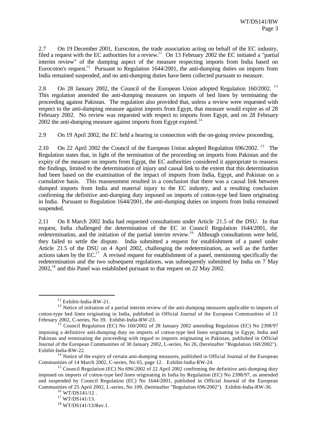2.7 On 19 December 2001, Eurocoton, the trade association acting on behalf of the EC industry, filed a request with the EC authorities for a review.<sup>11</sup> On 13 February 2002 the EC initiated a "partial" interim review" of the dumping aspect of the measure respecting imports from India based on Eurocoton's request.<sup>12</sup> Pursuant to Regulation 1644/2001, the anti-dumping duties on imports from India remained suspended, and no anti-dumping duties have been collected pursuant to measure.

2.8 On 28 January 2002, the Council of the European Union adopted Regulation 160/2002.<sup>13</sup> This regulation amended the anti-dumping measures on imports of bed linen by terminating the proceeding against Pakistan. The regulation also provided that, unless a review were requested with respect to the anti-dumping measure against imports from Egypt, that measure would expire as of 28 February 2002. No review was requested with respect to imports from Egypt, and on 28 February  $2002$  the anti-dumping measure against imports from Egypt expired.<sup>14</sup>

2.9 On 19 April 2002, the EC held a hearing in connection with the on-going review proceeding.

2.10 On 22 April 2002 the Council of the European Union adopted Regulation 696/2002. <sup>15</sup> The Regulation states that, in light of the termination of the proceeding on imports from Pakistan and the expiry of the measure on imports from Egypt, the EC authorities considered it appropriate to reassess the findings, limited to the determination of injury and causal link to the extent that this determination had been based on the examination of the impact of imports from India, Egypt, and Pakistan on a cumulative basis. This reassessment resulted in a conclusion that there was a causal link between dumped imports from India and material injury to the EC industry, and a resulting conclusion confirming the definitive anti-dumping duty imposed on imports of cotton-type bed linen originating in India. Pursuant to Regulation 1644/2001, the anti-dumping duties on imports from India remained suspended.

2.11 On 8 March 2002 India had requested consultations under Article 21.5 of the DSU. In that request, India challenged the determination of the EC in Council Regulation 1644/2001, the redetermination, and the initiation of the partial interim review.<sup>16</sup> Although consultations were held, they failed to settle the dispute. India submitted a request for establishment of a panel under Article 21.5 of the DSU on 4 April 2002, challenging the redetermination, as well as the further actions taken by the  $EC^{17}$  A revised request for establishment of a panel, mentioning specifically the redetermination and the two subsequent regulations, was subsequently submitted by India on 7 May  $2002<sup>18</sup>$  and this Panel was established pursuant to that request on 22 May 2002.

 $11$  Exhibit-India-RW-21.

<sup>&</sup>lt;sup>12</sup> Notice of initiation of a partial interim review of the anti-dumping measures applicable to imports of cotton-type bed linen originating in India, published in Official Journal of the European Communities of 13 February 2002, C-series, No 39. Exhibit-India-RW-23.

 $^{13}$  Council Regulation (EC) No 160/2002 of 28 January 2002 amending Regulation (EC) No 2398/97 imposing a definitive anti-dumping duty on imports of cotton-type bed linen originating in Egypt, India and Pakistan and terminating the proceeding with regard to imports originating in Pakistan, published in Official Journal of the European Communities of 30 January 2002, L-series, No 26, (hereinafter "Regulation 160/2002"). Exhibit-India-RW-22.

<sup>&</sup>lt;sup>14</sup> Notice of the expiry of certain anti-dumping measures, published in Official Journal of the European Communities of 14 March 2002, C-series, No 65, page 12. Exhibit-India-RW-24.

<sup>&</sup>lt;sup>15</sup> Council Regulation (EC) No  $696/2002$  of 22 April 2002 confirming the definitive anti-dumping duty imposed on imports of cotton-type bed linen originating in India by Regulation (EC) No 2398/97, as amended and suspended by Council Regulation (EC) No 1644/2001, published in Official Journal of the European Communities of 25 April 2002, L-series, No 109, (hereinafter "Regulation 696/2002"). Exhibit-India-RW-30.

 $^{16}$  WT/DS141/12.

<sup>17</sup> WT/DS141/13.

<sup>18</sup> WT/DS141/13/Rev.1.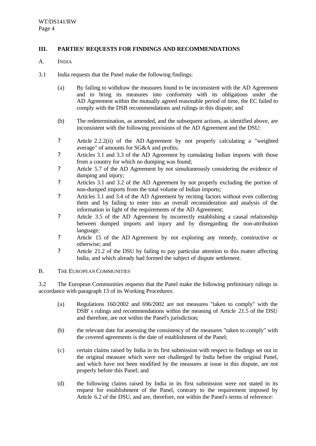# **III. PARTIES' REQUESTS FOR FINDINGS AND RECOMMENDATIONS**

- A. INDIA
- 3.1 India requests that the Panel make the following findings:
	- (a) By failing to withdraw the measures found to be inconsistent with the AD Agreement and to bring its measures into conformity with its obligations under the AD Agreement within the mutually agreed reasonable period of time, the EC failed to comply with the DSB recommendations and rulings in this dispute; and
	- (b) The redetermination, as amended, and the subsequent actions, as identified above, are inconsistent with the following provisions of the AD Agreement and the DSU:
	- ? Article 2.2.2(ii) of the AD Agreement by not properly calculating a "weighted average" of amounts for SG&A and profits;
	- ? Articles 3.1 and 3.3 of the AD Agreement by cumulating Indian imports with those from a country for which no dumping was found;
	- ? Article 5.7 of the AD Agreement by not simultaneously considering the evidence of dumping and injury;
	- ? Articles 3.1 and 3.2 of the AD Agreement by not properly excluding the portion of non-dumped imports from the total volume of Indian imports;
	- ? Articles 3.1 and 3.4 of the AD Agreement by reciting factors without even collecting them and by failing to enter into an overall reconsideration and analysis of the information in light of the requirements of the AD Agreement;
	- ? Article 3.5 of the AD Agreement by incorrectly establishing a causal relationship between dumped imports and injury and by disregarding the non-attribution language;
	- ? Article 15 of the AD Agreement by not exploring any remedy, constructive or otherwise; and
	- ? Article 21.2 of the DSU by failing to pay particular attention to this matter affecting India; and which already had formed the subject of dispute settlement.

#### B. THE EUROPEAN COMMUNITIES

3.2 The European Communities requests that the Panel make the following preliminary rulings in accordance with paragraph 13 of its Working Procedures:

- (a) Regulations 160/2002 and 696/2002 are not measures "taken to comply" with the DSB' s rulings and recommendations within the meaning of Article 21.5 of the DSU and therefore, are not within the Panel's jurisdiction;
- (b) the relevant date for assessing the consistency of the measures "taken to comply" with the covered agreements is the date of establishment of the Panel;
- (c) certain claims raised by India in its first submission with respect to findings set out in the original measure which were not challenged by India before the original Panel, and which have not been modified by the measures at issue in this dispute, are not properly before this Panel; and
- (d) the following claims raised by India in its first submission were not stated in its request for establishment of the Panel, contrary to the requirement imposed by Article 6.2 of the DSU, and are, therefore, not within the Panel's terms of reference: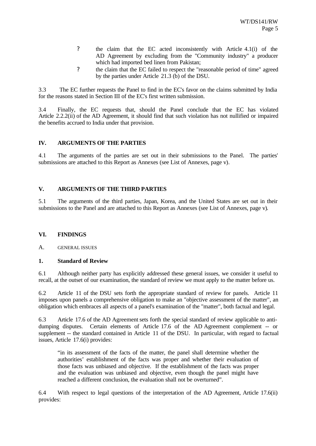- ? the claim that the EC acted inconsistently with Article 4.1(i) of the AD Agreement by excluding from the "Community industry" a producer which had imported bed linen from Pakistan;
- ? the claim that the EC failed to respect the "reasonable period of time" agreed by the parties under Article 21.3 (b) of the DSU.

3.3 The EC further requests the Panel to find in the EC's favor on the claims submitted by India for the reasons stated in Section III of the EC's first written submission.

3.4 Finally, the EC requests that, should the Panel conclude that the EC has violated Article 2.2.2(ii) of the AD Agreement, it should find that such violation has not nullified or impaired the benefits accrued to India under that provision.

# **IV. ARGUMENTS OF THE PARTIES**

4.1 The arguments of the parties are set out in their submissions to the Panel. The parties' submissions are attached to this Report as Annexes (see List of Annexes, page v).

#### **V. ARGUMENTS OF THE THIRD PARTIES**

5.1 The arguments of the third parties, Japan, Korea, and the United States are set out in their submissions to the Panel and are attached to this Report as Annexes (see List of Annexes, page v).

#### **VI. FINDINGS**

A. GENERAL ISSUES

#### **1. Standard of Review**

6.1 Although neither party has explicitly addressed these general issues, we consider it useful to recall, at the outset of our examination, the standard of review we must apply to the matter before us.

6.2 Article 11 of the DSU sets forth the appropriate standard of review for panels. Article 11 imposes upon panels a comprehensive obligation to make an "objective assessment of the matter", an obligation which embraces all aspects of a panel's examination of the "matter", both factual and legal.

6.3 Article 17.6 of the AD Agreement sets forth the special standard of review applicable to antidumping disputes. Certain elements of Article 17.6 of the AD Agreement complement -- or supplement -- the standard contained in Article 11 of the DSU. In particular, with regard to factual issues, Article 17.6(i) provides:

"in its assessment of the facts of the matter, the panel shall determine whether the authorities' establishment of the facts was proper and whether their evaluation of those facts was unbiased and objective. If the establishment of the facts was proper and the evaluation was unbiased and objective, even though the panel might have reached a different conclusion, the evaluation shall not be overturned".

6.4 With respect to legal questions of the interpretation of the AD Agreement, Article 17.6(ii) provides: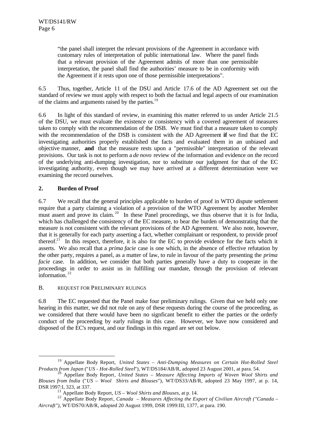"the panel shall interpret the relevant provisions of the Agreement in accordance with customary rules of interpretation of public international law. Where the panel finds that a relevant provision of the Agreement admits of more than one permissible interpretation, the panel shall find the authorities' measure to be in conformity with the Agreement if it rests upon one of those permissible interpretations".

6.5 Thus, together, Article 11 of the DSU and Article 17.6 of the AD Agreement set out the standard of review we must apply with respect to both the factual and legal aspects of our examination of the claims and arguments raised by the parties.<sup>19</sup>

6.6 In light of this standard of review, in examining this matter referred to us under Article 21.5 of the DSU, we must evaluate the existence or consistency with a covered agreement of measures taken to comply with the recommendation of the DSB. We must find that a measure taken to comply with the recommendation of the DSB is consistent with the AD Agreement **if** we find that the EC investigating authorities properly established the facts and evaluated them in an unbiased and objective manner, **and** that the measure rests upon a "permissible" interpretation of the relevant provisions. Our task is not to perform a *de novo* review of the information and evidence on the record of the underlying anti-dumping investigation, nor to substitute our judgment for that of the EC investigating authority, even though we may have arrived at a different determination were we examining the record ourselves.

# **2. Burden of Proof**

l

6.7 We recall that the general principles applicable to burden of proof in WTO dispute settlement require that a party claiming a violation of a provision of the WTO Agreement by another Member must assert and prove its claim.<sup>20</sup> In these Panel proceedings, we thus observe that it is for India, which has challenged the consistency of the EC measure, to bear the burden of demonstrating that the measure is not consistent with the relevant provisions of the AD Agreement. We also note, however, that it is generally for each party asserting a fact, whether complainant or respondent, to provide proof thereof.<sup>21</sup> In this respect, therefore, it is also for the EC to provide evidence for the facts which it asserts. We also recall that a *prima facie* case is one which, in the absence of effective refutation by the other party, requires a panel, as a matter of law, to rule in favour of the party presenting the *prima facie* case. In addition, we consider that both parties generally have a duty to cooperate in the proceedings in order to assist us in fulfilling our mandate, through the provision of relevant information.  $22$ 

# B. REQUEST FOR PRELIMINARY RULINGS

6.8 The EC requested that the Panel make four preliminary rulings. Given that we held only one hearing in this matter, we did not rule on any of these requests during the course of the proceeding, as we considered that there would have been no signficant benefit to either the parties or the orderly conduct of the proceeding by early rulings in this case. However, we have now considered and disposed of the EC's request, and our findings in this regard are set out below.

<sup>19</sup> Appellate Body Report, *United States – Anti-Dumping Measures on Certain Hot-Rolled Steel Products from Japan* ("*US - Hot-Rolled Steel*"), WT/DS184/AB/R, adopted 23 August 2001, at para. 54.

<sup>20</sup> Appellate Body Report*, United States – Measure Affecting Imports of Woven Wool Shirts and Blouses from India* ("*US – Wool Shirts and Blouses*"), WT/DS33/AB/R, adopted 23 May 1997, at p. 14, DSR 1997:I, 323, at 337.

<sup>21</sup> Appellate Body Report, *US – Wool Shirts and Blouses*, at p. 14.

<sup>22</sup> Appellate Body Report*, Canada – Measures Affecting the Export of Civilian Aircraft ("Canada – Aircraft")*, WT/DS70/AB/R, adopted 20 August 1999, DSR 1999:III, 1377, at para. 190.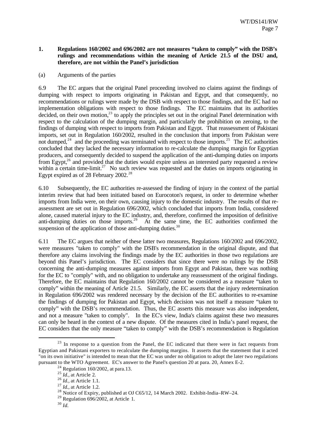#### **1. Regulations 160/2002 and 696/2002 are not measures "taken to comply" with the DSB's rulings and recommendations within the meaning of Article 21.5 of the DSU and, therefore, are not within the Panel's jurisdiction**

#### (a) Arguments of the parties

6.9 The EC argues that the original Panel proceeding involved no claims against the findings of dumping with respect to imports originating in Pakistan and Egypt, and that consequently, no recommendations or rulings were made by the DSB with respect to those findings, and the EC had no implementation obligations with respect to those findings. The EC maintains that its authorities decided, on their own motion,<sup>23</sup> to apply the principles set out in the original Panel determination with respect to the calculation of the dumping margin, and particularly the prohibition on zeroing, to the findings of dumping with respect to imports from Pakistan and Egypt. That reassessment of Pakistani imports, set out in Regulation 160/2002, resulted in the conclusion that imports from Pakistan were not dumped,<sup>24</sup> and the proceeding was terminated with respect to those imports.<sup>25</sup> The EC authorities concluded that they lacked the necessary information to re-calculate the dumping margin for Egyptian producers, and consequently decided to suspend the application of the anti-dumping duties on imports from Egypt, $26$  and provided that the duties would expire unless an interested party requested a review within a certain time-limit.<sup>27</sup> No such review was requested and the duties on imports originating in Egypt expired as of 28 February  $2002.^{28}$ 

6.10 Subsequently, the EC authorities re-assessed the finding of injury in the context of the partial interim review that had been initiated based on Eurocoton's request, in order to determine whether imports from India were, on their own, causing injury to the domestic industry. The results of that reassessment are set out in Regulation 696/2002, which concluded that imports from India, considered alone, caused material injury to the EC industry, and, therefore, confirmed the imposition of definitive anti-dumping duties on those imports.<sup>29</sup> At the same time, the EC authorities confirmed the suspension of the application of those anti-dumping duties. $30$ 

6.11 The EC argues that neither of these latter two measures, Regulations 160/2002 and 696/2002, were measures "taken to comply" with the DSB's recommendation in the original dispute, and that therefore any claims involving the findings made by the EC authorities in those two regulations are beyond this Panel's jurisdiction. The EC considers that since there were no rulings by the DSB concerning the anti-dumping measures against imports from Egypt and Pakistan, there was nothing for the EC to "comply" with, and no obligation to undertake any reassessment of the original findings. Therefore, the EC maintains that Regulation 160/2002 cannot be considered as a measure "taken to comply" within the meaning of Article 21.5. Similarly, the EC asserts that the injury redetermination in Regulation 696/2002 was rendered necessary by the decision of the EC authorities to re-examine the findings of dumping for Pakistan and Egypt, which decision was not itself a measure "taken to comply" with the DSB's recommendation. Thus, the EC asserts this measure was also independent, and not a measure "taken to comply". In the EC's view, India's claims against these two measures can only be heard in the context of a new dispute. Of the measures cited in India's panel request, the EC considers that the only measure "taken to comply" with the DSB's recommendation is Regulation

<sup>&</sup>lt;sup>23</sup> In response to a question from the Panel, the EC indicated that there were in fact requests from Egyptian and Pakistani exporters to recalculate the dumping margins. It asserts that the statement that it acted "on its own initiative" is intended to mean that the EC was under no obligation to adopt the later two regulations pursuant to the WTO Agreement. EC's answer to the Panel's question 20 at para. 20, Annex E-2.

 $24$  Regulation 160/2002, at para.13.

<sup>&</sup>lt;sup>25</sup> *Id.*, at Article 2.

<sup>26</sup> *Id.,* at Article 1.1.

<sup>27</sup> *Id.,* at Article 1.2.

<sup>&</sup>lt;sup>28</sup> Notice of Expiry, published at OJ C65/12, 14 March 2002. Exhibit-India–RW–24.

<sup>&</sup>lt;sup>29</sup> Regulation  $696/2002$ , at Article 1.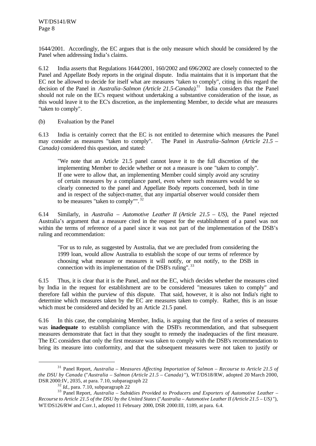1644/2001. Accordingly, the EC argues that is the only measure which should be considered by the Panel when addressing India's claims.

6.12 India asserts that Regulations 1644/2001, 160/2002 and 696/2002 are closely connected to the Panel and Appellate Body reports in the original dispute. India maintains that it is important that the EC not be allowed to decide for itself what are measures "taken to comply", citing in this regard the decision of the Panel in *Australia–Salmon (Article 21.5-Canada)*. <sup>31</sup> India considers that the Panel should not rule on the EC's request without undertaking a substantive consideration of the issue, as this would leave it to the EC's discretion, as the implementing Member, to decide what are measures "taken to comply".

(b) Evaluation by the Panel

6.13 India is certainly correct that the EC is not entitled to determine which measures the Panel may consider as measures "taken to comply". The Panel in *Australia–Salmon (Article 21.5 – Canada)* considered this question, and stated:

"We note that an Article 21.5 panel cannot leave it to the full discretion of the implementing Member to decide whether or not a measure is one "taken to comply". If one were to allow that, an implementing Member could simply avoid any scrutiny of certain measures by a compliance panel, even where such measures would be so clearly connected to the panel and Appellate Body reports concerned, both in time and in respect of the subject-matter, that any impartial observer would consider them to be measures "taken to comply"". <sup>32</sup>

6.14 Similarly, in *Australia – Automotive Leather II (Article 21.5 – US)*, the Panel rejected Australia's argument that a measure cited in the request for the establishment of a panel was not within the terms of reference of a panel since it was not part of the implementation of the DSB's ruling and recommendation:

"For us to rule, as suggested by Australia, that we are precluded from considering the 1999 loan, would allow Australia to establish the scope of our terms of reference by choosing what measure or measures it will notify, or not notify, to the DSB in connection with its implementation of the DSB's ruling".<sup>33</sup>

6.15 Thus, it is clear that it is the Panel, and not the EC, which decides whether the measures cited by India in the request for establishment are to be considered "measures taken to comply" and therefore fall within the purview of this dispute. That said, however, it is also not India's right to determine which measures taken by the EC are measures taken to comply. Rather, this is an issue which must be considered and decided by an Article 21.5 panel.

6.16 In this case, the complaining Member, India, is arguing that the first of a series of measures was **inadequate** to establish compliance with the DSB's recommendation, and that subsequent measures demonstrate that fact in that they sought to remedy the inadequacies of the first measure. The EC considers that only the first measure was taken to comply with the DSB's recommendation to bring its measure into conformity, and that the subsequent measures were not taken to justify or

<sup>31</sup> Panel Report, *Australia – Measures Affecting Importation of Salmon – Recourse to Article 21.5 of the DSU by Canada* ("*Australia – Salmon (Article 21.5 – Canada)* "), WT/DS18/RW, adopted 20 March 2000, DSR 2000:IV, 2035, at para. 7.10, subparagraph 22

<sup>32</sup> *Id.,* para. 7.10, subparagraph 22

<sup>33</sup> Panel Report, *Australia – Subs*id*ies Prov*id*ed to Producers and Exporters of Automotive Leather – Recourse to Article 21.5 of the DSU by the United States* ("*Australia – Automotive Leather II (Article 21.5 – US)* "), WT/DS126/RW and Corr.1, adopted 11 February 2000, DSR 2000:III, 1189, at para. 6.4.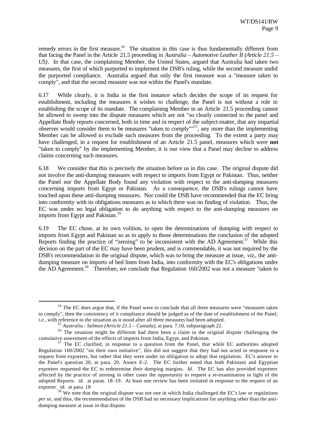remedy errors in the first measure.<sup>34</sup> The situation in this case is thus fundamentally different from that facing the Panel in the Article 21.5 proceeding in *Australia – Automotive Leather II (Article 21.5 – US)*. In that case, the complaining Member, the United States, argued that Australia had taken two measures, the first of which purported to implement the DSB's ruling, while the second measure undid the purported compliance. Australia argued that only the first measure was a "measure taken to comply", and that the second measure was not within the Panel's mandate.

6.17 While clearly, it is India in the first instance which decides the scope of its request for establishment, including the measures it wishes to challenge, the Panel is not without a role in establishing the scope of its mandate. The complaining Member in an Article 21.5 proceeding cannot be allowed to sweep into the dispute measures which are not "so clearly connected to the panel and Appellate Body reports concerned, both in time and in respect of the subject-matter, that any impartial observer would consider them to be measures "taken to comply""<sup>35</sup>, any more than the implementing Member can be allowed to exclude such measures from the proceeding. To the extent a party may have challenged, in a request for establishment of an Article 21.5 panel, measures which were **not** "taken to comply" by the implementing Member, it is our view that a Panel may decline to address claims concerning such measures.

6.18 We consider that this is precisely the situation before us in this case. The original dispute did not involve the anti-dumping measures with respect to imports from Egypt or Pakistan. Thus, neither the Panel nor the Appellate Body found any violation with respect to the anti-dumping measures concerning imports from Egypt or Pakistan. As a consequence, the DSB's rulings cannot have touched upon these anti-dumping measures. Nor could the DSB have recommended that the EC bring into conformity with its obligations measures as to which there was no finding of violation. Thus, the EC was under no legal obligation to do anything with respect to the anti-dumping measures on imports from Egypt and Pakistan.<sup>36</sup>

6.19 The EC chose, at its own volition, to open the determinations of dumping with respect to imports from Egypt and Pakistan so as to apply to those determinations the conclusion of the adopted Reports finding the practice of "zeroing" to be inconsistent with the AD Agreement.<sup>37</sup> While this decision on the part of the EC may have been prudent, and is commendable, it was not required by the DSB's recommendation in the original dispute, which was to bring the measure at issue, *viz*., the antidumping measure on imports of bed linen from India, into conformity with the EC's obligations under the AD Agreement.<sup>38</sup> Therefore, we conclude that Regulation 160/2002 was not a measure "taken to

<sup>&</sup>lt;sup>34</sup> The EC does argue that, if the Panel were to conclude that all three measures were "measures taken to comply", then the consistency of it compliance should be judged as of the date of establishment of the Panel, *i.e.*, with reference to the situation as it stood after all three measures had been adopted.

<sup>35</sup> *Australia - Salmon (Article 21.5 – Canada)*, at para. 7.10, subparagraph 22.

<sup>&</sup>lt;sup>36</sup> The situation might be different had there been a claim in the original dispute challenging the cumulative assessment of the effects of imports from India, Egypt, and Pakistan.

 $37$  The EC clarified, in response to a question from the Panel, that while EC authorities adopted Regulation 160/2002 "on their own initiative", this did not suggest that they had not acted in response to a request from exporters, but rather that they were under no obligation to adopt that regulation. EC's answer to the Panel's question 20, at para. 20, Annex E-2. The EC further noted that both Pakistani and Egyptian exporters requested the EC to redetermine their dumping margins. *Id*. The EC has also provided exporters affected by the practice of zeroing in other cases the opportunity to request a re-examination in light of the adopted Reports. id. at paras. 18–19. At least one review has been initiated in response to the request of an exporter. id. at para. 18

 $38\text{ We note that the original dispute was not one in which India challenged the EC's law or regulations.}$ *per se*, and thus, the recommendation of the DSB had no necessary implications for anything other than the antidumping measure at issue in that dispute.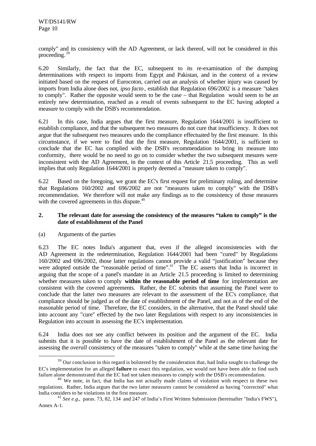comply" and its consistency with the AD Agreement, or lack thereof, will not be considered in this proceeding.<sup>39</sup>

6.20 Similarly, the fact that the EC, subsequent to its re-examination of the dumping determinations with respect to imports from Egypt and Pakistan, and in the context of a review initiated based on the request of Eurocoton, carried out an analysis of whether injury was caused by imports from India alone does not, *ipso facto* , establish that Regulation 696/2002 is a measure "taken to comply". Rather the opposite would seem to be the case – that Regulation would seem to be an entirely new determination, reached as a result of events subsequent to the EC having adopted a measure to comply with the DSB's recommendation.

6.21 In this case, India argues that the first measure, Regulation 1644/2001 is insufficient to establish compliance, and that the subsequent two measures do not cure that insufficiency. It does not argue that the subsequent two measures undo the compliance effectuated by the first measure. In this circumstance, if we were to find that the first measure, Regulation 1644/2001, is sufficient to conclude that the EC has complied with the DSB's recommendation to bring its measure into conformity, there would be no need to go on to consider whether the two subsequent mesures were inconsistent with the AD Agreement, in the context of this Article 21.5 proceeding. This as well implies that only Regulation 1644/2001 is properly deemed a "measure taken to comply".

6.22 Based on the foregoing, we grant the EC's first request for preliminary ruling, and determine that Regulations 160/2002 and 696/2002 are not "measures taken to comply" with the DSB's recommendation. We therefore will not make any findings as to the consistency of those measures with the covered agreements in this dispute.<sup>40</sup>

### **2. The relevant date for assessing the consistency of the measures "taken to comply" is the date of establishment of the Panel**

#### (a) Arguments of the parties

l

6.23 The EC notes India's argument that, even if the alleged inconsistencies with the AD Agreement in the redetermination, Regulation 1644/2001 had been "cured" by Regulations 160/2002 and 696/2002, those latter regulations cannot provide a valid "justification" because they were adopted outside the "reasonable period of time".<sup>41</sup> The EC asserts that India is incorrect in arguing that the scope of a panel's mandate in an Article 21.5 proceeding is limited to determining whether measures taken to comply **within the reasonable period of time** for implementation are consistent with the covered agreements. Rather, the EC submits that assuming the Panel were to conclude that the latter two measures are relevant to the assessment of the EC's compliance, that compliance should be judged as of the date of establishment of the Panel, and not as of the end of the reasonable period of time. Therefore, the EC considers, in the alternative, that the Panel should take into account any "cure" effected by the two later Regulations with respect to any inconsistencies in Regulation into account in assessing the EC's implementation.

6.24 India does not see any conflict between its position and the argument of the EC. India submits that it is possible to have the date of establishment of the Panel as the relevant date for assessing the *overall* consistency of the measures "taken to comply" while at the same time having the

<sup>&</sup>lt;sup>39</sup> Our conclusion in this regard is bolstered by the consideration that, had India sought to challenge the EC's implementation for an alleged **failure** to enact this regulation, we would not have been able to find such failure alone demonstrated that the EC had not taken measures to comply with the DSB's recommendation.

<sup>&</sup>lt;sup>40</sup> We note, in fact, that India has not actually made claims of violation with respect to these two regulations. Rather, India argues that the two latter measures cannot be considered as having "corrected" what India considers to be violations in the first measure.

<sup>&</sup>lt;sup>41</sup> *See e.g.*, paras. 73, 82, 134 and 247 of India's First Written Submission (hereinafter "India's FWS"), Annex A-1.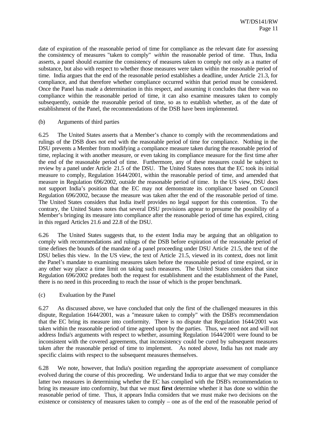date of expiration of the reasonable period of time for compliance as the relevant date for assessing the consistency of measures "taken to comply" *within* the reasonable period of time. Thus, India asserts, a panel should examine the consistency of measures taken to comply not only as a matter of substance, but also with respect to whether those measures were taken within the reasonable period of time. India argues that the end of the reasonable period establishes a deadline, under Article 21.3, for compliance, and that therefore whether compliance occurred within that period must be considered. Once the Panel has made a determination in this respect, and assuming it concludes that there was no compliance within the reasonable period of time, it can also examine measures taken to comply subsequently, outside the reasonable period of time, so as to establish whether, as of the date of establishment of the Panel, the recommendations of the DSB have been implemented.

#### (b) Arguments of third parties

6.25 The United States asserts that a Member's chance to comply with the recommendations and rulings of the DSB does not end with the reasonable period of time for compliance. Nothing in the DSU prevents a Member from modifying a compliance measure taken during the reasonable period of time, replacing it with another measure, or even taking its compliance measure for the first time after the end of the reasonable period of time. Furthermore, any of these measures could be subject to review by a panel under Article 21.5 of the DSU. The United States notes that the EC took its initial measure to comply, Regulation 1644/2001, within the reasonable period of time, and amended that measure in Regulation 696/2002, outside the reasonable period of time. In the US view, DSU does not support India's position that the EC may not demonstrate its compliance based on Council Regulation 696/2002, because the measure was taken after the end of the reasonable period of time. The United States considers that India itself provides no legal support for this contention. To the contrary, the United States notes that several DSU provisions appear to presume the possibility of a Member's bringing its measure into compliance after the reasonable period of time has expired, citing in this regard Articles 21.6 and 22.8 of the DSU.

6.26 The United States suggests that, to the extent India may be arguing that an obligation to comply with recommendations and rulings of the DSB before expiration of the reasonable period of time defines the bounds of the mandate of a panel proceeding under DSU Article 21.5, the text of the DSU belies this view. In the US view, the text of Article 21.5, viewed in its context, does not limit the Panel's mandate to examining measures taken before the reasonable period of time expired, or in any other way place a time limit on taking such measures. The United States considers that since Regulation 696/2002 predates both the request for establishment and the establishment of the Panel, there is no need in this proceeding to reach the issue of which is the proper benchmark.

#### (c) Evaluation by the Panel

6.27 As discussed above, we have concluded that only the first of the challenged measures in this dispute, Regulation 1644/2001, was a "measure taken to comply" with the DSB's recommendation that the EC bring its measure into conformity. There is no dispute that Regulation 1644/2001 was taken within the reasonable period of time agreed upon by the parties. Thus, we need not and will not address India's arguments with respect to whether, assuming Regulation 1644/2001 were found to be inconsistent with the covered agreements, that inconsistency could be cured by subsequent measures taken after the reasonable period of time to implement. As noted above, India has not made any specific claims with respect to the subsequent measures themselves.

6.28 We note, however, that India's position regarding the appropriate assessment of compliance evolved during the course of this proceeding. We understand India to argue that we may consider the latter two measures in determining whether the EC has complied with the DSB's recommendation to bring its measure into conformity, but that we must **first** determine whether it has done so within the reasonable period of time. Thus, it appears India considers that we must make two decisions on the existence or consistency of measures taken to comply – one as of the end of the reasonable period of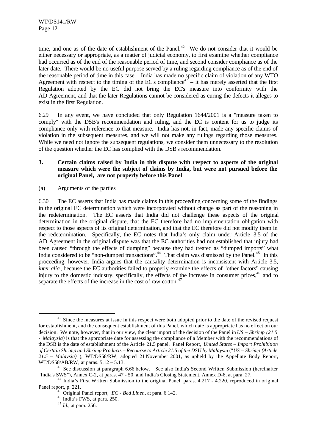time, and one as of the date of establishment of the Panel.<sup>42</sup> We do not consider that it would be either necessary or appropriate, as a matter of judicial economy, to first examine whether compliance had occurred as of the end of the reasonable period of time, and second consider compliance as of the later date. There would be no useful purpose served by a ruling regarding compliance as of the end of the reasonable period of time in this case. India has made no specific claim of violation of any WTO Agreement with respect to the timing of the EC's compliance<sup>43</sup> – it has merely asserted that the first Regulation adopted by the EC did not bring the EC's measure into conformity with the AD Agreement, and that the later Regulations cannot be considered as curing the defects it alleges to exist in the first Regulation.

6.29 In any event, we have concluded that only Regulation 1644/2001 is a "measure taken to comply" with the DSB's recommendation and ruling, and the EC is content for us to judge its compliance only with reference to that measure. India has not, in fact, made any specific claims of violation in the subsequent measures, and we will not make any rulings regarding those measures. While we need not ignore the subsequent regulations, we consider them unnecessary to the resolution of the question whether the EC has complied with the DSB's recommendation.

### **3. Certain claims raised by India in this dispute with respect to aspects of the original measure which were the subject of claims by India, but were not pursued before the original Panel, are not properly before this Panel**

(a) Arguments of the parties

6.30 The EC asserts that India has made claims in this proceeding concerning some of the findings in the original EC determination which were incorporated without change as part of the reasoning in the redetermination. The EC asserts that India did not challenge these aspects of the original determination in the original dispute, that the EC therefore had no implementation obligation with respect to those aspects of its original determination, and that the EC therefore did not modify them in the redetermination. Specifically, the EC notes that India's only claim under Article 3.5 of the AD Agreement in the original dispute was that the EC authorities had not established that injury had been caused "through the effects of dumping" because they had treated as "dumped imports" what India considered to be "non-dumped transactions".<sup>44</sup> That claim was dismissed by the Panel.<sup>45</sup> In this proceeding, however, India argues that the causality determination is inconsistent with Article 3.5, *inter alia*, because the EC authorities failed to properly examine the effects of "other factors" causing injury to the domestic industry, specifically, the effects of the increase in consumer prices, <sup>46</sup> and to separate the effects of the increase in the cost of raw cotton.<sup>47</sup>

 $42$  Since the measures at issue in this respect were both adopted prior to the date of the revised request for establishment, and the consequent establishment of this Panel, which date is appropriate has no effect on our decision. We note, however, that in our view, the clear import of the decision of the Panel in *US – Shrimp (21.5 - Malaysia)* is that the appropriate date for assessing the compliance of a Member with the recommendations of the DSB is the date of establishment of the Article 21.5 panel. Panel Report, *United States – Import Prohibition of Certain Shrimp and Shrimp Products – Recourse to Article 21.5 of the DSU by Malaysia* ("*US – Shrimp (Article 21.5 – Malaysia)* "), WT/DS58/RW, adopted 21 November 2001, as upheld by the Appellate Body Report, WT/DS58/AB/RW, at paras. 5.12 – 5.13.

<sup>&</sup>lt;sup>43</sup> See discussion at paragraph 6.66 below. See also India's Second Written Submission (hereinafter "India's SWS"), Annex C-2, at paras. 47 - 50, and India's Closing Statement, Annex D-6, at para. 27.

<sup>&</sup>lt;sup>44</sup> India's First Written Submission to the original Panel, paras. 4.217 - 4.220, reproduced in original Panel report, p. 221.

<sup>45</sup> Original Panel report, *EC - Bed Linen*, at para. 6.142.

 $46$  India's FWS, at para. 250.

<sup>47</sup> *Id.,* at para. 256.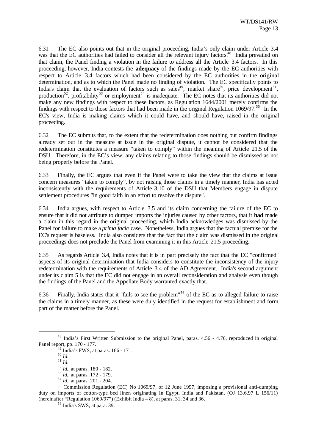6.31 The EC also points out that in the original proceeding, India's only claim under Article 3.4 was that the EC authorities had failed to consider all the relevant injury factors.<sup>48</sup> India prevailed on that claim, the Panel finding a violation in the failure to address all the Article 3.4 factors. In this proceeding, however, India contests the **adequacy** of the findings made by the EC authorities with respect to Article 3.4 factors which had been considered by the EC authorities in the original determination, and as to which the Panel made no finding of violation. The EC specifically points to India's claim that the evaluation of factors such as sales<sup>49</sup>, market share<sup>50</sup>, price development<sup>51</sup>, production<sup>52</sup>, profitability<sup>53</sup> or employment<sup>54</sup> is inadequate. The EC notes that its authorities did not make any new findings with respect to these factors, as Regulation 1644/2001 merely confirms the findings with respect to those factors that had been made in the original Regulation  $1069/97$ .<sup>55</sup> In the EC's view, India is making claims which it could have, and should have, raised in the original proceeding.

6.32 The EC submits that, to the extent that the redetermination does nothing but confirm findings already set out in the measure at issue in the original dispute, it cannot be considered that the redetermination constitutes a measure "taken to comply" within the meaning of Article 21.5 of the DSU. Therefore, in the EC's view, any claims relating to those findings should be dismissed as not being properly before the Panel.

6.33 Finally, the EC argues that even if the Panel were to take the view that the claims at issue concern measures "taken to comply", by not raising those claims in a timely manner, India has acted inconsistently with the requirements of Article 3.10 of the DSU that Members engage in dispute settlement procedures "in good faith in an effort to resolve the dispute".

6.34 India argues, with respect to Article 3.5 and its claim concerning the failure of the EC to ensure that it did not attribute to dumped imports the injuries caused by other factors, that it **had** made a claim in this regard in the original proceeding, which India acknowledges was dismissed by the Panel for failure to make a *prima facie* case. Nonetheless, India argues that the factual premise for the EC's request is baseless. India also considers that the fact that the claim was dismissed in the original proceedings does not preclude the Panel from examining it in this Article 21.5 proceeding*.*

6.35 As regards Article 3.4, India notes that it is in part precisely the fact that the EC "confirmed" aspects of its original determination that India considers to constitute the inconsistency of the injury redetermination with the requirements of Article 3.4 of the AD Agreement. India's second argument under its claim 5 is that the EC did not engage in an overall reconsideration and analysis even though the findings of the Panel and the Appellate Body warranted exactly that.

6.36 Finally, India states that it "fails to see the problem"<sup>56</sup> of the EC as to alleged failure to raise the claims in a timely manner, as these were duly identified in the request for establishment and form part of the matter before the Panel.

<sup>48</sup> India's First Written Submission to the original Panel, paras. 4.56 - 4.76, reproduced in original Panel report, pp. 170 - 177.

<sup>49</sup> India's FWS, at paras. 166 - 171.

 $\overline{50}$   $\overline{Id.}$ 

<sup>51</sup> *Id.*

<sup>52</sup> *Id.,* at paras. 180 - 182.

<sup>53</sup> *Id.,* at paras. 172 - 179.

<sup>54</sup> *Id.,* at paras. 201 - 204.

<sup>55</sup> Commission Regulation (EC) No 1069/97, of 12 June 1997, imposing a provisional anti-dumping duty on imports of cotton-type bed linen originating In Egypt, India and Pakistan, (OJ 13.6.97 L 156/11) (hereinafter "Regulation 1069/97") (Exhibit India – 8), at paras. 31, 34 and 36.

<sup>56</sup> India's SWS, at para. 39.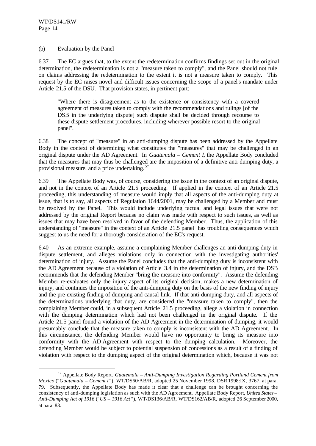l

#### (b) Evaluation by the Panel

6.37 The EC argues that, to the extent the redetermination confirms findings set out in the original determination, the redetermination is not a "measure taken to comply", and the Panel should not rule on claims addressing the redetermination to the extent it is not a measure taken to comply. This request by the EC raises novel and difficult issues concerning the scope of a panel's mandate under Article 21.5 of the DSU. That provision states, in pertinent part:

"Where there is disagreement as to the existence or consistency with a covered agreement of measures taken to comply with the recommendations and rulings [of the DSB in the underlying dispute] such dispute shall be decided through recourse to these dispute settlement procedures, including wherever possible resort to the original panel".

6.38 The concept of "measure" in an anti-dumping dispute has been addressed by the Appellate Body in the context of determining what constitutes the "measures" that may be challenged in an original dispute under the AD Agreement. In *Guatemala – Cement I*, the Appellate Body concluded that the measures that may thus be challenged are the imposition of a definitive anti-dumping duty, a provisional measure, and a price undertaking. <sup>57</sup>

6.39 The Appellate Body was, of course, considering the issue in the context of an original dispute, and not in the context of an Article 21.5 proceeding. If applied in the context of an Article 21.5 proceeding, this understanding of measure would imply that all aspects of the anti-dumping duty at issue, that is to say, all aspects of Regulation 1644/2001, may be challenged by a Member and must be resolved by the Panel. This would include underlying factual and legal issues that were not addressed by the original Report because no claim was made with respect to such issues, as well as issues that may have been resolved in favor of the defending Member. Thus, the application of this understanding of "measure" in the context of an Article 21.5 panel has troubling consequences which suggest to us the need for a thorough consideration of the EC's request.

6.40 As an extreme example, assume a complaining Member challenges an anti-dumping duty in dispute settlement, and alleges violations only in connection with the investigating authorities' determination of injury. Assume the Panel concludes that the anti-dumping duty is inconsistent with the AD Agreement because of a violation of Article 3.4 in the determination of injury, and the DSB recommends that the defending Member "bring the measure into conformity". Assume the defending Member re-evaluates only the injury aspect of its original decision, makes a new determination of injury, and continues the imposition of the anti-dumping duty on the basis of the new finding of injury and the pre-existing finding of dumping and causal link. If that anti-dumping duty, and all aspects of the determinations underlying that duty, are considered the "measure taken to comply", then the complaining Member could, in a subsequent Article 21.5 proceeding, allege a violation in connection with the dumping determination which had not been challenged in the original dispute. If the Article 21.5 panel found a violation of the AD Agreement in the determination of dumping, it would presumably conclude that the measure taken to comply is inconsistent with the AD Agreement. In this circumstance, the defending Member would have no opportunity to bring its measure into conformity with the AD Agreement with respect to the dumping calculation. Moreover, the defending Member would be subject to potential suspension of concessions as a result of a finding of violation with respect to the dumping aspect of the original determination which, because it was not

<sup>57</sup> Appellate Body Report*, Guatemala – Anti-Dumping Investigation Regarding Portland Cement from Mexico* ("*Guatemala – Cement I* "), WT/DS60/AB/R, adopted 25 November 1998, DSR 1998:IX, 3767, at para. 79. Subsequently, the Appellate Body has made it clear that a challenge can be brought concerning the consistency of anti-dumping legislation as such with the AD Agreement. Appellate Body Report, *United States – Anti-Dumping Act of 1916* ("*US – 1916 Act* "), WT/DS136/AB/R, WT/DS162/AB/R, adopted 26 September 2000, at para. 83.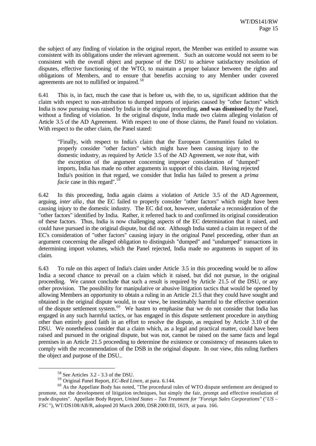the subject of any finding of violation in the original report, the Member was entitled to assume was consistent with its obligations under the relevant agreement. Such an outcome would not seem to be consistent with the overall object and purpose of the DSU to achieve satisfactory resolution of disputes, effective functioning of the WTO, to maintain a proper balance between the rights and obligations of Members, and to ensure that benefits accruing to any Member under covered agreements are not to nullified or impaired. <sup>58</sup>

6.41 This is, in fact, much the case that is before us, with the, to us, significant addition that the claim with respect to non-attribution to dumped imports of injuries caused by "other factors" which India is now pursuing was raised by India in the original proceeding, **and was dismissed** by the Panel, without a finding of violation. In the original dispute, India made two claims alleging violation of Article 3.5 of the AD Agreement. With respect to one of those claims, the Panel found no violation. With respect to the other claim, the Panel stated:

"Finally, with respect to India's claim that the European Communities failed to properly consider "other factors" which might have been causing injury to the domestic industry, as required by Article 3.5 of the AD Agreement, we note that, with the exception of the argument concerning improper consideration of "dumped" imports, India has made no other arguments in support of this claim. Having rejected India's position in that regard, we consider that India has failed to present a *prima facie* case in this regard".<sup>59</sup>

6.42 In this proceeding, India again claims a violation of Article 3.5 of the AD Agreement, arguing, *inter alia*, that the EC failed to properly consider "other factors" which might have been causing injury to the domestic industry. The EC did not, however, undertake a reconsideration of the "other factors" identified by India. Rather, it referred back to and confirmed its original consideration of these factors. Thus, India is now challenging aspects of the EC determination that it raised, and could have pursued in the original dispute, but did not. Although India stated a claim in respect of the EC's consideration of "other factors" causing injury in the original Panel proceeding, other than an argument concerning the alleged obligation to distinguish "dumped" and "undumped" transactions in determining import volumes, which the Panel rejected, India made no arguments in support of its claim.

6.43 To rule on this aspect of India's claim under Article 3.5 in this proceeding would be to allow India a second chance to prevail on a claim which it raised, but did not pursue, in the original proceeding. We cannot conclude that such a result is required by Article 21.5 of the DSU, or any other provision. The possibility for manipulative or abusive litigation tactics that would be opened by allowing Members an opportunity to obtain a ruling in an Article 21.5 that they could have sought and obtained in the original dispute would, in our view, be inestimably harmful to the effective operation of the dispute settlement system.<sup>60</sup> We hasten to emphasise that we do not consider that India has engaged in any such harmful tactics, or has engaged in this dispute settlement procedure in anything other than entirely good faith in an effort to resolve the dispute, as required by Article 3.10 of the DSU. We nonetheless consider that a claim which, as a legal and practical matter, could have been raised and pursued in the original dispute, but was not, cannot be raised on the same facts and legal premises in an Article 21.5 proceeding to determine the existence or consistency of measures taken to comply with the recommendation of the DSB in the original dispute. In our view, this ruling furthers the object and purpose of the DSU..

<sup>58</sup> See Articles 3.2 - 3.3 of the DSU.

<sup>59</sup> Original Panel Report, *EC-Bed Linen*, at para. 6.144.

<sup>&</sup>lt;sup>60</sup> As the Appellate Body has noted, "The procedural rules of WTO dispute settlement are designed to promote, not the development of litigation techniques, but simply the fair, prompt and effective resolution of trade disputes". Appellate Body Report, *United States – Tax Treatment for "Foreign Sales Corporations"* ("*US – FSC* "), WT/DS108/AB/R, adopted 20 March 2000, DSR 2000:III, 1619, at para. 166.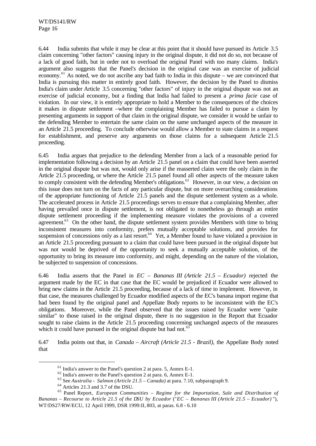6.44 India submits that while it may be clear at this point that it should have pursued its Article 3.5 claim concerning "other factors" causing injury in the original dispute, it did not do so, not because of a lack of good faith, but in order not to overload the original Panel with too many claims. India's argument also suggests that the Panel's decision in the original case was an exercise of judicial economy.<sup>61</sup> As noted, we do not ascribe any bad faith to India in this dispute – we are convinced that India is pursuing this matter in entirely good faith. However, the decision by the Panel to dismiss India's claim under Article 3.5 concerning "other factors" of injury in the original dispute was not an exercise of judicial economy, but a finding that India had failed to present a *prima facie* case of violation. In our view, it is entirely appropriate to hold a Member to the consequences of the choices it makes in dispute settlement –where the complaining Member has failed to pursue a claim by presenting arguments in support of that claim in the original dispute, we consider it would be unfair to the defending Member to entertain the same claim on the same unchanged aspects of the measure in an Article 21.5 proceeding. To conclude otherwise would allow a Member to state claims in a request for establishment, and preserve any arguments on those claims for a subsequent Article 21.5 proceeding.

6.45 India argues that prejudice to the defending Member from a lack of a reasonable period for implementation following a decision by an Article 21.5 panel on a claim that could have been asserted in the original dispute but was not, would only arise if the reasserted claim were the only claim in the Article 21.5 proceeding, or where the Article 21.5 panel found all other aspects of the measure taken to comply consistent with the defending Member's obligations.<sup>62</sup> However, in our view, a decision on this issue does not turn on the facts of any particular dispute, but on more overarching considerations of the appropriate functioning of Article 21.5 panels and the dispute settlement system as a whole. The accelerated process in Article 21.5 proceedings serves to ensure that a complaining Member, after having prevailed once in dispute settlement, is not obligated to nonetheless go through an entire dispute settlement proceeding if the implementing measure violates the provisions of a covered agreement.<sup>63</sup> On the other hand, the dispute settlement system provides Members with time to bring inconsistent measures into conformity, prefers mutually acceptable solutions, and provides for suspension of concessions only as a last resort.<sup>64</sup> Yet, a Member found to have violated a provision in an Article 21.5 proceeding pursuant to a claim that could have been pursued in the original dispute but was not would be deprived of the opportunity to seek a mutually acceptable solution, of the opportunity to bring its measure into conformity, and might, depending on the nature of the violation, be subjected to suspension of concessions.

6.46 India asserts that the Panel in *EC – Bananas III (Article 21.5 – Ecuador)* rejected the argument made by the EC in that case that the EC would be prejudiced if Ecuador were allowed to bring new claims in the Article 21.5 proceeding, because of a lack of time to implement. However, in that case, the measures challenged by Ecuador modified aspects of the EC's banana import regime that had been found by the original panel and Appellate Body reports to be inconsistent with the EC's obligations. Moreover, while the Panel observed that the issues raised by Ecuador were "quite similar" to those raised in the original dispute, there is no suggestion in the Report that Ecuador sought to raise claims in the Article 21.5 proceeding concerning unchanged aspects of the measures which it could have pursued in the original dispute but had not.<sup>65</sup>

6.47 India points out that, in *Canada – Aircraft (Article 21.5 - Brazil)*, the Appellate Body noted that

<sup>61</sup> India's answer to the Panel's question 2 at para. 5, Annex E-1.

<sup>62</sup> India's answer to the Panel's question 2 at para. 6, Annex E-1.

<sup>63</sup> See *Australia - Salmon (Article 21.5 – Canada)* at para. 7.10, subparagraph 9.

<sup>64</sup> Articles 21.3 and 3.7 of the DSU.

<sup>65</sup> Panel Report, *European Communities – Regime for the Importation, Sale and Distribution of Bananas – Recourse to Article 21.5 of the DSU by Ecuador* ("*EC – Bananas III (Article 21.5 – Ecuador)* "), WT/DS27/RW/ECU, 12 April 1999, DSR 1999:II, 803, at paras. 6.8 - 6.10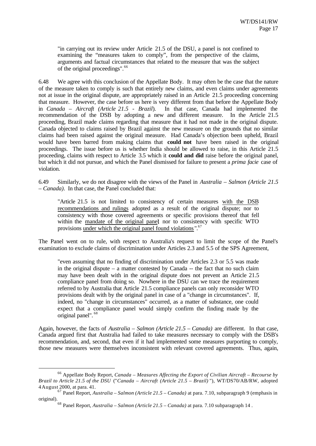"in carrying out its review under Article 21.5 of the DSU, a panel is not confined to examining the "measures taken to comply", from the perspective of the claims, arguments and factual circumstances that related to the measure that was the subject of the original proceedings".<sup>66</sup>

6.48 We agree with this conclusion of the Appellate Body. It may often be the case that the nature of the measure taken to comply is such that entirely new claims, and even claims under agreements not at issue in the original dispute, are appropriately raised in an Article 21.5 proceeding concerning that measure. However, the case before us here is very different from that before the Appellate Body in *Canada – Aircraft (Article 21.5 - Brazil*). In that case, Canada had implemented the recommendation of the DSB by adopting a new and different measure. In the Article 21.5 proceeding, Brazil made claims regarding that measure that it had not made in the original dispute. Canada objected to claims raised by Brazil against the new measure on the grounds that no similar claims had been raised against the original measure. Had Canada's objection been upheld, Brazil would have been barred from making claims that **could not** have been raised in the original proceedings. The issue before us is whether India should be allowed to raise, in this Article 21.5 proceeding, claims with respect to Article 3.5 which it **could and did** raise before the original panel, but which it did not pursue, and which the Panel dismissed for failure to present a *prima facie* case of violation.

6.49 Similarly, we do not disagree with the views of the Panel in *Australia – Salmon (Article 21.5 – Canada)*. In that case, the Panel concluded that:

"Article 21.5 is not limited to consistency of certain measures with the DSB recommendations and rulings adopted as a result of the original dispute; nor to consistency with those covered agreements or specific provisions thereof that fell within the mandate of the original panel nor to consistency with specific WTO provisions under which the original panel found violations".<sup>67</sup>

The Panel went on to rule, with respect to Australia's request to limit the scope of the Panel's examination to exclude claims of discrimination under Articles 2.3 and 5.5 of the SPS Agreement,

"even assuming that no finding of discrimination under Articles 2.3 or 5.5 was made in the original dispute – a matter contested by Canada -- the fact that no such claim may have been dealt with in the original dispute does not prevent an Article 21.5 compliance panel from doing so. Nowhere in the DSU can we trace the requirement referred to by Australia that Article 21.5 compliance panels can only reconsider WTO provisions dealt with by the original panel in case of a "change in circumstances". If, indeed, no "change in circumstances" occurred, as a matter of substance, one could expect that a compliance panel would simply confirm the finding made by the original panel". <sup>68</sup>

Again, however, the facts of *Australia – Salmon (Article 21.5 – Canada)* are different. In that case, Canada argued first that Australia had failed to take measures necessary to comply with the DSB's recommendation, and, second, that even if it had implemented some measures purporting to comply, those new measures were themselves inconsistent with relevant covered agreements. Thus, again,

<sup>66</sup> Appellate Body Report, *Canada – Measures Affecting the Export of Civilian Aircraft – Recourse by Brazil to Article 21.5 of the DSU* ("*Canada – Aircraft (Article 21.5 – Brazil)* "), WT/DS70/AB/RW, adopted 4 August 2000, at para. 41.

<sup>67</sup> Panel Report, *Australia – Salmon (Article 21.5 – Canada)* at para. 7.10, subparagraph 9 (emphasis in original).

<sup>68</sup> Panel Report, *Australia – Salmon (Article 21.5 – Canada)* at para. 7.10 subparagraph 14 .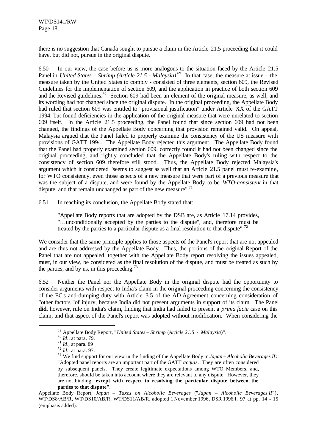there is no suggestion that Canada sought to pursue a claim in the Article 21.5 proceeding that it could have, but did not, pursue in the original dispute.

6.50 In our view, the case before us is more analogous to the situation faced by the Article 21.5 Panel in *United States – Shrimp (Article 21.5 - Malaysia)*. <sup>69</sup> In that case, the measure at issue – the measure taken by the United States to comply - consisted of three elements, section 609, the Revised Guidelines for the implementation of section 609, and the application in practice of both section 609 and the Revised guidelines.<sup>70</sup> Section 609 had been an element of the original measure, as well, and its wording had not changed since the original dispute. In the original proceeding, the Appellate Body had ruled that section 609 was entitled to "provisional justification" under Article XX of the GATT 1994, but found deficiencies in the application of the original measure that were unrelated to section 609 itself. In the Article 21.5 proceeding, the Panel found that since section 609 had not been changed, the findings of the Appellate Body concerning that provision remained valid. On appeal, Malaysia argued that the Panel failed to properly examine the consistency of the US measure with provisions of GATT 1994. The Appellate Body rejected this argument. The Appellate Body found that the Panel had properly examined section 609, correctly found it had not been changed since the original proceeding, and rightly concluded that the Appellate Body's ruling with respect to the consistency of section 609 therefore still stood. Thus, the Appellate Body rejected Malaysia's argument which it considered "seems to suggest as well that an Article 21.5 panel must re-examine, for WTO consistency, even those aspects of a new measure that were part of a previous measure that was the subject of a dispute, and were found by the Appellate Body to be *WTO-consistent* in that dispute, and that remain unchanged as part of the new measure".<sup>71</sup>

6.51 In reaching its conclusion, the Appellate Body stated that:

"Appellate Body reports that are adopted by the DSB are, as Article 17.14 provides, "…unconditionally accepted by the parties to the dispute", and, therefore must be treated by the parties to a particular dispute as a final resolution to that dispute".<sup>72</sup>

We consider that the same principle applies to those aspects of the Panel's report that are not appealed and are thus not addressed by the Appellate Body. Thus, the portions of the original Report of the Panel that are not appealed, together with the Appellate Body report resolving the issues appealed, must, in our view, be considered as the final resolution of the dispute, and must be treated as such by the parties, and by us, in this proceeding.<sup>73</sup>

6.52 Neither the Panel nor the Appellate Body in the original dispute had the opportunity to consider arguments with respect to India's claim in the original proceeding concerning the consistency of the EC's anti-dumping duty with Article 3.5 of the AD Agreement concerning consideration of "other factors "of injury, because India did not present arguments in support of its claim. The Panel **did**, however, rule on India's claim, finding that India had failed to present a *prima facie* case on this claim, and that aspect of the Panel's report was adopted without modification. When considering the

<sup>69</sup> Appellate Body Report, "*United States – Shrimp* (*Article 21.5 - Malaysia*)".

<sup>70</sup> *Id*., at para. 79.

<sup>71</sup> *Id*., at para. 89

<sup>72</sup> *Id*., at para. 97.

<sup>73</sup> We find support for our view in the finding of the Appellate Body in *Japan – Alcoholic Beverages II*: "Adopted panel reports are an important part of the GATT *acquis*. They are often considered by subsequent panels. They create legitimate expectations among WTO Members, and, therefore, should be taken into account where they are relevant to any dispute. However, they are not binding, **except with respect to resolving the particular dispute between the parties to that dispute**".

Appellate Body Report, *Japan – Taxes on Alcoholic Beverages* ("*Japan – Alcoholic Beverages II*"), WT/DS8/AB/R, WT/DS10/AB/R, WT/DS11/AB/R, adopted 1 November 1996, DSR 1996:I, 97 at pp. 14 - 15 (emphasis added).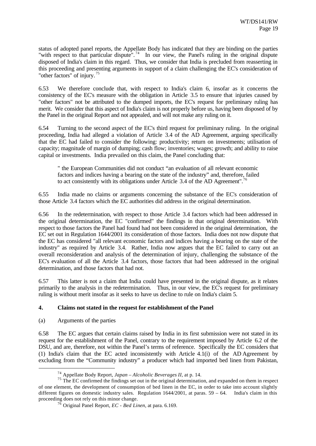status of adopted panel reports, the Appellate Body has indicated that they are binding on the parties "with respect to that particular dispute".<sup>74</sup> In our view, the Panel's ruling in the original dispute disposed of India's claim in this regard. Thus, we consider that India is precluded from reasserting in this proceeding and presenting arguments in support of a claim challenging the EC's consideration of "other factors" of injury. <sup>75</sup>

6.53 We therefore conclude that, with respect to India's claim 6, insofar as it concerns the consistency of the EC's measure with the obligation in Article 3.5 to ensure that injuries caused by "other factors" not be attributed to the dumped imports, the EC's request for preliminary ruling has merit. We consider that this aspect of India's claim is not properly before us, having been disposed of by the Panel in the original Report and not appealed, and will not make any ruling on it.

6.54 Turning to the second aspect of the EC's third request for preliminary ruling. In the original proceeding, India had alleged a violation of Article 3.4 of the AD Agreement, arguing specifically that the EC had failed to consider the following: productivity; return on investments; utilisation of capacity; magnitude of margin of dumping; cash flow; inventories; wages; growth; and ability to raise capital or investments. India prevailed on this claim, the Panel concluding that:

" the European Communities did not conduct "an evaluation of all relevant economic factors and indices having a bearing on the state of the industry" and, therefore, failed to act consistently with its obligations under Article 3.4 of the AD Agreement".<sup>76</sup>

6.55 India made no claims or arguments concerning the substance of the EC's consideration of those Article 3.4 factors which the EC authorities did address in the original determination.

6.56 In the redetermination, with respect to those Article 3.4 factors which had been addressed in the original determination, the EC "confirmed" the findings in that original determination. With respect to those factors the Panel had found had not been considered in the original determination, the EC set out in Regulation 1644/2001 its consideration of those factors. India does not now dispute that the EC has considered "all relevant economic factors and indices having a bearing on the state of the industry" as required by Article 3.4. Rather, India now argues that the EC failed to carry out an overall reconsideration and analysis of the determination of injury, challenging the substance of the EC's evaluation of all the Article 3.4 factors, those factors that had been addressed in the original determination, and those factors that had not.

6.57 This latter is not a claim that India could have presented in the original dispute, as it relates primarily to the analysis in the redetermination. Thus, in our view, the EC's request for preliminary ruling is without merit insofar as it seeks to have us decline to rule on India's claim 5.

# **4. Claims not stated in the request for establishment of the Panel**

(a) Arguments of the parties

l

6.58 The EC argues that certain claims raised by India in its first submission were not stated in its request for the establishment of the Panel, contrary to the requirement imposed by Article 6.2 of the DSU, and are, therefore, not within the Panel's terms of reference. Specifically the EC considers that (1) India's claim that the EC acted inconsistently with Article 4.1(i) of the AD Agreement by excluding from the "Community industry" a producer which had imported bed linen from Pakistan,

<sup>74</sup> Appellate Body Report, *Japan – Alcoholic Beverages II*, at p. 14.

<sup>&</sup>lt;sup>75</sup> The EC confirmed the findings set out in the original determination, and expanded on them in respect of one element, the development of consumption of bed linen in the EC, in order to take into account slightly different figures on domestic industry sales. Regulation 1644/2001, at paras. 59 – 64. India's claim in this proceeding does not rely on this minor change.

 $^{76}$  Original Panel Report, *EC - Bed Linen*, at para. 6.169.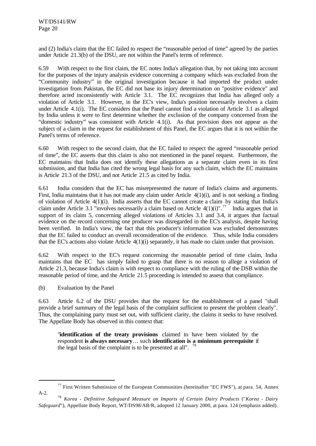and (2) India's claim that the EC failed to respect the "reasonable period of time" agreed by the parties under Article 21.3(b) of the DSU, are not within the Panel's terms of reference.

6.59 With respect to the first claim, the EC notes India's allegation that, by not taking into account for the purposes of the injury analysis evidence concerning a company which was excluded from the "Community industry" in the original investigation because it had imported the product under investigation from Pakistan, the EC did not base its injury determination on "positive evidence" and therefore acted inconsistently with Article 3.1. The EC recognizes that India has alleged only a violation of Article 3.1. However, in the EC's view, India's position necessarily involves a claim under Article 4.1(i). The EC considers that the Panel cannot find a violation of Article 3.1 as alleged by India unless it were to first determine whether the exclusion of the company concerned from the "domestic industry" was consistent with Article 4.1(i). As that provision does not appear as the subject of a claim in the request for establishment of this Panel, the EC argues that it is not within the Panel's terms of reference.

6.60 With respect to the second claim, that the EC failed to respect the agreed "reasonable period of time", the EC asserts that this claim is also not mentioned in the panel request. Furthermore, the EC maintains that India does not identify these allegations as a separate claim even in its first submission, and that India has cited the wrong legal basis for any such claim, which the EC maintains is Article 21.3 of the DSU, and not Article 21.5 as cited by India.

6.61 India considers that the EC has misrepresented the nature of India's claims and arguments. First, India maintains that it has not made any claim under Article 4(1)(i), and is not seeking a finding of violation of Article 4(1)(i). India asserts that the EC cannot create a claim by stating that India's claim under Article 3.1 "involves necessarily a claim based on Article  $4(1)(i)$ ".<sup>77</sup> India argues that in support of its claim 5, concerning alleged violations of Articles 3.1 and 3.4, it argues that factual evidence on the record concerning one producer was disregarded in the EC's analysis, despite having been verified. In India's view, the fact that this producer's information was excluded demonstrates that the EC failed to conduct an overall reconsideration of the evidence. Thus, while India considers that the EC's actions also violate Article 4(1)(i) separately, it has made no claim under that provision.

6.62 With respect to the EC's request concerning the reasonable period of time claim, India maintains that the EC has simply failed to grasp that there is no reason to allege a violation of Article 21.3, because India's claim is with respect to compliance with the ruling of the DSB within the reasonable period of time, and the Article 21.5 proceeding is intended to assess that compliance.

(b) Evaluation by the Panel

l

6.63 Article 6.2 of the DSU provides that the request for the establishment of a panel "shall provide a brief summary of the legal basis of the complaint sufficient to present the problem clearly". Thus, the complaining party must set out, with sufficient clarity, the claims it seeks to have resolved. The Appellate Body has observed in this context that:

"**identification of the treaty provisions** claimed to have been violated by the respondent **is always necessary**… such **identification is a minimum prerequisite** if the legal basis of the complaint is to be presented at all".  $7$ 

 $<sup>77</sup>$  First Written Submission of the European Communities (hereinafter "EC FWS"), at para. 54, Annex</sup> A-2.

<sup>78</sup> *Korea - Definitive Safeguard Measure on Imports of Certain Dairy Products* ("*Korea - Dairy Safeguard*"), Appellate Body Report, WT/DS98/AB/R, adopted 12 January 2000, at para. 124 (emphasis added).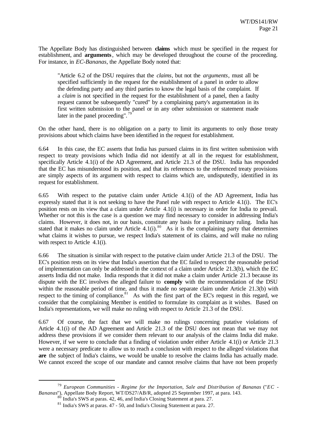The Appellate Body has distinguished between **claims** which must be specified in the request for establishment, and **arguments**, which may be developed throughout the course of the proceeding. For instance, in *EC-Bananas*, the Appellate Body noted that:

"Article 6.2 of the DSU requires that the *claims*, but not the *arguments*, must all be specified sufficiently in the request for the establishment of a panel in order to allow the defending party and any third parties to know the legal basis of the complaint. If a *claim* is not specified in the request for the establishment of a panel, then a faulty request cannot be subsequently "cured" by a complaining party's argumentation in its first written submission to the panel or in any other submission or statement made later in the panel proceeding".<sup>79</sup>

On the other hand, there is no obligation on a party to limit its arguments to only those treaty provisions about which claims have been identified in the request for establishment.

6.64 In this case, the EC asserts that India has pursued claims in its first written submission with respect to treaty provisions which India did not identify at all in the request for establishment, specifically Article 4.1(i) of the AD Agreement, and Article 21.3 of the DSU. India has responded that the EC has misunderstood its position, and that its references to the referenced treaty provisions are simply aspects of its argument with respect to claims which are, undisputedly, identified in its request for establishment.

6.65 With respect to the putative claim under Article 4.1(i) of the AD Agreement, India has expressly stated that it is not seeking to have the Panel rule with respect to Article 4.1(i). The EC's position rests on its view that a claim under Article 4.1(i) is necessary in order for India to prevail. Whether or not this is the case is a question we may find necessary to consider in addressing India's claims. However, it does not, in our basis, constitute any basis for a preliminary ruling. India has stated that it makes no claim under Article  $4.1(i)$ .<sup>80</sup> As it is the complaining party that determines what claims it wishes to pursue, we respect India's statement of its claims, and will make no ruling with respect to Article 4.1(i).

6.66 The situation is similar with respect to the putative claim under Article 21.3 of the DSU. The EC's position rests on its view that India's assertion that the EC failed to respect the reasonable period of implementation can only be addressed in the context of a claim under Article 21.3(b), which the EC asserts India did not make. India responds that it did not make a claim under Article 21.3 because its dispute with the EC involves the alleged failure to **comply** with the recommendation of the DSU within the reasonable period of time, and thus it made no separate claim under Article 21.3(b) with respect to the timing of compliance. $81$  As with the first part of the EC's request in this regard, we consider that the complaining Member is entitled to formulate its complaint as it wishes. Based on India's representations, we will make no ruling with respect to Article 21.3 of the DSU.

6.67 Of course, the fact that we will make no rulings concerning putative violations of Article 4.1(i) of the AD Agreement and Article 21.3 of the DSU does not mean that we may not address these provisions if we consider them relevant to our analysis of the claims India did make. However, if we were to conclude that a finding of violation under either Article 4.1(i) or Article 21.3 were a necessary predicate to allow us to reach a conclusion with respect to the alleged violations that **are** the subject of India's claims, we would be unable to resolve the claims India has actually made. We cannot exceed the scope of our mandate and cannot resolve claims that have not been properly

<sup>79</sup> *European Communities - Regime for the Importation, Sale and Distribution of Bananas* ("*EC - Bananas*"), Appellate Body Report, WT/DS27/AB/R, adopted 25 September 1997, at para. 143.

 $^{0}$  India's SWS at paras. 42, 46, and India's Closing Statement at para. 27.

<sup>81</sup> India's SWS at paras. 47 - 50, and India's Closing Statement at para. 27.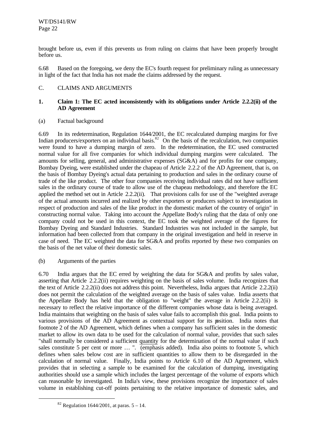brought before us, even if this prevents us from ruling on claims that have been properly brought before us.

6.68 Based on the foregoing, we deny the EC's fourth request for preliminary ruling as unnecessary in light of the fact that India has not made the claims addressed by the request.

# C. CLAIMS AND ARGUMENTS

#### **1. Claim 1: The EC acted inconsistently with its obligations under Article 2.2.2(ii) of the AD Agreement**

(a) Factual background

6.69 In its redetermination, Regulation 1644/2001, the EC recalculated dumping margins for five Indian producers/exporters on an individual basis.<sup>82</sup> On the basis of the recalculation, two companies were found to have a dumping margin of zero. In the redetermination, the EC used constructed normal value for all five companies for which individual dumping margins were calculated. The amounts for selling, general, and administrative expenses (SG&A) and for profits for one company, Bombay Dyeing, were established under the chapeau of Article 2.2.2 of the AD Agreement, that is, on the basis of Bombay Dyeing's actual data pertaining to production and sales in the ordinary course of trade of the like product. The other four companies receiving individual rates did not have sufficient sales in the ordinary course of trade to allow use of the chapeau methodology, and therefore the EC applied the method set out in Article 2.2.2(ii). That provisions calls for use of the "weighted average of the actual amounts incurred and realized by other exporters or producers subject to investigation in respect of production and sales of the like product in the domestic market of the country of origin" in constructing normal value. Taking into account the Appellate Body's ruling that the data of only one company could not be used in this context, the EC took the weighted average of the figures for Bombay Dyeing and Standard Industries. Standard Industries was not included in the sample, but information had been collected from that company in the original investigation and held in reserve in case of need. The EC weighted the data for SG&A and profits reported by these two companies on the basis of the net value of their domestic sales.

(b) Arguments of the parties

6.70 India argues that the EC erred by weighting the data for SG&A and profits by sales value, asserting that Article 2.2.2(ii) requires weighting on the basis of sales volume. India recognizes that the text of Article 2.2.2(ii) does not address this point. Nevertheless, India argues that Article 2.2.2(ii) does not permit the calculation of the weighted average on the basis of sales value. India asserts that the Appellate Body has held that the obligation to "weight" the average in Article 2.2.2(ii) is necessary to reflect the relative importance of the different companies whose data is being averaged. India maintains that weighting on the basis of sales value fails to accomplish this goal. India points to various provisions of the AD Agreement as contextual support for its position. India notes that footnote 2 of the AD Agreement, which defines when a company has sufficient sales in the domestic market to allow its own data to be used for the calculation of normal value, provides that such sales "shall normally be considered a sufficient quantity for the determination of the normal value if such sales constitute 5 per cent or more ... ". (emphasis added). India also points to footnote 5, which defines when sales below cost are in sufficient quantities to allow them to be disregarded in the calculation of normal value. Finally, India points to Article 6.10 of the AD Agreement, which provides that in selecting a sample to be examined for the calculation of dumping, investigating authorities should use a sample which includes the largest percentage of the volume of exports which can reasonable by investigated. In India's view, these provisions recognize the importance of sales volume in establishing cut-off points pertaining to the relative importance of domestic sales, and

 $82$  Regulation 1644/2001, at paras.  $5 - 14$ .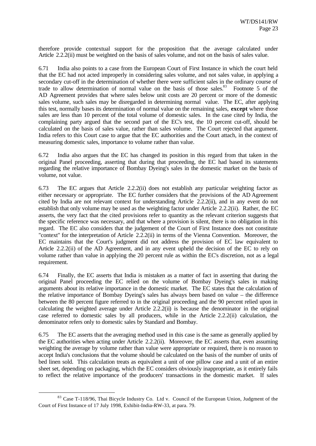therefore provide contextual support for the proposition that the average calculated under Article 2.2.2(ii) must be weighted on the basis of sales volume, and not on the basis of sales value.

6.71 India also points to a case from the European Court of First Instance in which the court held that the EC had not acted improperly in considering sales volume, and not sales value, in applying a secondary cut-off in the determination of whether there were sufficient sales in the ordinary course of trade to allow determination of normal value on the basis of those sales.<sup>83</sup> Footnote 5 of the AD Agreement provides that where sales below unit costs are 20 percent or more of the domestic sales volume, such sales may be disregarded in determining normal value. The EC, after applying this test, normally bases its determination of normal value on the remaining sales, **except** where those sales are less than 10 percent of the total volume of domestic sales. In the case cited by India, the complaining party argued that the second part of the EC's test, the 10 percent cut-off, should be calculated on the basis of sales value, rather than sales volume. The Court rejected that argument. India refers to this Court case to argue that the EC authorities and the Court attach, in the context of measuring domestic sales, importance to volume rather than value.

6.72 India also argues that the EC has changed its position in this regard from that taken in the original Panel proceeding, asserting that during that proceeding, the EC had based its statements regarding the relative importance of Bombay Dyeing's sales in the domestic market on the basis of volume, not value.

6.73 The EC argues that Article 2.2.2(ii) does not establish any particular weighting factor as either necessary or appropriate. The EC further considers that the provisions of the AD Agreement cited by India are not relevant context for understanding Article 2.2.2(ii), and in any event do not establish that only volume may be used as the weighting factor under Article 2.2.2(ii). Rather, the EC asserts, the very fact that the cited provisions refer to quantity as the relevant criterion suggests that the specific reference was necessary, and that where a provision is silent, there is no obligation in this regard. The EC also considers that the judgement of the Court of First Instance does not constitute "context" for the interpretation of Article 2.2.2(ii) in terms of the Vienna Convention. Moreover, the EC maintains that the Court's judgment did not address the provision of EC law equivalent to Article 2.2.2(ii) of the AD Agreement, and in any event upheld the decision of the EC to rely on volume rather than value in applying the 20 percent rule as within the EC's discretion, not as a legal requirement.

6.74 Finally, the EC asserts that India is mistaken as a matter of fact in asserting that during the original Panel proceeding the EC relied on the volume of Bombay Dyeing's sales in making arguments about its relative importance in the domestic market. The EC states that the calculation of the relative importance of Bombay Dyeing's sales has always been based on value – the difference between the 80 percent figure referred to in the original proceeding and the 90 percent relied upon in calculating the weighted average under Article 2.2.2(ii) is because the denominator in the original case referred to domestic sales by all producers, while in the Article 2.2.2(ii) calculation, the denominator refers only to domestic sales by Standard and Bombay.

6.75 The EC asserts that the averaging method used in this case is the same as generally applied by the EC authorities when acting under Article 2.2.2(ii). Moreover, the EC asserts that, even assuming weighting the average by volume rather than value were appropriate or required, there is no reason to accept India's conclusions that the volume should be calculated on the basis of the number of units of bed linen sold. This calculation treats as equivalent a unit of one pillow case and a unit of an entire sheet set, depending on packaging, which the EC considers obviously inappropriate, as it entirely fails to reflect the relative importance of the producers' transactions in the domestic market. If sales

<sup>&</sup>lt;sup>83</sup> Case T-118/96, Thai Bicycle Industry Co. Ltd v. Council of the European Union, Judgment of the Court of First Instance of 17 July 1998, Exhibit-India-RW-33, at para. 79.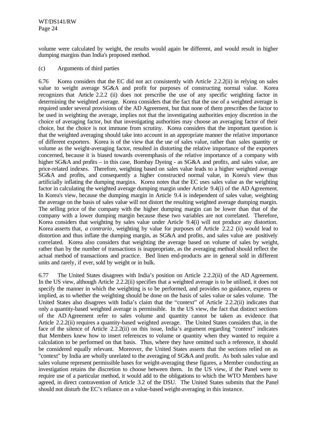volume were calculated by weight, the results would again be different, and would result in higher dumping margins than India's proposed method.

### (c) Arguments of third parties

6.76 Korea considers that the EC did not act consistently with Article 2.2.2(ii) in relying on sales value to weight average SG&A and profit for purposes of constructing normal value. Korea recognizes that Article 2.2.2 (ii) does not prescribe the use of any specific weighting factor in determining the weighted average. Korea considers that the fact that the use of a weighted average is required under several provisions of the AD Agreement, but that none of them prescribes the factor to be used in weighting the average, implies not that the investigating authorities enjoy discretion in the choice of averaging factor, but that investigating authorities may choose an averaging factor of their choice, but the choice is not immune from scrutiny. Korea considers that the important question is that the weighted averaging should take into account in an appropriate manner the relative importance of different exporters. Korea is of the view that the use of sales value, rather than sales quantity or volume as the weight-averaging factor, resulted in distorting the relative importance of the exporters concerned, because it is biased towards overemphasis of the relative importance of a company with higher SG&A and profits – in this case, Bombay Dyeing - as SG&A and profits, and sales value, are price-related indexes. Therefore, weighting based on sales value leads to a higher weighted average SG&A and profits, and consequently a higher constructed normal value, in Korea's view thus artificially inflating the dumping margins. Korea notes that the EC uses sales value as the weighting factor in calculating the weighted average dumping margin under Article 9.4(i) of the AD Agreement. In Korea's view, because the dumping margin in Article 9.4 is independent of sales value, weighting the average on the basis of sales value will not distort the resulting weighted average dumping margin. The selling price of the company with the higher dumping margin can be lower than that of the company with a lower dumping margin because these two variables are not correlated. Therefore, Korea considers that weighting by sales value under Article 9.4(i) will not produce any distortion. Korea asserts that, *a contrario*, weighting by value for purposes of Article 2.2.2 (ii) would lead to distortion and thus inflate the dumping margin, as SG&A and profits, and sales value are positively correlated. Korea also considers that weighting the average based on volume of sales by weight, rather than by the number of transactions is inappropriate, as the averaging method should reflect the actual method of transactions and practice. Bed linen end-products are in general sold in different units and rarely, if ever, sold by weight or in bulk.

6.77 The United States disagrees with India's position on Article 2.2.2(ii) of the AD Agreement. In the US view, although Article 2.2.2(ii) specifies that a weighted average is to be utilised, it does not specify the manner in which the weighting is to be performed, and provides no guidance, express or implied, as to whether the weighting should be done on the basis of sales value or sales volume. The United States also disagrees with India's claim that the "context" of Article 2.2.2(ii) indicates that only a quantity-based weighted average is permissible. In the US view, the fact that distinct sections of the AD Agreement refer to sales volume and quantity cannot be taken as evidence that Article 2.2.2(ii) requires a quantity-based weighted average. The United States considers that, in the face of the silence of Article 2.2.2(ii) on this issue, India's argument regarding "context" indicates that Members knew how to insert references to volume or quantity when they wanted to require a calculation to be performed on that basis. Thus, where they have omitted such a reference, it should be considered equally relevant. Moreover, the United States asserts that the sections relied on as "context" by India are wholly unrelated to the averaging of SG&A and profit. As both sales value and sales volume represent permissible bases for weight-averaging these figures, a Member conducting an investigation retains the discretion to choose between them. In the US view, if the Panel were to require use of a particular method, it would add to the obligations to which the WTO Members have agreed, in direct contravention of Article 3.2 of the DSU. The United States submits that the Panel should not disturb the EC's reliance on a value-based weight-averaging in this instance.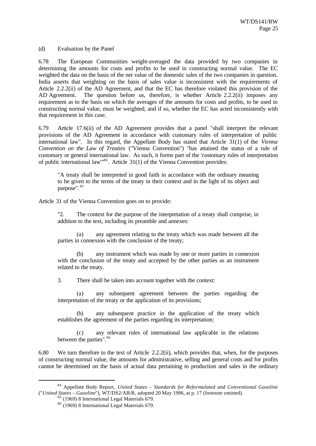(d) Evaluation by the Panel

6.78 The European Communities weight-averaged the data provided by two companies in determining the amounts for costs and profits to be used in constructing normal value. The EC weighted the data on the basis of the net value of the domestic sales of the two companies in question. India asserts that weighting on the basis of sales value is inconsistent with the requirements of Article 2.2.2(ii) of the AD Agreement, and that the EC has therefore violated this provision of the AD Agreement. The question before us, therefore, is whether Article 2.2.2(ii) imposes any requirement as to the basis on which the averages of the amounts for costs and profits, to be used in constructing normal value, must be weighted, and if so, whether the EC has acted inconsistently with that requirement in this case.

6.79 Article 17.6(ii) of the AD Agreement provides that a panel "shall interpret the relevant provisions of the AD Agreement in accordance with customary rules of interpretation of public international law". In this regard, the Appellate Body has stated that Article 31(1) of the *Vienna Convention on the Law of Treaties* ("Vienna Convention") "has attained the status of a rule of customary or general international law. As such, it forms part of the 'customary rules of interpretation of public international law"<sup>84</sup>. Article 31(1) of the Vienna Convention provides:

"A treaty shall be interpreted in good faith in accordance with the ordinary meaning to be given to the terms of the treaty in their context and in the light of its object and purpose". <sup>85</sup>

Article 31 of the Vienna Convention goes on to provide:

"2. The context for the purpose of the interpretation of a treaty shall comprise, in addition to the text, including its preamble and annexes:

(a) any agreement relating to the treaty which was made between all the parties in connexion with the conclusion of the treaty;

(b) any instrument which was made by one or more parties in connexion with the conclusion of the treaty and accepted by the other parties as an instrument related to the treaty.

3. There shall be taken into account together with the context:

(a) any subsequent agreement between the parties regarding the interpretation of the treaty or the application of its provisions;

(b) any subsequent practice in the application of the treaty which establishes the agreement of the parties regarding its interpretation;

(c) any relevant rules of international law applicable in the relations between the parties". 86

6.80 We turn therefore to the text of Article 2.2.2(ii), which provides that, when, for the purposes of constructing normal value, the amounts for administrative, selling and general costs and for profits cannot be determined on the basis of actual data pertaining to production and sales in the ordinary

<sup>84</sup> Appellate Body Report, *United States – Standards for Reformulated and Conventional Gasoline* ("*United States – Gasoline*"), WT/DS2/AB/R, adopted 20 May 1996, at p. 17 (footnote omitted).

 $\frac{1}{6}$  (1969) 8 International Legal Materials 679.

<sup>86</sup> (1969) 8 International Legal Materials 679.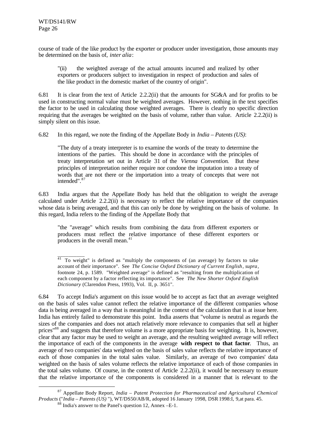l

course of trade of the like product by the exporter or producer under investigation, those amounts may be determined on the basis of, *inter alia*:

"(ii) the weighted average of the actual amounts incurred and realized by other exporters or producers subject to investigation in respect of production and sales of the like product in the domestic market of the country of origin".

6.81 It is clear from the text of Article 2.2.2(ii) that the amounts for SG&A and for profits to be used in constructing normal value must be weighted averages. However, nothing in the text specifies the factor to be used in calculating those weighted averages. There is clearly no specific direction requiring that the averages be weighted on the basis of volume, rather than value. Article 2.2.2(ii) is simply silent on this issue.

6.82 In this regard, we note the finding of the Appellate Body in *India – Patents (US)*:

"The duty of a treaty interpreter is to examine the words of the treaty to determine the intentions of the parties. This should be done in accordance with the principles of treaty interpretation set out in Article 31 of the *Vienna Convention*. But these principles of interpretation neither require nor condone the imputation into a treaty of words that are not there or the importation into a treaty of concepts that were not intended". 87

6.83 India argues that the Appellate Body has held that the obligation to weight the average calculated under Article 2.2.2(ii) is necessary to reflect the relative importance of the companies whose data is being averaged, and that this can only be done by weighting on the basis of volume. In this regard, India refers to the finding of the Appellate Body that

"the "average" which results from combining the data from different exporters or producers must reflect the relative importance of these different exporters or producers in the overall mean.<sup>41</sup>

6.84 To accept India's argument on this issue would be to accept as fact that an average weighted on the basis of sales value cannot reflect the relative importance of the different companies whose data is being averaged in a way that is meaningful in the context of the calculation that is at issue here. India has entirely failed to demonstrate this point. India asserts that "volume is neutral as regards the sizes of the companies and does not attach relatively more relevance to companies that sell at higher prices"<sup>88</sup> and suggests that therefore volume is a more appropriate basis for weighting. It is, however, clear that any factor may be used to weight an average, and the resulting weighted average will reflect the importance of each of the components in the average **with respect to that factor**. Thus, an average of two companies' data weighted on the basis of sales value reflects the relative importance of each of those companies in the total sales value. Similarly, an average of two companies' data weighted on the basis of sales volume reflects the relative importance of each of those companies in the total sales volume. Of course, in the context of Article 2.2.2(ii), it would be necessary to ensure that the relative importance of the components is considered in a manner that is relevant to the

\_\_\_\_\_\_\_\_\_\_  $41$  To weight" is defined as "multiply the components of (an average) by factors to take account of their importance". See *The Concise Oxford Dictionary of Current English*, *supra*, footnote 24, p. 1589. "Weighted average" is defined as "resulting from the multiplication of each component by a factor reflecting its importance". See *The New Shorter Oxford English Dictionary* (Clarendon Press, 1993), Vol. II, p. 3651".

<sup>87</sup> Appellate Body Report, *India – Patent Protection for Pharmaceutical and Agricultural Chemical Products* ("*India – Patents (US)* "), WT/DS50/AB/R, adopted 16 January 1998, DSR 1998:I, 9,at para. 45. <sup>88</sup> India's answer to the Panel's question 12, Annex –E-1.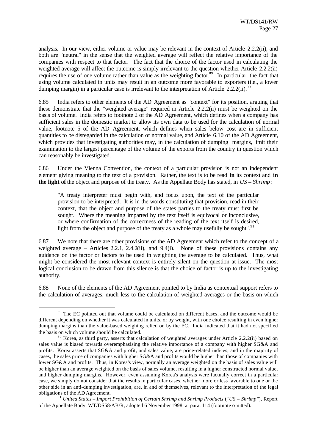analysis. In our view, either volume or value may be relevant in the context of Article 2.2.2(ii), and both are "neutral" in the sense that the weighted average will reflect the relative importance of the companies with respect to that factor. The fact that the choice of the factor used in calculating the weighted average will affect the outcome is simply irrelevant to the question whether Article 2.2.2(ii) requires the use of one volume rather than value as the weighting factor.<sup>89</sup> In particular, the fact that using volume calculated in units may result in an outcome more favorable to exporters (i.e., a lower dumping margin) in a particular case is irrelevant to the interpretation of Article 2.2.2(ii).<sup>90</sup>

6.85 India refers to other elements of the AD Agreement as "context" for its position, arguing that these demonstrate that the "weighted average" required in Article 2.2.2(ii) must be weighted on the basis of volume. India refers to footnote 2 of the AD Agreement, which defines when a company has sufficient sales in the domestic market to allow its own data to be used for the calculation of normal value, footnote 5 of the AD Agreement, which defines when sales below cost are in sufficient quantities to be disregarded in the calculation of normal value, and Article 6.10 of the AD Agreement, which provides that investigating authorities may, in the calculation of dumping margins, limit their examination to the largest percentage of the volume of the exports from the country in question which can reasonably be investigated.

6.86 Under the Vienna Convention, the context of a particular provision is not an independent element giving meaning to the text of a provision. Rather, the text is to be read **in** its context and **in the light of** the object and purpose of the treaty. As the Appellate Body has stated, in *US – Shrimp*:

"A treaty interpreter must begin with, and focus upon, the text of the particular provision to be interpreted. It is in the words constituting that provision, read in their context, that the object and purpose of the states parties to the treaty must first be sought. Where the meaning imparted by the text itself is equivocal or inconclusive, or where confirmation of the correctness of the reading of the text itself is desired, light from the object and purpose of the treaty as a whole may usefully be sought".  $91$ 

6.87 We note that there are other provisions of the AD Agreement which refer to the concept of a weighted average – Articles 2.2.1, 2.4.2(ii), and 9.4(i). None of these provisions contains any guidance on the factor or factors to be used in weighting the average to be calculated. Thus, what might be considered the most relevant context is entirely silent on the question at issue. The most logical conclusion to be drawn from this silence is that the choice of factor is up to the investigating authority.

6.88 None of the elements of the AD Agreement pointed to by India as contextual support refers to the calculation of averages, much less to the calculation of weighted averages or the basis on which

<sup>&</sup>lt;sup>89</sup> The EC pointed out that volume could be calculated on different bases, and the outcome would be different depending on whether it was calculated in units, or by weight, with one choice resulting in even higher dumping margins than the value-based weighing relied on by the EC. India indicated that it had not specified the basis on which volume should be calculated.

 $90$  Korea, as third party, asserts that calculation of weighted averages under Article 2.2.2(ii) based on sales value is biased towards overemphasising the relative importance of a company with higher SG&A and profits. Korea asserts that SG&A and profit, and sales value, are price-related indices, and in the majority of cases, the sales price of companies with higher SG&A and profits would be higher than those of companies with lower SG&A and profits. Thus, in Korea's view, normally an average weighted on the basis of sales value will be higher than an average weighted on the basis of sales volume, resulting in a higher constructed normal value, and higher dumping margins. However, even assuming Korea's analysis were factually correct in a particular case, we simply do not consider that the results in particular cases, whether more or less favorable to one or the other side in an anti-dumping investigation, are, in and of themselves, relevant to the interpretation of the legal obligations of the AD Agreement.

<sup>91</sup> *United States – Import Prohibition of Certain Shrimp and Shrimp Products* ("*US – Shrimp*"), Report of the Appellate Body, WT/DS58/AB/R, adopted 6 November 1998, at para. 114 (footnote omitted).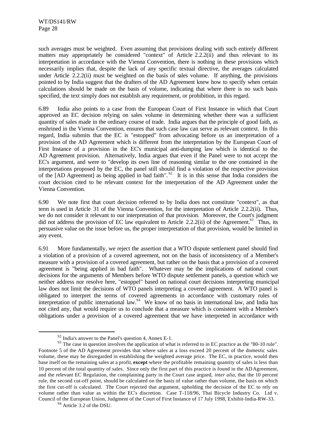such averages must be weighted. Even assuming that provisions dealing with such entirely different matters may appropriately be considered "context" of Article 2.2.2(ii) and thus relevant to its interpretation in accordance with the Vienna Convention, there is nothing in these provisions which necessarily implies that, despite the lack of any specific textual directive, the averages calculated under Article 2.2.2(ii) must be weighted on the basis of sales volume. If anything, the provisions pointed to by India suggest that the drafters of the AD Agreement knew how to specify when certain calculations should be made on the basis of volume, indicating that where there is no such basis specified, the text simply does not establish any requirement, or prohibition, in this regard.

6.89 India also points to a case from the European Court of First Instance in which that Court approved an EC decision relying on sales volume in determining whether there was a sufficient quantity of sales made in the ordinary course of trade. India argues that the principle of good faith, as enshrined in the Vienna Convention, ensures that such case law can serve as relevant context. In this regard, India submits that the EC is "estopped" from advocating before us an interpretation of a provision of the AD Agreement which is different from the interpretation by the European Court of First Instance of a provision in the EC's municipal anti-dumping law which is identical to the AD Agreement provision. Alternatively, India argues that even if the Panel were to not accept the EC's argument, and were to "develop its own line of reasoning similar to the one contained in the interpretations proposed by the EC, the panel still should find a violation of the respective provision of the [AD Agreement] as being applied in bad faith".<sup>92</sup> It is in this sense that India considers the court decision cited to be relevant context for the interpretation of the AD Agreement under the Vienna Convention.

6.90 We note first that court decision referred to by India does not constitute "context", as that term is used in Article 31 of the Vienna Convention, for the interpretation of Article 2.2.2(ii). Thus, we do not consider it relevant to our interpretation of that provision. Moreover, the Court's judgment did not address the provision of EC law equivalent to Article 2.2.2(ii) of the Agreement.<sup>93</sup> Thus, its persuasive value on the issue before us, the proper interpretation of that provision, would be limited in any event.

6.91 More fundamentally, we reject the assertion that a WTO dispute settlement panel should find a violation of a provision of a covered agreement, not on the basis of inconsistency of a Member's measure with a provision of a covered agreement, but rather on the basis that a provision of a covered agreement is "being applied in bad faith". Whatever may be the implications of national court decisions for the arguments of Members before WTO dispute settlement panels, a question which we neither address nor resolve here, "estoppel" based on national court decisions interpreting municipal law does not limit the decisions of WTO panels interpreting a covered agreement. A WTO panel is obligated to interpret the terms of covered agreements in accordance with customary rules of interpretation of public international law.<sup>94</sup> We know of no basis in international law, and India has not cited any, that would require us to conclude that a measure which is consistent with a Member's obligations under a provision of a covered agreement that we have interpreted in accordance with

 $92$  India's answer to the Panel's question 4, Annex E-1.

<sup>&</sup>lt;sup>93</sup> The case in question involves the application of what is referred to in EC practice as the "80-10 rule". Footnote 5 of the AD Agreement provides that where sales at a loss exceed 20 percent of the domestic sales volume, these may be disregarded in establishing the weighted average price. The EC, in practice, would then base itself on the remaining sales at a profit, **except** where the profitable remaining quantity of sales is less than 10 percent of the total quantity of sales. Since only the first part of this practice is found in the AD Agreement, and the relevant EC Regulation, the complaining party in the Court case argued, *inter alia*, that the 10 percent rule, the second cut-off point, should be calculated on the basis of value rather than volume, the basis on which the first cut-off is calculated. The Court rejected that argument, upholding the decision of the EC to rely on volume rather than value as within the EC's discretion. Case T-118/96, Thai Bicycle Industry Co. Ltd v. Council of the European Union, Judgment of the Court of First Instance of 17 July 1998, Exhibit-India-RW-33.

 $94$  Article 3.2 of the DSU.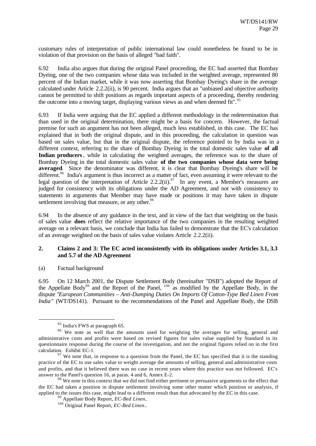customary rules of interpretation of public international law could nonetheless be found to be in violation of that provision on the basis of alleged "bad faith".

6.92 India also argues that during the original Panel proceeding, the EC had asserted that Bombay Dyeing, one of the two companies whose data was included in the weighted average, represented 80 percent of the Indian market, while it was now asserting that Bombay Dyeing's share in the average calculated under Article 2.2.2(ii), is 90 percent. India argues that an "unbiased and objective authority cannot be permitted to shift positions as regards important aspects of a proceeding, thereby rendering the outcome into a moving target, displaying various views as and when deemed fit".<sup>95</sup>

6.93 If India were arguing that the EC applied a different methodology in the redetermination that than used in the original determination, there might be a basis for concern. However, the factual premise for such an argument has not been alleged, much less established, in this case. The EC has explained that in both the original dispute, and in this proceeding, the calculation in question was based on sales value, but that in the original dispute, the reference pointed to by India was in a different context, referring to the share of Bombay Dyeing in the total domestic sales value **of all Indian producers**, while in calculating the weighted averages, the reference was to the share of Bombay Dyeing in the total domestic sales value **of the two companies whose data were being averaged**. Since the denominator was different, it is clear that Bombay Dyeing's share will be different.<sup>96</sup> India's argument is thus incorrect as a matter of fact, even assuming it were relevant to the legal question of the interpretation of Article 2.2.2(ii).<sup>97</sup> In any event, a Member's measures are judged for consistency with its obligations under the AD Agreement, and not with consistency to statements in arguments that Member may have made or positions it may have taken in dispute settlement involving that measure, or any other.<sup>98</sup>

6.94 In the absence of any guidance in the text, and in view of the fact that weighting on the basis of sales value **does** reflect the relative importance of the two companies in the resulting weighted average on a relevant basis, we conclude that India has failed to demonstrate that the EC's calculation of an average weighted on the basis of sales value violates Article 2.2.2(ii).

# **2. Claims 2 and 3: The EC acted inconsistently with its obligations under Articles 3.1, 3.3 and 5.7 of the AD Agreement**

# (a) Factual background

l

6.95 On 12 March 2001, the Dispute Settlement Body (hereinafter "DSB") adopted the Report of the Appellate Body<sup>99</sup> and the Report of the Panel,  $100$  as modified by the Appellate Body, in the dispute "*European Communities – Anti-Dumping Duties On Imports Of Cotton-Type Bed Linen From India*" (WT/DS141). Pursuant to the recommendations of the Panel and Appellate Body, the DSB

<sup>&</sup>lt;sup>95</sup> India's FWS at paragraph 65.

<sup>&</sup>lt;sup>96</sup> We note as well that the amounts used for weighting the averages for selling, general and administrative costs and profits were based on revised figures for sales value supplied by Standard in its questionnaire response during the course of the investigation, and not the original figures relied on in the first calculation. Exhibit EC-1.

 $97$  We note that, in response to a question from the Panel, the EC has specified that it is the standing practice of the EC to use sales value to weight average the amounts of selling, general and administrative costs and profits, and that it believed there was no case in recent years where this practice was not followed. EC's answer to the Panel's question 16, at paras. 4 and 6, Annex E-2.

 $98$  We note in this context that we did not find either pertinent or persuasive arguments to the effect that the EC had taken a position in dispute settlement involving some other matter which position or analysis, if applied to the issues this case, might lead to a different result than that advocated by the EC in this case.

<sup>99</sup> Appellate Body Report, *EC-Bed Linen*..

<sup>100</sup> Original Panel Report, *EC-Bed Linen*..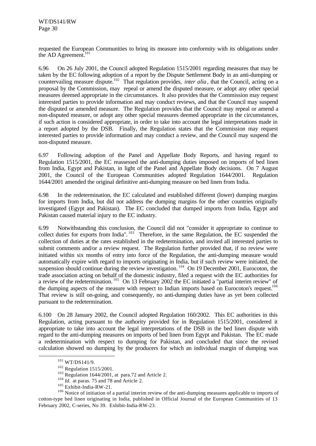requested the European Communities to bring its measure into conformity with its obligations under the AD Agreement.<sup>101</sup>

6.96 On 26 July 2001, the Council adopted Regulation 1515/2001 regarding measures that may be taken by the EC following adoption of a report by the Dispute Settlement Body in an anti-dumping or countervailing measure dispute.<sup>102</sup> That regulation provides, *inter alia*, that the Council, acting on a proposal by the Commission, may repeal or amend the disputed measure, or adopt any other special measures deemed appropriate in the circumstances. It also provides that the Commission may request interested parties to provide information and may conduct reviews, and that the Council may suspend the disputed or amended measure. The Regulation provides that the Council may repeal or amend a non-disputed measure, or adopt any other special measures deemed appropriate in the circumstances, if such action is considered appropriate, in order to take into account the legal interpretations made in a report adopted by the DSB. Finally, the Regulation states that the Commission may request interested parties to provide information and may conduct a review, and the Council may suspend the non-disputed measure.

6.97 Following adoption of the Panel and Appellate Body Reports, and having regard to Regulation 1515/2001, the EC reassessed the anti-dumping duties imposed on imports of bed linen from India, Egypt and Pakistan, in light of the Panel and Appellate Body decisions. On 7 August 2001, the Council of the European Communities adopted Regulation 1644/2001. Regulation 1644/2001 amended the original definitive anti-dumping measure on bed linen from India.

6.98 In the redetermination, the EC calculated and established different (lower) dumping margins for imports from India, but did not address the dumping margins for the other countries originally investigated (Egypt and Pakistan). The EC concluded that dumped imports from India, Egypt and Pakistan caused material injury to the EC industry.

6.99 Notwithstanding this conclusion, the Council did not "consider it appropriate to continue to collect duties for exports from India".<sup>103</sup> Therefore, in the same Regulation, the EC suspended the collection of duties at the rates established in the redetermination, and invited all interested parties to submit comments and/or a review request. The Regulation further provided that, if no review were initiated within six months of entry into force of the Regulation, the anti-dumping measure would automatically expire with regard to imports originating in India, but if such review were initiated, the suspension should continue during the review investigation.<sup>104</sup> On 19 December 2001, Eurocoton, the trade association acting on behalf of the domestic industry, filed a request with the EC authorities for a review of the redetermination. <sup>105</sup> On 13 February 2002 the EC initiated a "partial interim review" of the dumping aspects of the measure with respect to Indian imports based on Eurocoton's request.<sup>106</sup> That review is still on-going, and consequently, no anti-dumping duties have as yet been collected pursuant to the redetermination.

6.100 On 28 January 2002, the Council adopted Regulation 160/2002. This EC authorities in this Regulation, acting pursuant to the authority provided for in Regulation 1515/2001, considered it appropriate to take into account the legal interpretations of the DSB in the bed linen dispute with regard to the anti-dumping measures on imports of bed linen from Egypt and Pakistan. The EC made a redetermination with respect to dumping for Pakistan, and concluded that since the revised calculation showed no dumping by the producers for which an individual margin of dumping was

<sup>101</sup> WT/DS141/9.

<sup>102</sup> Regulation 1515/2001.

 $103$  Regulation 1644/2001, at para.72 and Article 2.

<sup>&</sup>lt;sup>104</sup> *Id.* at paras. 75 and 78 and Article 2.

<sup>105</sup> Exhibit-India-RW-21.

<sup>&</sup>lt;sup>106</sup> Notice of initiation of a partial interim review of the anti-dumping measures applicable to imports of cotton-type bed linen originating in India, published in Official Journal of the European Communities of 13 February 2002, C-series, No 39. Exhibit-India-RW-23.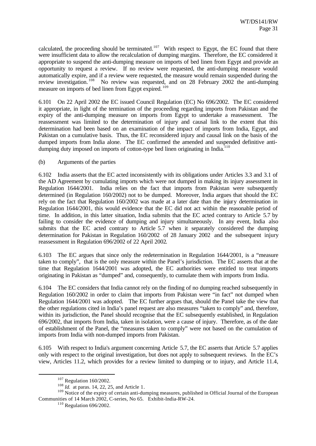calculated, the proceeding should be terminated.<sup>107</sup> With respect to Egypt, the EC found that there were insufficient data to allow the recalculation of dumping margins. Therefore, the EC considered it appropriate to suspend the anti-dumping measure on imports of bed linen from Egypt and provide an opportunity to request a review. If no review were requested, the anti-dumping measure would automatically expire, and if a review were requested, the measure would remain suspended during the review investigation.<sup>108</sup> No review was requested, and on 28 February 2002 the anti-dumping measure on imports of bed linen from Egypt expired. <sup>109</sup>

6.101 On 22 April 2002 the EC issued Council Regulation (EC) No 696/2002. The EC considered it appropriate, in light of the termination of the proceeding regarding imports from Pakistan and the expiry of the anti-dumping measure on imports from Egypt to undertake a reassessment. The reassessment was limited to the determination of injury and causal link to the extent that this determination had been based on an examination of the impact of imports from India, Egypt, and Pakistan on a cumulative basis. Thus, the EC reconsidered injury and causal link on the basis of the dumped imports from India alone. The EC confirmed the amended and suspended definitive antidumping duty imposed on imports of cotton-type bed linen originating in India. $110$ 

# (b) Arguments of the parties

6.102 India asserts that the EC acted inconsistently with its obligations under Articles 3.3 and 3.1 of the AD Agreement by cumulating imports which were not dumped in making its injury assessment in Regulation 1644/2001. India relies on the fact that imports from Pakistan were subsequently determined (in Regulation 160/2002) not to be dumped. Moreover, India argues that should the EC rely on the fact that Regulation 160/2002 was made at a later date than the injury determination in Regulation 1644/2001, this would evidence that the EC did not act within the reasonable period of time. In addition, in this latter situation, India submits that the EC acted contrary to Article 5.7 by failing to consider the evidence of dumping and injury simultaneously. In any event, India also submits that the EC acted contrary to Article 5.7 when it separately considered the dumping determination for Pakistan in Regulation 160/2002 of 28 January 2002 and the subsequent injury reassessment in Regulation 696/2002 of 22 April 2002.

6.103 The EC argues that since only the redetermination in Regulation 1644/2001, is a "measure taken to comply", that is the only measure within the Panel's jurisdiction. The EC asserts that at the time that Regulation 1644/2001 was adopted, the EC authorities were entitled to treat imports originating in Pakistan as "dumped" and, consequently, to cumulate them with imports from India.

6.104 The EC considers that India cannot rely on the finding of no dumping reached subsequently in Regulation 160/2002 in order to claim that imports from Pakistan were "in fact" not dumped when Regulation 1644/2001 was adopted. The EC further argues that, should the Panel take the view that the other regulations cited in India's panel request are also measures "taken to comply" and, therefore, within its jurisdiction, the Panel should recognise that the EC subsequently established, in Regulation 696/2002, that imports from India, taken in isolation, were a cause of injury. Therefore, as of the date of establishment of the Panel, the "measures taken to comply" were not based on the cumulation of imports from India with non-dumped imports from Pakistan.

6.105 With respect to India's argument concerning Article 5.7, the EC asserts that Article 5.7 applies only with respect to the original investigation, but does not apply to subsequent reviews. In the EC's view, Articles 11.2, which provides for a review limited to dumping or to injury, and Article 11.4,

<sup>107</sup> Regulation 160/2002.

<sup>108</sup> *Id.* at paras. 14, 22, 25, and Article 1.

<sup>&</sup>lt;sup>109</sup> Notice of the expiry of certain anti-dumping measures, published in Official Journal of the European  $\frac{109}{109}$ Communities of 14 March 2002, C-series, No 65. Exhibit-India-RW-24.

<sup>110</sup> Regulation 696/2002.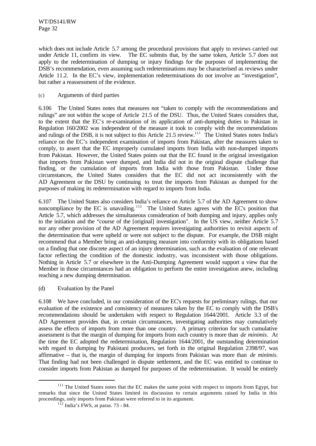which does not include Article 5.7 among the procedural provisions that apply to reviews carried out under Article 11, confirm its view. The EC submits that, by the same token, Article 5.7 does not apply to the redetermination of dumping or injury findings for the purposes of implementing the DSB's recommendation, even assuming such redeterminations may be characterised as reviews under Article 11.2. In the EC's view, implementation redeterminations do not involve an "investigation", but rather a reassessment of the evidence.

# (c) Arguments of third parties

6.106 The United States notes that measures not "taken to comply with the recommendations and rulings" are not within the scope of Article 21.5 of the DSU. Thus, the United States considers that, to the extent that the EC's re-examination of its application of anti-dumping duties to Pakistan in Regulation 160/2002 was independent of the measure it took to comply with the recommendations and rulings of the DSB, it is not subject to this Article 21.5 review.<sup>111</sup> The United States notes India's reliance on the EC's independent examination of imports from Pakistan, after the measures taken to comply, to assert that the EC improperly cumulated imports from India with non-dumped imports from Pakistan. However, the United States points out that the EC found in the original investigation that imports from Pakistan were dumped, and India did not in the original dispute challenge that finding, or the cumulation of imports from India with those from Pakistan. Under those circumstances, the United States considers that the EC did not act inconsistently with the AD Agreement or the DSU by continuing to treat the imports from Pakistan as dumped for the purposes of making its redetermination with regard to imports from India.

6.107 The United States also considers India's reliance on Article 5.7 of the AD Agreement to show noncompliance by the EC is unavailing.<sup>112</sup> The United States agrees with the EC's position that Article 5.7, which addresses the simultaneous consideration of both dumping and injury, applies only to the initiation and the "course of the [original] investigation". In the US view, neither Article 5.7 nor any other provision of the AD Agreement requires investigating authorities to revisit aspects of the determination that were upheld or were not subject to the dispute. For example, the DSB might recommend that a Member bring an anti-dumping measure into conformity with its obligations based on a finding that one discrete aspect of an injury determination, such as the evaluation of one relevant factor reflecting the condition of the domestic industry, was inconsistent with those obligations. Nothing in Article 5.7 or elsewhere in the Anti-Dumping Agreement would support a view that the Member in those circumstances had an obligation to perform the entire investigation anew, including reaching a new dumping determination.

(d) Evaluation by the Panel

l

6.108 We have concluded, in our consideration of the EC's requests for preliminary rulings, that our evaluation of the existence and consistency of measures taken by the EC to comply with the DSB's recommendations should be undertaken with respect to Regulation 1644/2001. Article 3.3 of the AD Agreement provides that, in certain circumstances, investigating authorities may cumulatively assess the effects of imports from more than one country. A primary criterion for such cumulative assessment is that the margin of dumping for imports from each country is more than *de minimis*. At the time the EC adopted the redetermination, Regulation 1644/2001, the outstanding determination with regard to dumping by Pakistani producers, set forth in the original Regulation 2398/97, was affirmative – that is, the margin of dumping for imports from Pakistan was more than *de minimis*. That finding had not been challenged in dispute settlement, and the EC was entitled to continue to consider imports from Pakistan as dumped for purposes of the redetermination. It would be entirely

<sup>&</sup>lt;sup>111</sup> The United States notes that the EC makes the same point with respect to imports from Egypt, but remarks that since the United States limited its discussion to certain arguments raised by India in this proceedings, only imports from Pakistan were referred to in its argument.

 $1\overline{1}$ <sup>1 $\overline{1}$ </sup> India's FWS, at paras. 73 - 84.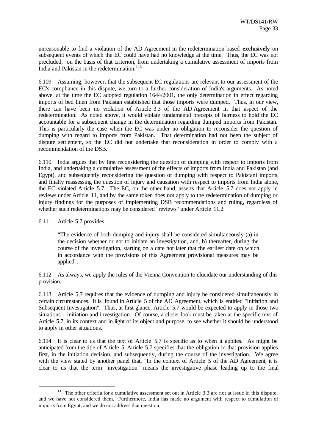unreasonable to find a violation of the AD Agreement in the redetermination based **exclusively** on subsequent events of which the EC could have had no knowledge at the time. Thus, the EC was not precluded, on the basis of that criterion, from undertaking a cumulative assessment of imports from India and Pakistan in the redetermination.<sup>113</sup>

6.109 Assuming, however, that the subsequent EC regulations are relevant to our assessment of the EC's compliance in this dispute, we turn to a further consideration of India's arguments. As noted above, at the time the EC adopted regulation 1644/2001, the only determination in effect regarding imports of bed linen from Pakistan established that those imports were dumped. Thus, in our view, there can have been no violation of Article 3.3 of the AD Agreement in that aspect of the redetermination. As noted above, it would violate fundamental precepts of fairness to hold the EC accountable for a subsequent change in the determination regarding dumped imports from Pakistan. This is particularly the case when the EC was under no obligation to reconsider the question of dumping with regard to imports from Pakistan. That determination had not been the subject of dispute settlement, so the EC did not undertake that reconsideration in order to comply with a recommendation of the DSB.

6.110 India argues that by first reconsidering the question of dumping with respect to imports from India, and undertaking a cumulative assessment of the effects of imports from India and Pakistan (and Egypt), and subsequently reconsidering the question of dumping with respect to Pakistani imports, and finally reassessing the question of injury and causation with respect to imports from India alone, the EC violated Article 5.7. The EC, on the other hand, asserts that Article 5.7 does not apply in reviews under Article 11, and by the same token does not apply to the redetermination of dumping or injury findings for the purposes of implementing DSB recommendations and ruling, regardless of whether such redeterminations may be considered "reviews" under Article 11.2.

### 6.111 Article 5.7 provides:

l

"The evidence of both dumping and injury shall be considered simultaneously (a) in the decision whether or not to initiate an investigation, and, b) thereafter, during the course of the investigation, starting on a date not later that the earliest date on which in accordance with the provisions of this Agreement provisional measures may be applied".

6.112 As always, we apply the rules of the Vienna Convention to elucidate our understanding of this provision.

6.113 Article 5.7 requires that the evidence of dumping and injury be considered simultaneously in certain circumstances. It is found in Article 5 of the AD Agreement, which is entitled "Initiation and Subsequent Investigation". Thus, at first glance, Article 5.7 would be expected to apply in those two situations – initiation and investigation. Of course, a closer look must be taken at the specific text of Article 5.7, in its context and in light of its object and purpose, to see whether it should be understood to apply in other situations.

6.114 It is clear to us that the text of Article 5.7 is specific as to when it applies. As might be anticipated from the title of Article 5, Article 5.7 specifies that the obligation in that provision applies first, in the initiation decision, and subsequently, during the course of the investigation. We agree with the view stated by another panel that, "In the context of Article 5 of the AD Agreement, it is clear to us that the term "investigation" means the investigative phase leading up to the final

<sup>&</sup>lt;sup>113</sup> The other criteria for a cumulative assessment set out in Article 3.3 are not at issue in this dispute, and we have not considered them. Furthermore, India has made no argument with respect to cumulation of imports from Egypt, and we do not address that question.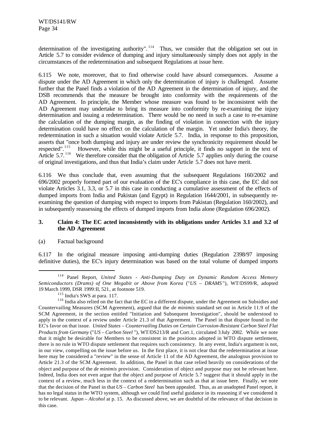determination of the investigating authority".<sup>114</sup> Thus, we consider that the obligation set out in Article 5.7 to consider evidence of dumping and injury simultaneously simply does not apply in the circumstances of the redetermination and subsequent Regulations at issue here.

6.115 We note, moreover, that to find otherwise could have absurd consequences. Assume a dispute under the AD Agreement in which only the determination of injury is challenged. Assume further that the Panel finds a violation of the AD Agreement in the determination of injury, and the DSB recommends that the measure be brought into conformity with the requirements of the AD Agreement. In principle, the Member whose measure was found to be inconsistent with the AD Agreement may undertake to bring its measure into conformity by re-examining the injury determination and issuing a redetermination. There would be no need in such a case to re-examine the calculation of the dumping margin, as the finding of violation in connection with the injury determination could have no effect on the calculation of the margin. Yet under India's theory, the redetermination in such a situation would violate Article 5.7. India, in response to this proposition, asserts that "once both dumping and injury are under review the synchronicity requirement should be respected".<sup>115</sup> However, while this might be a useful principle, it finds no support in the text of However, while this might be a useful principle, it finds no support in the text of Article 5.7.<sup>116</sup> We therefore consider that the obligation of Article 5.7 applies only during the course of original investigations, and thus that India's claim under Article 5.7 does not have merit.

6.116 We thus conclude that, even assuming that the subsequent Regulations 160/2002 and 696/2002 properly formed part of our evaluation of the EC's compliance in this case, the EC did not violate Articles 3.1, 3.3, or 5.7 in this case in conducting a cumulative assessment of the effects of dumped imports from India and Pakistan (and Egypt) in Regulation 1644/2001, in subsequently reexamining the question of dumping with respect to imports from Pakistan (Regulation 160/2002), and in subsequently reassessing the effects of dumped imports from India alone (Regulation 696/2002).

# **3. Claim 4: The EC acted inconsistently with its obligations under Articles 3.1 and 3.2 of the AD Agreement**

# (a) Factual background

l

6.117 In the original measure imposing anti-dumping duties (Regulation 2398/97 imposing definitive duties), the EC's injury determination was based on the total volume of dumped imports

<sup>114</sup> Panel Report, *United States - Anti-Dumping Duty on Dynamic Random Access Memory Semiconductors (Drams) of One Megabit or Above from Korea* ("*US – DRAMS* "), WT/DS99/R, adopted 19 March 1999, DSR 1999:II, 521, at footnote 519.

<sup>&</sup>lt;sup>115</sup> India's SWS at para. 117.

<sup>&</sup>lt;sup>116</sup> India also relied on the fact that the EC in a different dispute, under the Agreement on Subsidies and Countervailing Measures (SCM Agreement), argued that the *de minimis* standard set out in Article 11.9 of the SCM Agreement, in the section entitled "Initiation and Subsequent Investigation", should be understood to apply in the context of a review under Article 21.3 of that Agreement. The Panel in that dispute found in the EC's favor on that issue. *United States – Countervailing Duties on Certain Corrosion-Resistant Carbon Steel Flat Products from Germany* ("*US – Carbon Steel* "), WT/DS213/R and Corr.1, circulated 3 July 2002. While we note that it might be desirable for Members to be consistent in the positions adopted in WTO dispute settlement, there is no rule in WTO dispute settlement that requires such consistency. In any event, India's argument is not, in our view, compelling on the issue before us. In the first place, it is not clear that the redetermination at issue here may be considered a "review" in the sense of Article 11 of the AD Agreement, the analogous provision to Article 21.3 of the SCM Agreement. In addition, the Panel in that case relied heavily on considerations of the object and purpose of the *de minimis* provision. Consideration of object and purpose may not be relevant here. Indeed, India does not even argue that the object and purpose of Article 5.7 suggest that it should apply in the context of a review, much less in the context of a redetermination such as that at issue here. Finally, we note that the decision of the Panel in that *US – Carbon Steel* has been appealed. Thus, as an unadopted Panel report, it has no legal status in the WTO system, although we could find useful guidance in its reasoning if we considered it to be relevant. *Japan – Alcohol* at p. 15. As discussed above, we are doubtful of the relevance of that decision in this case.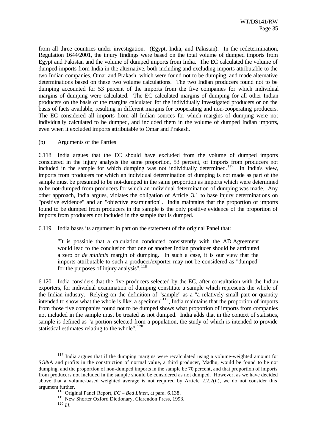from all three countries under investigation. (Egypt, India, and Pakistan). In the redetermination, Regulation 1644/2001, the injury findings were based on the total volume of dumped imports from Egypt and Pakistan and the volume of dumped imports from India. The EC calculated the volume of dumped imports from India in the alternative, both including and excluding imports attributable to the two Indian companies, Omar and Prakash, which were found not to be dumping, and made alternative determinations based on these two volume calculations. The two Indian producers found not to be dumping accounted for 53 percent of the imports from the five companies for which individual margins of dumping were calculated. The EC calculated margins of dumping for all other Indian producers on the basis of the margins calculated for the individually investigated producers or on the basis of facts available, resulting in different margins for cooperating and non-cooperating producers. The EC considered all imports from all Indian sources for which margins of dumping were not individually calculated to be dumped, and included them in the volume of dumped Indian imports, even when it excluded imports attributable to Omar and Prakash.

(b) Arguments of the Parties

6.118 India argues that the EC should have excluded from the volume of dumped imports considered in the injury analysis the same proportion, 53 percent, of imports from producers not included in the sample for which dumping was not individually determined.<sup>117</sup> In India's view, imports from producers for which an individual determination of dumping is not made as part of the sample must be presumed to be not-dumped in the same proportion as imports which were determined to be not-dumped from producers for which an individual determination of dumping was made. Any other approach, India argues, violates the obligation of Article 3.1 to base injury determinations on "positive evidence" and an "objective examination". India maintains that the proportion of imports found to be dumped from producers in the sample is the only positive evidence of the proportion of imports from producers not included in the sample that is dumped.

6.119 India bases its argument in part on the statement of the original Panel that:

"It is possible that a calculation conducted consistently with the AD Agreement would lead to the conclusion that one or another Indian producer should be attributed a zero or *de minimis* margin of dumping. In such a case, it is our view that the imports attributable to such a producer/exporter may not be considered as "dumped" for the purposes of injury analysis". <sup>118</sup>

6.120 India considers that the five producers selected by the EC, after consultation with the Indian exporters, for individual examination of dumping constitute a sample which represents the whole of the Indian industry. Relying on the definition of "sample" as a "a relatively small part or quantity intended to show what the whole is like; a specimen"<sup>119</sup>, India maintains that the proportion of imports from those five companies found not to be dumped shows what proportion of imports from companies not included in the sample must be treated as not dumped. India adds that in the context of statistics, sample is defined as "a portion selected from a population, the study of which is intended to provide statistical estimates relating to the whole".<sup>120</sup>

<sup>&</sup>lt;sup>117</sup> India argues that if the dumping margins were recalculated using a volume-weighted amount for SG&A and profits in the construction of normal value, a third producer, Madhu, would be found to be not dumping, and the proportion of non-dumped imports in the sample be 70 percent, and that proportion of imports from producers not included in the sample should be considered as not dumped. However, as we have decided above that a volume-based weighted average is not required by Article 2.2.2(ii), we do not consider this argument further.

<sup>118</sup> Original Panel Report, *EC – Bed Linen*, at para. 6.138.

<sup>&</sup>lt;sup>119</sup> New Shorter Oxford Dictionary, Clarendon Press, 1993.

<sup>120</sup> *Id*.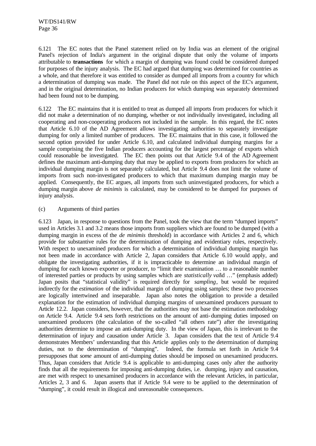6.121 The EC notes that the Panel statement relied on by India was an element of the original Panel's rejection of India's argument in the original dispute that only the volume of imports attributable to **transactions** for which a margin of dumping was found could be considered dumped for purposes of the injury analysis. The EC had argued that dumping was determined for countries as a whole, and that therefore it was entitled to consider as dumped all imports from a country for which a determination of dumping was made. The Panel did not rule on this aspect of the EC's argument, and in the original determination, no Indian producers for which dumping was separately determined had been found not to be dumping.

6.122 The EC maintains that it is entitled to treat as dumped all imports from producers for which it did not make a determination of no dumping, whether or not individually investigated, including all cooperating and non-cooperating producers not included in the sample. In this regard, the EC notes that Article 6.10 of the AD Agreement allows investigating authorities to separately investigate dumping for only a limited number of producers. The EC maintains that in this case, it followed the second option provided for under Article 6.10, and calculated individual dumping margins for a sample comprising the five Indian producers accounting for the largest percentage of exports which could reasonable be investigated. The EC then points out that Article 9.4 of the AD Agreement defines the maximum anti-dumping duty that may be applied to exports from producers for which an individual dumping margin is not separately calculated, but Article 9.4 does not limit the volume of imports from such non-investigated producers to which that maximum dumping margin may be applied. Consequently, the EC argues, all imports from such uninvestigated producers, for which a dumping margin above *de minimis* is calculated, may be considered to be dumped for purposes of injury analysis.

# (c) Arguments of third parties

6.123 Japan, in response to questions from the Panel, took the view that the term "dumped imports" used in Articles 3.1 and 3.2 means those imports from suppliers which are found to be dumped (with a dumping margin in excess of the *de minimis* threshold) in accordance with Articles 2 and 6, which provide for substantive rules for the determination of dumping and evidentiary rules, respectively. With respect to unexamined producers for which a determination of individual dumping margin has not been made in accordance with Article 2, Japan considers that Article 6.10 would apply, and obligate the investigating authorities, if it is impracticable to determine an individual margin of dumping for each known exporter or producer, to "limit their examination … to a reasonable number of interested parties or products by using samples which are *statistically val*id …" (emphasis added) Japan posits that "statistical validity" is required directly for *sampling*, but would be required indirectly for the *estimation* of the individual margin of dumping using samples; these two processes are logically intertwined and inseparable. Japan also notes the obligation to provide a detailed explanation for the estimation of individual dumping margins of unexamined producers pursuant to Article 12.2. Japan considers, however, that the authorities may not base the estimation methodology on Article 9.4. Article 9.4 sets forth restrictions on the amount of anti-dumping duties imposed on unexamined producers (the calculation of the so-called "all others rate") after the investigating authorities determine to impose an anti-dumping duty. In the view of Japan, this is irrelevant to the determination of injury and causation under Article 3. Japan considers that the text of Article 9.4 demonstrates Members' understanding that this Article applies only to the determination of dumping duties, not to the determination of "dumping". Indeed, the formula set forth in Article 9.4 presupposes that *some* amount of anti-dumping duties should be imposed on unexamined producers. Thus, Japan considers that Article 9.4 is applicable to anti-dumping cases only after the authority finds that all the requirements for imposing anti-dumping duties, i.e. dumping, injury and causation, are met with respect to unexamined producers in accordance with the relevant Articles, in particular, Articles 2, 3 and 6. Japan asserts that if Article 9.4 were to be applied to the determination of "dumping", it could result in illogical and unreasonable consequences.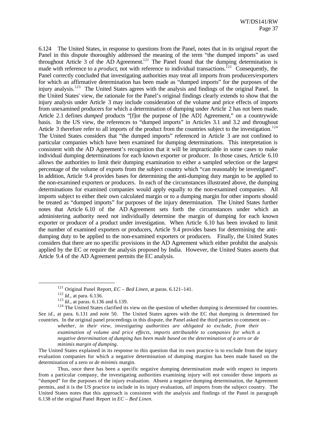6.124 The United States, in response to questions from the Panel, notes that in its original report the Panel in this dispute thoroughly addressed the meaning of the term "the dumped imports" as used throughout Article 3 of the AD Agreement.<sup>121</sup> The Panel found that the dumping determination is made with reference to a *product*, not with reference to individual transactions.<sup>122</sup> Consequently, the Panel correctly concluded that investigating authorities may treat all imports from producers/exporters for which an affirmative determination has been made as "dumped imports" for the purposes of the injury analysis.<sup>123</sup> The United States agrees with the analysis and findings of the original Panel. In the United States' view, the rationale for the Panel's original findings clearly extends to show that the injury analysis under Article 3 may include consideration of the volume and price effects of imports from unexamined producers for which a determination of dumping under Article 2 has not been made. Article 2.1 defines *dumped* products "[f]or the purpose of [the AD] Agreement," on a countrywide basis. In the US view, the references to "dumped imports" in Articles 3.1 and 3.2 and throughout Article 3 therefore refer to all imports of the product from the countries subject to the investigation.<sup>124</sup> The United States considers that "the dumped imports" referenced in Article 3 are not confined to particular companies which have been examined for dumping determinations. This interpretation is consistent with the AD Agreement's recognition that it will be impracticable in some cases to make individual dumping determinations for each known exporter or producer. In those cases, Article 6.10 allows the authorities to limit their dumping examination to either a sampled selection or the largest percentage of the volume of exports from the subject country which "can reasonably be investigated". In addition, Article 9.4 provides bases for determining the anti-dumping duty margin to be applied to the non-examined exporters or producers. In each of the circumstances illustrated above, the dumping determinations for examined companies would apply equally to the non-examined companies. All imports subject to either their own calculated margin or to a dumping margin for other imports should be treated as "dumped imports" for purposes of the injury determination. The United States further notes that Article 6.10 of the AD Agreement sets forth the circumstances under which an administering authority need not individually determine the margin of dumping for each known exporter or producer of a product under investigation. When Article 6.10 has been invoked to limit the number of examined exporters or producers, Article 9.4 provides bases for determining the antidumping duty to be applied to the non-examined exporters or producers. Finally, the United States considers that there are no specific provisions in the AD Agreement which either prohibit the analysis applied by the EC or require the analysis proposed by India. However, the United States asserts that Article 9.4 of the AD Agreement permits the EC analysis.

l

<sup>124</sup> The United States clarified its view on the question of whether dumping is determined for countries. *See id*., at para. 6.131 and note 50. The United States agrees with the EC that dumping is determined for countries. In the original panel proceedings in this dispute, the Panel asked the third parties to comment on –

*whether, in their view, investigating authorities are obligated to exclude, from their examination of volume and price effects, imports attributable to companies for which a negative determination of dumping has been made based on the determination of a zero or de minimis margin of dumping.*

The United States explained in its response to this question that its own practice is to exclude from the injury evaluation companies for which a negative determination of dumping margins has been made based on the determination of a zero or *de minimis* margin.

Thus, once there has been a specific negative dumping determination made with respect to imports from a particular company, the investigating authorities examining injury will not consider those imports as "dumped" for the purposes of the injury evaluation. Absent a negative dumping determination, the Agreement permits, and it is the US practice to include in its injury evaluation, *all* imports from the subject country. The United States notes that this approach is consistent with the analysis and findings of the Panel in paragraph 6.138 of the original Panel Report in *EC – Bed Linen.*

<sup>121</sup> Original Panel Report, *EC – Bed Linen*, at paras. 6.121–141.

<sup>122</sup> *Id*., at para. 6.136.

<sup>123</sup> *Id*., at paras. 6.136 and 6.139.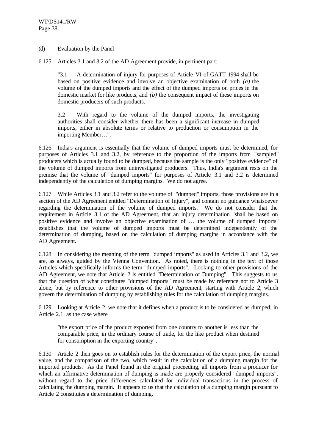# (d) Evaluation by the Panel

6.125 Articles 3.1 and 3.2 of the AD Agreement provide, in pertinent part:

"3.1 A determination of injury for purposes of Article VI of GATT 1994 shall be based on positive evidence and involve an objective examination of both *(a)* the volume of the dumped imports and the effect of the dumped imports on prices in the domestic market for like products, and *(b)* the consequent impact of these imports on domestic producers of such products.

3.2 With regard to the volume of the dumped imports, the investigating authorities shall consider whether there has been a significant increase in dumped imports, either in absolute terms or relative to production or consumption in the importing Member…".

6.126 India's argument is essentially that the volume of dumped imports must be determined, for purposes of Articles 3.1 and 3.2, by reference to the proportion of the imports from "sampled" producers which is actually found to be dumped, because the sample is the only "positive evidence" of the volume of dumped imports from uninvestigated producers. Thus, India's argument rests on the premise that the volume of "dumped imports" for purposes of Article 3.1 and 3.2 is determined independently of the calculation of dumping margins. We do not agree.

6.127 While Articles 3.1 and 3.2 refer to the volume of "dumped" imports, those provisions are in a section of the AD Agreement entitled "Determination of Injury", and contain no guidance whatsoever regarding the determination of the volume of dumped imports. We do not consider that the requirement in Article 3.1 of the AD Agreement, that an injury determination "shall be based on positive evidence and involve an objective examination of … the volume of dumped imports" establishes that the volume of dumped imports must be determined independently of the determination of dumping, based on the calculation of dumping margins in accordance with the AD Agreement.

6.128 In considering the meaning of the term "dumped imports" as used in Articles 3.1 and 3.2, we are, as always, guided by the Vienna Convention. As noted, there is nothing in the text of those Articles which specifically informs the term "dumped imports". Looking to other provisions of the AD Agreement, we note that Article 2 is entitled "Determination of Dumping". This suggests to us that the question of what constitutes "dumped imports" must be made by reference not to Article 3 alone, but by reference to other provisions of the AD Agreement, starting with Article 2, which govern the determination of dumping by establishing rules for the calculation of dumping margins.

6.129 Looking at Article 2, we note that it defines when a product is to be considered as dumped, in Article 2.1, as the case where

"the export price of the product exported from one country to another is less than the comparable price, in the ordinary course of trade, for the like product when destined for consumption in the exporting country".

6.130 Article 2 then goes on to establish rules for the determination of the export price, the normal value, and the comparison of the two, which result in the calculation of a dumping margin for the imported products. As the Panel found in the original proceeding, all imports from a producer for which an affirmative determination of dumping is made are properly considered "dumped imports", without regard to the price differences calculated for individual transactions in the process of calculating the dumping margin. It appears to us that the calculation of a dumping margin pursuant to Article 2 constitutes a determination of dumping.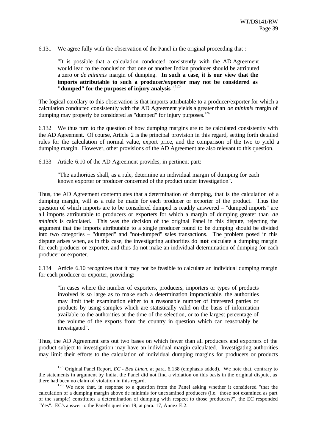6.131 We agree fully with the observation of the Panel in the original proceeding that :

"It is possible that a calculation conducted consistently with the AD Agreement would lead to the conclusion that one or another Indian producer should be attributed a zero or *de minimis* margin of dumping. **In such a case, it is our view that the imports attributable to such a producer/exporter may not be considered as "dumped" for the purposes of injury analysis** ".<sup>125</sup>

The logical corollary to this observation is that imports attributable to a producer/exporter for which a calculation conducted consistently with the AD Agreement yields a greater than *de minimis* margin of dumping may properly be considered as "dumped" for injury purposes. $126$ 

6.132 We thus turn to the question of how dumping margins are to be calculated consistently with the AD Agreement. Of course, Article 2 is the principal provision in this regard, setting forth detailed rules for the calculation of normal value, export price, and the comparison of the two to yield a dumping margin. However, other provisions of the AD Agreement are also relevant to this question.

6.133 Article 6.10 of the AD Agreement provides, in pertinent part:

l

"The authorities shall, as a rule, determine an individual margin of dumping for each known exporter or producer concerned of the product under investigation".

Thus, the AD Agreement contemplates that a determination of dumping, that is the calculation of a dumping margin, will as a rule be made for each producer or exporter of the product. Thus the question of which imports are to be considered dumped is readily answered – "dumped imports" are all imports attributable to producers or exporters for which a margin of dumping greater than *de minimis* is calculated. This was the decision of the original Panel in this dispute, rejecting the argument that the imports attributable to a single producer found to be dumping should be divided into two categories – "dumped" and "not-dumped" sales transactions. The problem posed in this dispute arises when, as in this case, the investigating authorities do **not** calculate a dumping margin for each producer or exporter, and thus do not make an individual determination of dumping for each producer or exporter.

6.134 Article 6.10 recognizes that it may not be feasible to calculate an individual dumping margin for each producer or exporter, providing:

"In cases where the number of exporters, producers, importers or types of products involved is so large as to make such a determination impracticable, the authorities may limit their examination either to a reasonable number of interested parties or products by using samples which are statistically valid on the basis of information available to the authorities at the time of the selection, or to the largest percentage of the volume of the exports from the country in question which can reasonably be investigated".

Thus, the AD Agreement sets out two bases on which fewer than all producers and exporters of the product subject to investigation may have an individual margin calculated. Investigating authorities may limit their efforts to the calculation of individual dumping margins for producers or products

<sup>125</sup> Original Panel Report, *EC - Bed Linen*, at para. 6.138 (emphasis added). We note that, contrary to the statements in argument by India, the Panel did not find a violation on this basis in the original dispute, as there had been no claim of violation in this regard.

 $126$  We note that, in response to a question from the Panel asking whether it considered "that the calculation of a dumping margin above de minimis for unexamined producers (i.e. those not examined as part of the sample) constitutes a determination of dumping with respect to those producers?", the EC responded "Yes". EC's answer to the Panel's question 19, at para. 17, Annex E.2.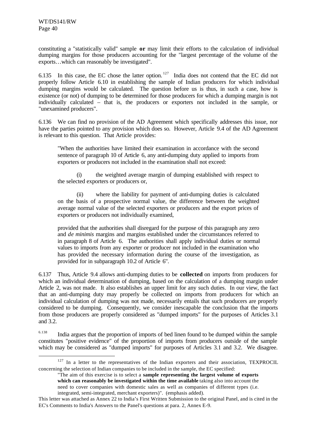l

constituting a "statistically valid" sample **or** may limit their efforts to the calculation of individual dumping margins for those producers accounting for the "largest percentage of the volume of the exports…which can reasonably be investigated".

6.135 In this case, the EC chose the latter option. <sup>127</sup> India does not contend that the EC did not properly follow Article 6.10 in establishing the sample of Indian producers for which individual dumping margins would be calculated. The question before us is thus, in such a case, how is existence (or not) of dumping to be determined for those producers for which a dumping margin is not individually calculated – that is, the producers or exporters not included in the sample, or "unexamined producers".

6.136 We can find no provision of the AD Agreement which specifically addresses this issue, nor have the parties pointed to any provision which does so. However, Article 9.4 of the AD Agreement is relevant to this question. That Article provides:

"When the authorities have limited their examination in accordance with the second sentence of paragraph 10 of Article 6, any anti-dumping duty applied to imports from exporters or producers not included in the examination shall not exceed:

(i) the weighted average margin of dumping established with respect to the selected exporters or producers or,

(ii) where the liability for payment of anti-dumping duties is calculated on the basis of a prospective normal value, the difference between the weighted average normal value of the selected exporters or producers and the export prices of exporters or producers not individually examined,

provided that the authorities shall disregard for the purpose of this paragraph any zero and *de minimis* margins and margins established under the circumstances referred to in paragraph 8 of Article 6. The authorities shall apply individual duties or normal values to imports from any exporter or producer not included in the examination who has provided the necessary information during the course of the investigation, as provided for in subparagraph 10.2 of Article 6".

6.137 Thus, Article 9.4 allows anti-dumping duties to be **collected** on imports from producers for which an individual determination of dumping, based on the calculation of a dumping margin under Article 2, was not made. It also establishes an upper limit for any such duties. In our view, the fact that an anti-dumping duty may properly be collected on imports from producers for which an individual calculation of dumping was not made, necessarily entails that such producers are properly considered to be dumping. Consequently, we consider inescapable the conclusion that the imports from those producers are properly considered as "dumped imports" for the purposes of Articles 3.1 and 3.2.

<sup>6.138</sup> India argues that the proportion of imports of bed linen found to be dumped within the sample constitutes "positive evidence" of the proportion of imports from producers outside of the sample which may be considered as "dumped imports" for purposes of Articles 3.1 and 3.2. We disagree.

"The aim of this exercise is to select a **sample representing the largest volume of exports which can reasonably be investigated within the time available** taking also into account the need to cover companies with domestic sales as well as companies of different types (i.e. integrated, semi-integrated, merchant exporters)". (emphasis added).

<sup>&</sup>lt;sup>127</sup> In a letter to the representatives of the Indian exporters and their association, TEXPROCIL concerning the selection of Indian companies to be included in the sample, the EC specified:

This letter was attached as Annex 22 to India's First Written Submission to the original Panel, and is cited in the EC's Comments to India's Answers to the Panel's questions at para. 2, Annex E-9.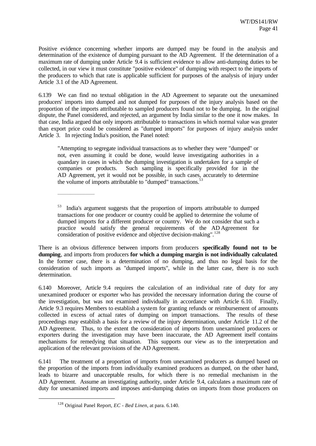Positive evidence concerning whether imports are dumped may be found in the analysis and determination of the existence of dumping pursuant to the AD Agreement. If the determination of a maximum rate of dumping under Article 9.4 is sufficient evidence to allow anti-dumping duties to be collected, in our view it must constitute "positive evidence" of dumping with respect to the imports of the producers to which that rate is applicable sufficient for purposes of the analysis of injury under Article 3.1 of the AD Agreement.

6.139 We can find no textual obligation in the AD Agreement to separate out the unexamined producers' imports into dumped and not dumped for purposes of the injury analysis based on the proportion of the imports attributable to sampled producers found not to be dumping. In the original dispute, the Panel considered, and rejected, an argument by India similar to the one it now makes. In that case, India argued that only imports attributable to transactions in which normal value was greater than export price could be considered as "dumped imports" for purposes of injury analysis under Article 3. In rejecting India's position, the Panel noted:

"Attempting to segregate individual transactions as to whether they were "dumped" or not, even assuming it could be done, would leave investigating authorities in a quandary in cases in which the dumping investigation is undertaken for a sample of companies or products. Such sampling is specifically provided for in the AD Agreement, yet it would not be possible, in such cases, accurately to determine the volume of imports attributable to "dumped" transactions.<sup>5</sup>

There is an obvious difference between imports from producers **specifically found not to be dumping**, and imports from producers **for which a dumping margin is not individually calculated**. In the former case, there is a determination of no dumping, and thus no legal basis for the consideration of such imports as "dumped imports", while in the latter case, there is no such determination.

6.140 Moreover, Article 9.4 requires the calculation of an individual rate of duty for any unexamined producer or exporter who has provided the necessary information during the course of the investigation, but was not examined individually in accordance with Article 6.10. Finally, Article 9.3 requires Members to establish a system for granting refunds or reimbursement of amounts collected in excess of actual rates of dumping on import transactions. The results of these proceedings may establish a basis for a review of the injury determination, under Article 11.2 of the AD Agreement. Thus, to the extent the consideration of imports from unexamined producers or exporters during the investigation may have been inaccurate, the AD Agreement itself contains mechanisms for remedying that situation. This supports our view as to the interpretation and application of the relevant provisions of the AD Agreement.

6.141 The treatment of a proportion of imports from unexamined producers as dumped based on the proportion of the imports from individually examined producers as dumped, on the other hand, leads to bizarre and unacceptable results, for which there is no remedial mechanism in the AD Agreement. Assume an investigating authority, under Article 9.4, calculates a maximum rate of duty for unexamined imports and imposes anti-dumping duties on imports from those producers on

 $\frac{1}{2}$  ,  $\frac{1}{2}$  ,  $\frac{1}{2}$  ,  $\frac{1}{2}$  ,  $\frac{1}{2}$  ,  $\frac{1}{2}$  ,  $\frac{1}{2}$  ,  $\frac{1}{2}$  ,  $\frac{1}{2}$  ,  $\frac{1}{2}$  ,  $\frac{1}{2}$  ,  $\frac{1}{2}$  ,  $\frac{1}{2}$  ,  $\frac{1}{2}$  ,  $\frac{1}{2}$  ,  $\frac{1}{2}$  ,  $\frac{1}{2}$  ,  $\frac{1}{2}$  ,  $\frac{1$ 

<sup>53</sup> India's argument suggests that the proportion of imports attributable to dumped transactions for one producer or country could be applied to determine the volume of dumped imports for a different producer or country. We do not consider that such a practice would satisfy the general requirements of the AD Agreement for consideration of positive evidence and objective decision-making".<sup>128</sup>

<sup>128</sup> Original Panel Report, *EC - Bed Linen*, at para. 6.140.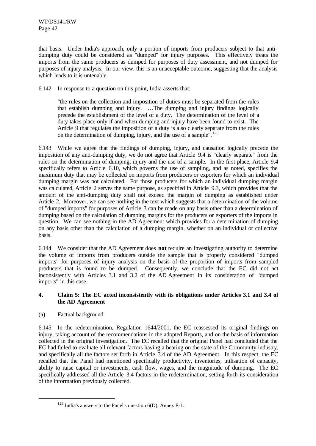that basis. Under India's approach, only a portion of imports from producers subject to that antidumping duty could be considered as "dumped" for injury purposes. This effectively treats the imports from the same producers as dumped for purposes of duty assessment, and not dumped for purposes of injury analysis. In our view, this is an unacceptable outcome, suggesting that the analysis which leads to it is untenable.

6.142 In response to a question on this point, India asserts that:

"the rules on the collection and imposition of duties must be separated from the rules that establish dumping and injury. …The dumping and injury findings logically precede the establishment of the level of a duty. The determination of the level of a duty takes place only if and when dumping and injury have been found to exist. The Article 9 that regulates the imposition of a duty is also clearly separate from the rules on the determination of dumping, injury, and the use of a sample". <sup>129</sup>

6.143 While we agree that the findings of dumping, injury, and causation logically precede the imposition of any anti-dumping duty, we do not agree that Article 9.4 is "clearly separate" from the rules on the determination of dumping, injury and the use of a sample. In the first place, Article 9.4 specifically refers to Article 6.10, which governs the use of sampling, and as noted, specifies the maximum duty that may be collected on imports from producers or exporters for which an individual dumping margin was not calculated. For those producers for which an individual dumping margin was calculated, Article 2 serves the same purpose, as specified in Article 9.3, which provides that the amount of the anti-dumping duty shall not exceed the margin of dumping as established under Article 2. Moreover, we can see nothing in the text which suggests that a determination of the volume of "dumped imports" for purposes of Article 3 can be made on any basis other than a determination of dumping based on the calculation of dumping margins for the producers or exporters of the imports in question. We can see nothing in the AD Agreement which provides for a determination of dumping on any basis other than the calculation of a dumping margin, whether on an individual or collective basis.

6.144 We consider that the AD Agreement does **not** require an investigating authority to determine the volume of imports from producers outside the sample that is properly considered "dumped imports" for purposes of injury analysis on the basis of the proportion of imports from sampled producers that is found to be dumped. Consequently, we conclude that the EC did not act inconsistently with Articles 3.1 and 3.2 of the AD Agreement in its consideration of "dumped imports" in this case.

# **4. Claim 5: The EC acted inconsistently with its obligations under Articles 3.1 and 3.4 of the AD Agreement**

# (a) Factual background

l

6.145 In the redetermination, Regulation 1644/2001, the EC reassessed its original findings on injury, taking account of the recommendations in the adopted Reports, and on the basis of information collected in the original investigation. The EC recalled that the original Panel had concluded that the EC had failed to evaluate all relevant factors having a bearing on the state of the Community industry, and specifically all the factors set forth in Article 3.4 of the AD Agreement. In this respect, the EC recalled that the Panel had mentioned specifically productivity, inventories, utilisation of capacity, ability to raise capital or investments, cash flow, wages, and the magnitude of dumping. The EC specifically addressed all the Article 3.4 factors in the redetermination, setting forth its consideration of the information previously collected.

<sup>&</sup>lt;sup>129</sup> India's answers to the Panel's question  $6(D)$ , Annex E-1.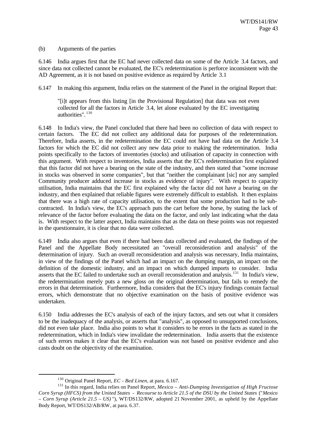# (b) Arguments of the parties

6.146 India argues first that the EC had never collected data on some of the Article 3.4 factors, and since data not collected cannot be evaluated, the EC's redetermination is perforce inconsistent with the AD Agreement, as it is not based on positive evidence as required by Article 3.1

6.147 In making this argument, India relies on the statement of the Panel in the original Report that:

"[i]t appears from this listing [in the Provisional Regulation] that data was not even collected for all the factors in Article 3.4, let alone evaluated by the EC investigating authorities" <sup>130</sup>

6.148 In India's view, the Panel concluded that there had been no collection of data with respect to certain factors. The EC did not collect any additional data for purposes of the redetermination. Therefore, India asserts, in the redetermination the EC could not have had data on the Article 3.4 factors for which the EC did not collect any new data prior to making the redetermination. India points specifically to the factors of inventories (stocks) and utilisation of capacity in connection with this argument. With respect to inventories, India asserts that the EC's redetermination first explained that this factor did not have a bearing on the state of the industry, and then stated that "some increase in stocks was observed in some companies", but that "neither the complainant [sic] nor any sampled Community producer adduced increase in stocks as evidence of injury". With respect to capacity utilisation, India maintains that the EC first explained why the factor did not have a bearing on the industry, and then explained that reliable figures were extremely difficult to establish. It then explains that there was a high rate of capacity utilisation, to the extent that some production had to be subcontracted. In India's view, the EC's approach puts the cart before the horse, by stating the lack of relevance of the factor before evaluating the data on the factor, and only last indicating what the data is. With respect to the latter aspect, India maintains that as the data on these points was not requested in the questionnaire, it is clear that no data were collected.

6.149 India also argues that even if there had been data collected and evaluated, the findings of the Panel and the Appellate Body necessitated an "overall reconsideration and analysis" of the determination of injury. Such an overall reconsideration and analysis was necessary, India maintains, in view of the findings of the Panel which had an impact on the dumping margin, an impact on the definition of the domestic industry, and an impact on which dumped imports to consider. India asserts that the EC failed to undertake such an overall reconsideration and analysis.<sup>131</sup> In India's view, the redetermination merely puts a new gloss on the original determination, but fails to remedy the errors in that determination. Furthermore, India considers that the EC's injury findings contain factual errors, which demonstrate that no objective examination on the basis of positive evidence was undertaken.

6.150 India addresses the EC's analysis of each of the injury factors, and sets out what it considers to be the inadequacy of the analysis, or asserts that "analysis", as opposed to unsupported conclusions, did not even take place. India also points to what it considers to be errors in the facts as stated in the redetermination, which in India's view invalidate the redetermination. India asserts that the existence of such errors makes it clear that the EC's evaluation was not based on positive evidence and also casts doubt on the objectivity of the examination.

<sup>130</sup> Original Panel Report, *EC - Bed Linen*, at para. 6.167.

<sup>131</sup> In this regard, India relies on Panel Report, *Mexico – Anti-Dumping Investigation of High Fructose Corn Syrup (HFCS) from the United States - Recourse to Article 21.5 of the DSU by the United States* ("*Mexico – Corn Syrup (Article 21.5 – US)* "), WT/DS132/RW, adopted 21 November 2001, as upheld by the Appellate Body Report, WT/DS132/AB/RW, at para. 6.37.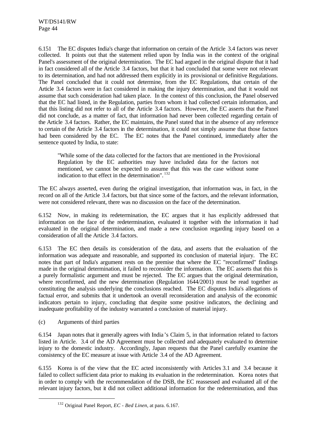6.151 The EC disputes India's charge that information on certain of the Article 3.4 factors was never collected. It points out that the statement relied upon by India was in the context of the original Panel's assessment of the original determination. The EC had argued in the original dispute that it had in fact considered all of the Article 3.4 factors, but that it had concluded that some were not relevant to its determination, and had not addressed them explicitly in its provisional or definitive Regulations. The Panel concluded that it could not determine, from the EC Regulations, that certain of the Article 3.4 factors were in fact considered in making the injury determination, and that it would not assume that such consideration had taken place. In the context of this conclusion, the Panel observed that the EC had listed, in the Regulation, parties from whom it had collected certain information, and that this listing did not refer to all of the Article 3.4 factors. However, the EC asserts that the Panel did not conclude, as a matter of fact, that information had never been collected regarding certain of the Article 3.4 factors. Rather, the EC maintains, the Panel stated that in the absence of any reference to certain of the Article 3.4 factors in the determination, it could not simply assume that those factors had been considered by the EC. The EC notes that the Panel continued, immediately after the sentence quoted by India, to state:

"While some of the data collected for the factors that are mentioned in the Provisional Regulation by the EC authorities may have included data for the factors not mentioned, we cannot be expected to assume that this was the case without some indication to that effect in the determination". <sup>132</sup>

The EC always asserted, even during the original investigation, that information was, in fact, in the record on all of the Article 3.4 factors, but that since some of the factors, and the relevant information, were not considered relevant, there was no discussion on the face of the determination.

6.152 Now, in making its redetermination, the EC argues that it has explicitly addressed that information on the face of the redetermination, evaluated it together with the information it had evaluated in the original determination, and made a new conclusion regarding injury based on a consideration of all the Article 3.4 factors.

6.153 The EC then details its consideration of the data, and asserts that the evaluation of the information was adequate and reasonable, and supported its conclusion of material injury. The EC notes that part of India's argument rests on the premise that where the EC "reconfirmed" findings made in the original determination, it failed to reconsider the information. The EC asserts that this is a purely formalistic argument and must be rejected. The EC argues that the original determination, where reconfirmed, and the new determination (Regulation 1644/2001) must be read together as constituting the analysis underlying the conclusions reached. The EC disputes India's allegations of factual error, and submits that it undertook an overall reconsideration and analysis of the economic indicators pertain to injury, concluding that despite some positive indicators, the declining and inadequate profitability of the industry warranted a conclusion of material injury.

(c) Arguments of third parties

l

6.154 Japan notes that it generally agrees with India 's Claim 5, in that information related to factors listed in Article. 3.4 of the AD Agreement must be collected and adequately evaluated to determine injury to the domestic industry. Accordingly, Japan requests that the Panel carefully examine the consistency of the EC measure at issue with Article 3.4 of the AD Agreement.

6.155 Korea is of the view that the EC acted inconsistently with Articles 3.1 and 3.4 because it failed to collect sufficient data prior to making its evaluation in the redetermination. Korea notes that in order to comply with the recommendation of the DSB, the EC reassessed and evaluated all of the relevant injury factors, but it did not collect additional information for the redetermination, and thus

<sup>132</sup> Original Panel Report, *EC - Bed Linen*, at para. 6.167.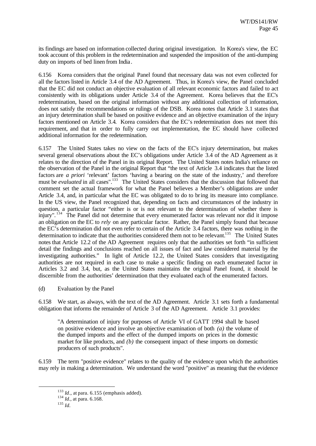its findings are based on information collected during original investigation. In Korea's view, the EC took account of this problem in the redetermination and suspended the imposition of the anti-dumping duty on imports of bed linen from India.

6.156 Korea considers that the original Panel found that necessary data was not even collected for all the factors listed in Article 3.4 of the AD Agreement. Thus, in Korea's view, the Panel concluded that the EC did not conduct an objective evaluation of all relevant economic factors and failed to act consistently with its obligations under Article 3.4 of the Agreement. Korea believes that the EC's redetermination, based on the original information without any additional collection of information, does not satisfy the recommendations or rulings of the DSB. Korea notes that Article 3.1 states that an injury determination shall be based on positive evidence and an objective examination of the injury factors mentioned on Article 3.4. Korea considers that the EC's redetermination does not meet this requirement, and that in order to fully carry out implementation, the EC should have collected additional information for the redetermination.

6.157 The United States takes no view on the facts of the EC's injury determination, but makes several general observations about the EC's obligations under Article 3.4 of the AD Agreement as it relates to the direction of the Panel in its original Report. The United States notes India's reliance on the observation of the Panel in the original Report that "the text of Article 3.4 indicates that the listed factors are *a priori* 'relevant' factors 'having a bearing on the state of the industry,' and therefore must be *evaluated* in all cases".<sup>133</sup> The United States considers that the discussion that followed that comment set the actual framework for what the Panel believes a Member's obligations are under Article 3.4, and, in particular what the EC was obligated to do to bring its measure into compliance. In the US view, the Panel recognized that, depending on facts and circumstances of the industry in question, a particular factor "either is or is not relevant to the determination of whether there is injury". <sup>134</sup> The Panel did not determine that every enumerated factor was relevant nor did it impose an obligation on the EC to *rely* on any particular factor. Rather, the Panel simply found that because the EC's determination did not even refer to certain of the Article 3.4 factors, there was nothing in the determination to indicate that the authorities considered them not to be relevant.<sup>135</sup> The United States notes that Article 12.2 of the AD Agreement requires only that the authorities set forth "in sufficient detail the findings and conclusions reached on all issues of fact and law considered material by the investigating authorities." In light of Article 12.2, the United States considers that investigating authorities are not required in each case to make a specific finding on each enumerated factor in Articles 3.2 and 3.4, but, as the United States maintains the original Panel found, it should be discernible from the authorities' determination that they evaluated each of the enumerated factors.

(d) Evaluation by the Panel

6.158 We start, as always, with the text of the AD Agreement. Article 3.1 sets forth a fundamental obligation that informs the remainder of Article 3 of the AD Agreement. Article 3.1 provides:

"A determination of injury for purposes of Article VI of GATT 1994 shall be based on positive evidence and involve an objective examination of both *(a)* the volume of the dumped imports and the effect of the dumped imports on prices in the domestic market for like products, and *(b)* the consequent impact of these imports on domestic producers of such products".

6.159 The term "positive evidence" relates to the quality of the evidence upon which the authorities may rely in making a determination. We understand the word "positive" as meaning that the evidence

 $^{133}$  *Id.*, at para. 6.155 (emphasis added).

<sup>134</sup> *Id.,* at para. 6.168.

<sup>135</sup> *Id.*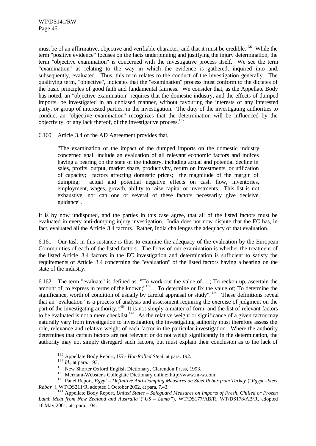must be of an affirmative, objective and verifiable character, and that it must be credible.<sup>136</sup> While the term "positive evidence" focuses on the facts underpinning and justifying the injury determination, the term "objective examination" is concerned with the investigative process itself. We see the term "examination" as relating to the way in which the evidence is gathered, inquired into and, subsequently, evaluated. Thus, this term relates to the conduct of the investigation generally. The qualifying term, "objective", indicates that the "examination" process must conform to the dictates of the basic principles of good faith and fundamental fairness. We consider that, as the Appellate Body has noted, an "objective examination" requires that the domestic industry, and the effects of dumped imports, be investigated in an unbiased manner, without favouring the interests of any interested party, or group of interested parties, in the investigation. The duty of the investigating authorities to conduct an "objective examination" recognizes that the determination will be influenced by the objectivity, or any lack thereof, of the investigative process.<sup>137</sup>

6.160 Article 3.4 of the AD Agreement provides that,

"The examination of the impact of the dumped imports on the domestic industry concerned shall include an evaluation of all relevant economic factors and indices having a bearing on the state of the industry, including actual and potential decline in sales, profits, output, market share, productivity, return on investments, or utilization of capacity; factors affecting domestic prices; the magnitude of the margin of dumping; actual and potential negative effects on cash flow, inventories, employment, wages, growth, ability to raise capital or investments. This list is not exhaustive, nor can one or several of these factors necessarily give decisive guidance".

It is by now undisputed, and the parties in this case agree, that all of the listed factors must be evaluated in every anti-dumping injury investigation. India does not now dispute that the EC has, in fact, evaluated all the Article 3.4 factors. Rather, India challenges the adequacy of that evaluation.

6.161 Our task in this instance is thus to examine the adequacy of the evaluation by the European Communities of each of the listed factors. The focus of our examination is whether the treatment of the listed Article 3.4 factors in the EC investigation and determination is sufficient to satisfy the requirements of Article 3.4 concerning the "evaluation" of the listed factors having a bearing on the state of the industry.

6.162 The term "evaluate" is defined as: "To work out the value of …; To reckon up, ascertain the amount of; to express in terms of the known;"<sup>138</sup> "To determine or fix the value of; To determine the significance, worth of condition of usually by careful appraisal or study". <sup>139</sup> These definitions reveal that an "evaluation" is a process of analysis and assessment requiring the exercise of judgment on the part of the investigating authority.<sup>140</sup> It is not simply a matter of form, and the list of relevant factors to be evaluated is not a mere checklist.<sup>141</sup> As the relative weight or significance of a given factor may naturally vary from investigation to investigation, the investigating authority must therefore assess the role, relevance and relative weight of each factor in the particular investigation. Where the authority determines that certain factors are not relevant or do not weigh significantly in the determination, the authority may not simply disregard such factors, but must explain their conclusion as to the lack of

<sup>136</sup> Appellate Body Report, *US - Hot-Rolled Steel*, at para. 192.

<sup>137</sup> *Id*.*,* at para. 193.

<sup>&</sup>lt;sup>138</sup> New Shorter Oxford English Dictionary, Clarendon Press, 1993..

<sup>139</sup> Merriam-Webster's Collegiate Dictionary online: http://www.m-w.com.

<sup>140</sup> Panel Report, *Egypt – Definitive Anti-Dumping Measures on Steel Rebar from Turkey* ("*Egypt –Steel Rebar* "), WT/DS211/R, adopted 1 October 2002, at para. 7.43.

<sup>141</sup> Appellate Body Report, *United States – Safeguard Measures on Imports of Fresh, Chilled or Frozen Lamb Meat from New Zealand and Australia* ("*US – Lamb* "), WT/DS177/AB/R, WT/DS178/AB/R, adopted 16 May 2001, at , para. 104.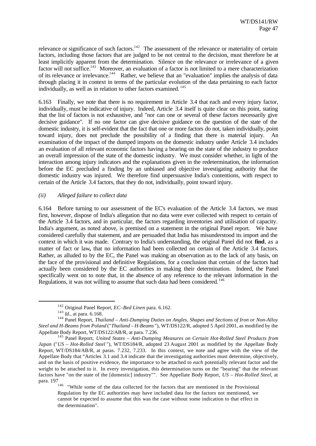relevance or significance of such factors.<sup>142</sup> The assessment of the relevance or materiality of certain factors, including those factors that are judged to be not central to the decision, must therefore be at least implicitly apparent from the determination. Silence on the relevance or irrelevance of a given factor will not suffice.<sup>143</sup> Moreover, an evaluation of a factor is not limited to a mere characterization of its relevance or irrelevance.<sup>144</sup> Rather, we believe that an "evaluation" implies the analysis of data through placing it in context in terms of the particular evolution of the data pertaining to each factor individually, as well as in relation to other factors examined.<sup>145</sup>

6.163 Finally, we note that there is no requirement in Article 3.4 that each and every injury factor, individually, must be indicative of injury. Indeed, Article 3.4 itself is quite clear on this point, stating that the list of factors is not exhaustive, and "nor can one or several of these factors necessarily give decisive guidance". If no one factor can give decisive guidance on the question of the state of the domestic industry, it is self-evident that the fact that one or more factors do not, taken individually, point toward injury, does not preclude the possibility of a finding that there is material injury. An examination of the impact of the dumped imports on the domestic industry under Article 3.4 includes an evaluation of all relevant economic factors having a bearing on the state of the industry to produce an overall impression of the state of the domestic industry. We must consider whether, in light of the interaction among injury indicators and the explanations given in the redetermination, the information before the EC precluded a finding by an unbiased and objective investigating authority that the domestic industry was injured. We therefore find unpersuasive India's contentions, with respect to certain of the Article 3.4 factors, that they do not, individually, point toward injury.

# *(ii) Alleged failure to collect data*

6.164 Before turning to our assessment of the EC's evaluation of the Article 3.4 factors, we must first, however, dispose of India's allegation that no data were ever collected with respect to certain of the Article 3.4 factors, and in particular, the factors regarding inventories and utilisation of capacity. India's argument, as noted above, is premised on a statement in the original Panel report. We have considered carefully that statement, and are persuaded that India has misunderstood its import and the context in which it was made. Contrary to India's understanding, the original Panel did not **find**, as a matter of fact or law**,** that no information had been collected on certain of the Article 3.4 factors. Rather, as alluded to by the EC, the Panel was making an observation as to the lack of any basis, on the face of the provisional and definitive Regulations, for a conclusion that certain of the factors had actually been considered by the EC authorities in making their determination. Indeed, the Panel specifically went on to note that, in the absence of any reference to the relevant information in the Regulations, it was not willing to assume that such data had been considered.<sup>146</sup>

<sup>142</sup> Original Panel Report, *EC–Bed Linen* para. 6.162.

<sup>143</sup> *Id.,* at para. 6.168.

<sup>144</sup> Panel Report, *Thailand – Anti-Dumping Duties on Angles, Shapes and Sections of Iron or Non-Alloy Steel and H-Beams from Poland* ("*Thailand – H-Beams* "), WT/DS122/R, adopted 5 April 2001, as modified by the Appellate Body Report, WT/DS122/AB/R, at para. 7.236.

<sup>145</sup> Panel Report, *United States – Anti-Dumping Measures on Certain Hot-Rolled Steel Products from Japan* ("*US – Hot-Rolled Steel* "), WT/DS184/R, adopted 23 August 2001 as modified by the Appellate Body Report, WT/DS184/AB/R, at paras. 7.232, 7.233. In this context, we note and agree with the view of the Appellate Body that "Articles 3.1 and 3.4 indicate that the investigating authorities must determine, objectively, and on the basis of positive evidence, the importance to be attached to *each* potentially relevant factor and the weight to be attached to it. In every investigation, this determination turns on the "bearing" that the relevant factors have "on the state of the [domestic] industry"". See Appellate Body Report, *US – Hot-Rolled Steel*, at para. 197

<sup>&</sup>lt;sup>146</sup> "While some of the data collected for the factors that are mentioned in the Provisional Regulation by the EC authorities may have included data for the factors not mentioned, we cannot be expected to assume that this was the case without some indication to that effect in the determination".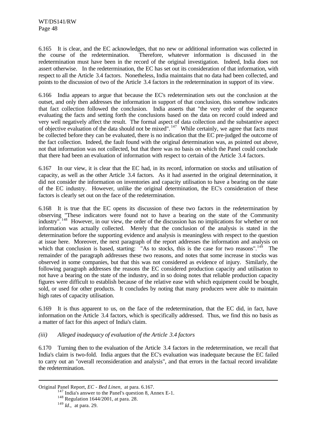6.165 It is clear, and the EC acknowledges, that no new or additional information was collected in the course of the redetermination. Therefore, whatever information is discussed in the redetermination must have been in the record of the original investigation. Indeed, India does not assert otherwise. In the redetermination, the EC has set out its consideration of that information, with respect to all the Article 3.4 factors. Nonetheless, India maintains that no data had been collected, and points to the discussion of two of the Article 3.4 factors in the redetermination in support of its view.

6.166 India appears to argue that because the EC's redetermination sets out the conclusion at the outset, and only then addresses the information in support of that conclusion, this somehow indicates that fact collection followed the conclusion. India asserts that "the very order of the sequence evaluating the facts and setting forth the conclusions based on the data on record could indeed and very well negatively affect the result. The formal aspect of data collection and the substantive aspect of objective evaluation of the data should not be mixed".<sup>147</sup> While certainly, we agree that facts must be collected before they can be evaluated, there is no indication that the EC pre-judged the outcome of the fact collection. Indeed, the fault found with the original determination was, as pointed out above, not that information was not collected, but that there was no basis on which the Panel could conclude that there had been an evaluation of information with respect to certain of the Article 3.4 factors.

6.167 In our view, it is clear that the EC had, in its record, information on stocks and utilisation of capacity, as well as the other Article 3.4 factors. As it had asserted in the original determination, it did not consider the information on inventories and capacity utilisation to have a bearing on the state of the EC industry. However, unlike the original determination, the EC's consideration of these factors is clearly set out on the face of the redetermination.

6.168 It is true that the EC opens its discussion of these two factors in the redetermination by observing "These indicators were found not to have a bearing on the state of the Community industry".<sup>148</sup> However, in our view, the order of the discussion has no implications for whether or not information was actually collected. Merely that the conclusion of the analysis is stated in the determination before the supporting evidence and analysis is meaningless with respect to the question at issue here. Moreover, the next paragraph of the report addresses the information and analysis on which that conclusion is based, starting: "As to stocks, this is the case for two reasons".<sup>149</sup> The remainder of the paragraph addresses these two reasons, and notes that some increase in stocks was observed in some companies, but that this was not considered as evidence of injury. Similarly, the following paragraph addresses the reasons the EC considered production capacity and utilisation to not have a bearing on the state of the industry, and in so doing notes that reliable production capacity figures were difficult to establish because of the relative ease with which equipment could be bought, sold, or used for other products. It concludes by noting that many producers were able to maintain high rates of capacity utilisation.

6.169 It is thus apparent to us, on the face of the redetermination, that the EC did, in fact, have information on the Article 3.4 factors, which is specifically addressed. Thus, we find this no basis as a matter of fact for this aspect of India's claim.

# *(iii) Alleged inadequacy of evaluation of the Article 3.4 factors*

6.170 Turning then to the evaluation of the Article 3.4 factors in the redetermination, we recall that India's claim is two-fold. India argues that the EC's evaluation was inadequate because the EC failed to carry out an "overall reconsideration and analysis", and that errors in the factual record invalidate the redetermination.

Original Panel Report, *EC - Bed Linen*, at para. 6.167.

<sup>&</sup>lt;sup>147</sup> India's answer to the Panel's question 8, Annex E-1.

<sup>148</sup> Regulation 1644/2001, at para. 28.

<sup>149</sup> *Id*., at para. 29.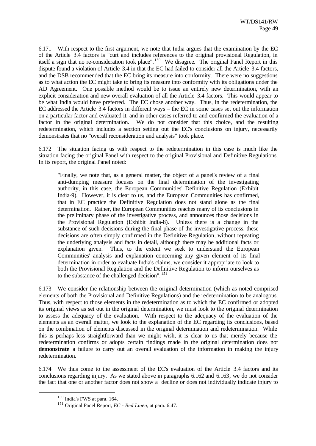6.171 With respect to the first argument, we note that India argues that the examination by the EC of the Article 3.4 factors is "curt and includes references to the original provisional Regulation, in itself a sign that no re-consideration took place".<sup>150</sup> We disagree. The original Panel Report in this dispute found a violation of Article 3.4 in that the EC had failed to consider all the Article 3.4 factors, and the DSB recommended that the EC bring its measure into conformity. There were no suggestions as to what action the EC might take to bring its measure into conformity with its obligations under the AD Agreement. One possible method would be to issue an entirely new determination, with an explicit consideration and new overall evaluation of all the Article 3.4 factors. This would appear to be what India would have preferred. The EC chose another way. Thus, in the redetermination, the EC addressed the Article 3.4 factors in different ways – the EC in some cases set out the information on a particular factor and evaluated it, and in other cases referred to and confirmed the evaluation of a factor in the original determination. We do not consider that this choice, and the resulting redetermination, which includes a section setting out the EC's conclusions on injury, necessarily demonstrates that no "overall reconsideration and analysis" took place.

6.172 The situation facing us with respect to the redetermination in this case is much like the situation facing the original Panel with respect to the original Provisional and Definitive Regulations. In its report, the original Panel noted:

"Finally, we note that, as a general matter, the object of a panel's review of a final anti-dumping measure focuses on the final determination of the investigating authority, in this case, the European Communities' Definitive Regulation (Exhibit India-9). However, it is clear to us, and the European Communities has confirmed, that in EC practice the Definitive Regulation does not stand alone as the final determination. Rather, the European Communities reaches many of its conclusions in the preliminary phase of the investigative process, and announces those decisions in the Provisional Regulation (Exhibit India-8). Unless there is a change in the substance of such decisions during the final phase of the investigative process, these decisions are often simply confirmed in the Definitive Regulation, without repeating the underlying analysis and facts in detail, although there may be additional facts or explanation given. Thus, to the extent we seek to understand the European Communities' analysis and explanation concerning any given element of its final determination in order to evaluate India's claims, we consider it appropriate to look to both the Provisional Regulation and the Definitive Regulation to inform ourselves as to the substance of the challenged decision". <sup>151</sup>

6.173 We consider the relationship between the original determination (which as noted comprised elements of both the Provisional and Definitive Regulations) and the redetermination to be analogous. Thus, with respect to those elements in the redetermination as to which the EC confirmed or adopted its original views as set out in the original determination, we must look to the original determination to assess the adequacy of the evaluation. With respect to the adequacy of the evaluation of the elements as an overall matter, we look to the explanation of the EC regarding its conclusions, based on the combination of elements discussed in the original determination and redetermination. While this is perhaps less straightforward than we might wish, it is clear to us that merely because the redetermination confirms or adopts certain findings made in the original determination does not **demonstrate** a failure to carry out an overall evaluation of the information in making the injury redetermination.

6.174 We thus come to the assessment of the EC's evaluation of the Article 3.4 factors and its conclusions regarding injury. As we stated above in paragraphs 6.162 and 6.163, we do not consider the fact that one or another factor does not show a decline or does not individually indicate injury to

<sup>150</sup> India's FWS at para. 164.

<sup>151</sup> Original Panel Report, *EC - Bed Linen*, at para. 6.47.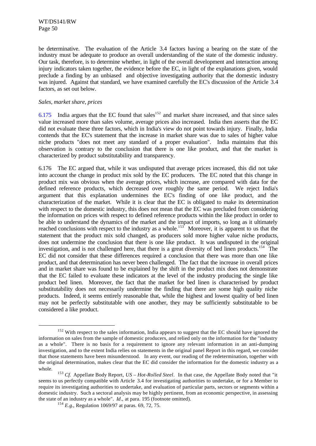be determinative. The evaluation of the Article 3.4 factors having a bearing on the state of the industry must be adequate to produce an overall understanding of the state of the domestic industry. Our task, therefore, is to determine whether, in light of the overall development and interaction among injury indicators taken together, the evidence before the EC, in light of the explanations given, would preclude a finding by an unbiased and objective investigating authority that the domestic industry was injured. Against that standard, we have examined carefully the EC's discussion of the Article 3.4 factors, as set out below.

### *Sales, market share, prices*

l

6.175 India argues that the EC found that sales<sup>152</sup> and market share increased, and that since sales value increased more than sales volume, average prices also increased. India then asserts that the EC did not evaluate these three factors, which in India's view do not point towards injury. Finally, India contends that the EC's statement that the increase in market share was due to sales of higher value niche products "does not meet any standard of a proper evaluation". India maintains that this observation is contrary to the conclusion that there is one like product, and that the market is characterized by product substitutability and transparency.

6.176 The EC argued that, while it was undisputed that average prices increased, this did not take into account the change in product mix sold by the EC producers. The EC noted that this change in product mix was obvious when the average prices, which increase, are compared with data for the defined reference products, which decreased over roughly the same period. We reject India's argument that this explanation undermines the EC's finding of one like product, and the characterization of the market. While it is clear that the EC is obligated to make its determination with respect to the domestic industry, this does not mean that the EC was precluded from considering the information on prices with respect to defined reference products within the like product in order to be able to understand the dynamics of the market and the impact of imports, so long as it ultimately reached conclusions with respect to the industry as a whole.<sup>153</sup> Moreover, it is apparent to us that the statement that the product mix sold changed, as producers sold more higher value niche products, does not undermine the conclusion that there is one like product. It was undisputed in the original investigation, and is not challenged here, that there is a great diversity of bed linen products.<sup>154</sup> The EC did not consider that these differences required a conclusion that there was more than one like product, and that determination has never been challenged. The fact that the increase in overall prices and in market share was found to be explained by the shift in the product mix does not demonstrate that the EC failed to evaluate these indicators at the level of the industry producing the single like product bed linen. Moreover, the fact that the market for bed linen is characterised by product substitutability does not necessarily undermine the finding that there are some high quality niche products. Indeed, it seems entirely reasonable that, while the highest and lowest quality of bed linen may not be perfectly substitutable with one another, they may be sufficiently substitutable to be considered a like product.

<sup>&</sup>lt;sup>152</sup> With respect to the sales information, India appears to suggest that the EC should have ignored the information on sales from the sample of domestic producers, and relied only on the information for the "industry as a whole". There is no basis for a requirement to ignore any relevant information in an anti-dumping investigation, and to the extent India relies on statements in the original panel Report in this regard, we consider that those statements have been misunderstood. In any event, our reading of the redetermination, together with the original determination, makes clear that the EC did consider the information for the domestic industry as a whole.

<sup>153</sup> *Cf*. Appellate Body Report, *US – Hot-Rolled Steel*. In that case, the Appellate Body noted that "it seems to us perfectly compatible with Article 3.4 for investigating authorities to undertake, or for a Member to require its investigating authorities to undertake, and evaluation of particular parts, sectors or segments within a domestic industry. Such a sectoral analysis may be highly pertinent, from an economic perspective, in assessing the state of an industry as a whole". *Id*.*,* at para. 195 (footnote omitted).

<sup>154</sup> *E.g.*, Regulation 1069/97 at paras. 69, 72, 75.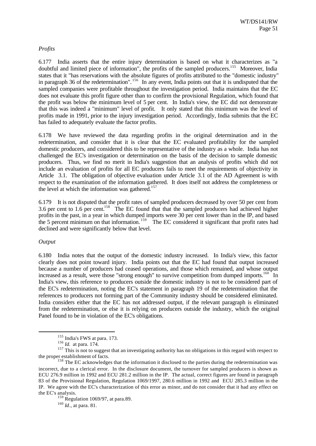# *Profits*

6.177 India asserts that the entire injury determination is based on what it characterizes as "a doubtful and limited piece of information", the profits of the sampled producers.<sup>155</sup> Moreover, India states that it "has reservations with the absolute figures of profits attributed to the "domestic industry" in paragraph 36 of the redetermination". <sup>156</sup> In any event, India points out that it is undisputed that the sampled companies were profitable throughout the investigation period. India maintains that the EC does not evaluate this profit figure other than to confirm the provisional Regulation, which found that the profit was below the minimum level of 5 per cent. In India's view, the EC did not demonstrate that this was indeed a "minimum" level of profit. It only stated that this minimum was the level of profits made in 1991, prior to the injury investigation period. Accordingly, India submits that the EC has failed to adequately evaluate the factor profits.

6.178 We have reviewed the data regarding profits in the original determination and in the redetermination, and consider that it is clear that the EC evaluated profitability for the sampled domestic producers, and considered this to be representative of the industry as a whole. India has not challenged the EC's investigation or determination on the basis of the decision to sample domestic producers. Thus, we find no merit in India's suggestion that an analysis of profits which did not include an evaluation of profits for all EC producers fails to meet the requirements of objectivity in Article 3.1. The obligation of objective evaluation under Article 3.1 of the AD Agreement is with respect to the examination of the information gathered. It does itself not address the completeness or the level at which the information was gathered.<sup>157</sup>

6.179 It is not disputed that the profit rates of sampled producers decreased by over 50 per cent from 3.6 per cent to 1.6 per cent.<sup>158</sup> The EC found that that the sampled producers had achieved higher profits in the past, in a year in which dumped imports were 30 per cent lower than in the IP, and based the 5 percent minimum on that information.  $159$  The EC considered it significant that profit rates had declined and were significantly below that level.

# *Output*

l

6.180 India notes that the output of the domestic industry increased. In India's view, this factor clearly does not point toward injury. India points out that the EC had found that output increased because a number of producers had ceased operations, and those which remained, and whose output increased as a result, were those "strong enough" to survive competition from dumped imports.<sup>160</sup> In India's view, this reference to producers outside the domestic industry is not to be considered part of the EC's redetermination, noting the EC's statement in paragraph 19 of the redetermination that the references to producers not forming part of the Community industry should be considered eliminated. India considers either that the EC has not addressed output, if the relevant paragraph is eliminated from the redetermination, or else it is relying on producers outside the industry, which the original Panel found to be in violation of the EC's obligations.

<sup>155</sup> India's FWS at para. 173.

<sup>156</sup> *Id.* at para. 174.

<sup>&</sup>lt;sup>157</sup> This is not to suggest that an investigating authority has no obligations in this regard with respect to the proper establishment of facts.

<sup>&</sup>lt;sup>158</sup> The EC acknowledges that the information it disclosed to the parties during the redetermination was incorrect, due to a clerical error. In the disclosure document, the turnover for sampled producers is shown as ECU 276.9 million in 1992 and ECU 281.2 million in the IP. The actual, correct figures are found in paragraph 83 of the Provisional Regulation, Regulation 1069/1997, 280.6 million in 1992 and ECU 285.3 million in the IP. We agree with the EC's characterization of this error as minor, and do not consider that it had any effect on the EC's analysis.

 $159$  Regulation 1069/97, at para.89.

<sup>160</sup> *Id*., at para. 81.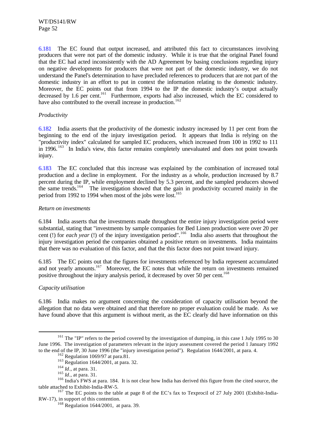6.181 The EC found that output increased, and attributed this fact to circumstances involving producers that were not part of the domestic industry. While it is true that the original Panel found that the EC had acted inconsistently with the AD Agreement by basing conclusions regarding injury on negative developments for producers that were not part of the domestic industry, we do not understand the Panel's determination to have precluded references to producers that are not part of the domestic industry in an effort to put in context the information relating to the domestic industry. Moreover, the EC points out that from 1994 to the IP the domestic industry's output actually decreased by 1.6 per cent.<sup>161</sup> Furthermore, exports had also increased, which the EC considered to have also contributed to the overall increase in production.<sup>162</sup>

# *Productivity*

6.182 India asserts that the productivity of the domestic industry increased by 11 per cent from the beginning to the end of the injury investigation period. It appears that India is relying on the "productivity index" calculated for sampled EC producers, which increased from 100 in 1992 to 111 in 1996.<sup>163</sup> In India's view, this factor remains completely unevaluated and does not point towards injury.

6.183 The EC concluded that this increase was explained by the combination of increased total production and a decline in employment. For the industry as a whole, production increased by 8.7 percent during the IP, while employment declined by 5.3 percent, and the sampled producers showed the same trends.<sup>164</sup> The investigation showed that the gain in productivity occurred mainly in the period from 1992 to 1994 when most of the jobs were lost.<sup>165</sup>

# *Return on investments*

6.184 India asserts that the investments made throughout the entire injury investigation period were substantial, stating that "investments by sample companies for Bed Linen production were over 20 per cent (!) for *each year* (!) of the injury investigation period".<sup>166</sup> India also asserts that throughout the injury investigation period the companies obtained a positive return on investments. India maintains that there was no evaluation of this factor, and that the this factor does not point toward injury.

6.185 The EC points out that the figures for investments referenced by India represent accumulated and not yearly amounts.<sup>167</sup> Moreover, the EC notes that while the return on investments remained positive throughout the injury analysis period, it decreased by over 50 per cent.<sup>168</sup>

# *Capacity utilisation*

l

6.186 India makes no argument concerning the consideration of capacity utilisation beyond the allegation that no data were obtained and that therefore no proper evaluation could be made. As we have found above that this argument is without merit, as the EC clearly did have information on this

 $161$  The "IP" refers to the period covered by the investigation of dumping, in this case 1 July 1995 to 30 June 1996. The investigation of parameters relevant in the injury assessment covered the period 1 January 1992 to the end of the IP, 30 June 1996 (the "injury investigation period"). Regulation 1644/2001, at para. 4.

 $162$  Regulation 1069/97 at para.81.

<sup>163</sup> Regulation 1644/2001, at para. 32.

<sup>164</sup> *Id*., at para. 31.

<sup>165</sup> *Id*., at para. 31.

<sup>&</sup>lt;sup>166</sup> India's FWS at para. 184. It is not clear how India has derived this figure from the cited source, the table attached to Exhibit-India-RW-5.

<sup>&</sup>lt;sup>167</sup> The EC points to the table at page 8 of the EC's fax to Texprocil of 27 July 2001 (Exhibit-India-RW-17), in support of this contention.

<sup>168</sup> Regulation 1644/2001, at para. 39.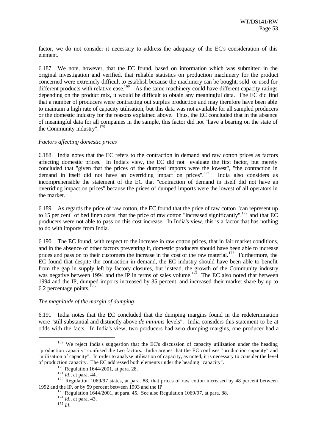factor, we do not consider it necessary to address the adequacy of the EC's consideration of this element.

6.187 We note, however, that the EC found, based on information which was submitted in the original investigation and verified, that reliable statistics on production machinery for the product concerned were extremely difficult to establish because the machinery can be bought, sold or used for different products with relative ease.<sup>169</sup> As the same machinery could have different capacity ratings depending on the product mix, it would be difficult to obtain any meaningful data. The EC did find that a number of producers were contracting out surplus production and may therefore have been able to maintain a high rate of capacity utilisation, but this data was not available for all sampled producers or the domestic industry for the reasons explained above. Thus, the EC concluded that in the absence of meaningful data for all companies in the sample, this factor did not "have a bearing on the state of the Community industry". <sup>170</sup>

# *Factors affecting domestic prices*

6.188 India notes that the EC refers to the contraction in demand and raw cotton prices as factors affecting domestic prices. In India's view, the EC did not evaluate the first factor, but merely concluded that "given that the prices of the dumped imports were the lowest", "the contraction in demand in itself did not have an overriding impact on prices".<sup>171</sup> India also considers as incomprehensible the statement of the EC that "contraction of demand in itself did not have an overriding impact on prices" because the prices of dumped imports were the lowest of all operators in the market.

6.189 As regards the price of raw cotton, the EC found that the price of raw cotton "can represent up to 15 per cent" of bed linen costs, that the price of raw cotton "increased significantly",  $172$  and that EC producers were not able to pass on this cost increase. In India's view, this is a factor that has nothing to do with imports from India.

6.190 The EC found, with respect to the increase in raw cotton prices, that in fair market conditions, and in the absence of other factors preventing it, domestic producers should have been able to increase prices and pass on to their customers the increase in the cost of the raw material.<sup>173</sup> Furthermore, the EC found that despite the contraction in demand, the EC industry should have been able to benefit from the gap in supply left by factory closures, but instead, the growth of the Community industry was negative between 1994 and the IP in terms of sales volume.<sup>174</sup> The EC also noted that between 1994 and the IP, dumped imports increased by 35 percent, and increased their market share by up to 6.2 percentage points. $175$ 

#### *The magnitude of the margin of dumping*

6.191 India notes that the EC concluded that the dumping margins found in the redetermination were "still substantial and distinctly above *de minimis* levels". India considers this statement to be at odds with the facts. In India's view, two producers had zero dumping margins, one producer had a

<sup>&</sup>lt;sup>169</sup> We reject India's suggestion that the EC's discussion of capacity utilization under the heading "production capacity" confused the two factors. India argues that the EC confuses "production capacity" and "utilisation of capacity". In order to analyse utilisation of capacity, as noted, it is necessary to consider the level of production capacity. The EC addressed both elements under the heading "capacity".

<sup>170</sup> Regulation 1644/2001, at para. 28.

<sup>171</sup> *Id*., at para. 44.

<sup>&</sup>lt;sup>172</sup> Regulation 1069/97 states, at para. 88, that prices of raw cotton increased by 48 percent between 1992 and the IP, or by 59 percent between 1993 and the IP.

 $173$  Regulation 1644/2001, at para. 45. See also Regulation 1069/97, at para. 88.

<sup>174</sup> *Id*., at para. 43.

<sup>175</sup> *Id*.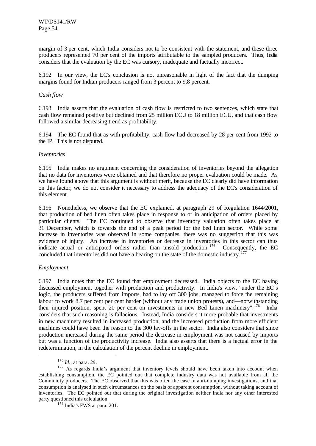margin of 3 per cent, which India considers not to be consistent with the statement, and these three producers represented 70 per cent of the imports attributable to the sampled producers. Thus, India considers that the evaluation by the EC was cursory, inadequate and factually incorrect.

6.192 In our view, the EC's conclusion is not unreasonable in light of the fact that the dumping margins found for Indian producers ranged from 3 percent to 9.8 percent.

### *Cash flow*

6.193 India asserts that the evaluation of cash flow is restricted to two sentences, which state that cash flow remained positive but declined from 25 million ECU to 18 million ECU, and that cash flow followed a similar decreasing trend as profitability.

6.194 The EC found that as with profitability, cash flow had decreased by 28 per cent from 1992 to the IP. This is not disputed.

#### *Inventories*

6.195 India makes no argument concerning the consideration of inventories beyond the allegation that no data for inventories were obtained and that therefore no proper evaluation could be made. As we have found above that this argument is without merit, because the EC clearly did have information on this factor, we do not consider it necessary to address the adequacy of the EC's consideration of this element.

6.196 Nonetheless, we observe that the EC explained, at paragraph 29 of Regulation 1644/2001, that production of bed linen often takes place in response to or in anticipation of orders placed by particular clients. The EC continued to observe that inventory valuation often takes place at 31 December, which is towards the end of a peak period for the bed linen sector. While some increase in inventories was observed in some companies, there was no suggestion that this was evidence of injury. An increase in inventories or decrease in inventories in this sector can thus indicate actual or anticipated orders rather than unsold production.<sup>176</sup> Consequently, the EC concluded that inventories did not have a bearing on the state of the domestic industry.<sup>177</sup>

# *Employment*

l

6.197 India notes that the EC found that employment decreased. India objects to the EC having discussed employment together with production and productivity. In India's view, "under the EC's logic, the producers suffered from imports, had to lay off 300 jobs, managed to force the remaining labour to work 8.7 per cent per cent harder (without any trade union protests), and—notwithstanding their injured position, spent 20 per cent on investments in new Bed Linen machinery".<sup>178</sup> India considers that such reasoning is fallacious. Instead, India considers it more probable that investments in new machinery resulted in increased production, and the increased production from more efficient machines could have been the reason to the 300 lay-offs in the sector. India also considers that since production increased during the same period the decrease in employment was not caused by imports but was a function of the productivity increase. India also asserts that there is a factual error in the redetermination, in the calculation of the percent decline in employment.

<sup>176</sup> *Id*., at para. 29.

<sup>&</sup>lt;sup>177</sup> As regards India's argument that inventory levels should have been taken into account when establishing consumption, the EC pointed out that complete industry data was not available from all the Community producers. The EC observed that this was often the case in anti-dumping investigations, and that consumption is analysed in such circumstances on the basis of apparent consumption, without taking account of inventories. The EC pointed out that during the original investigation neither India nor any other interested party questioned this calculation

<sup>178</sup> India's FWS at para. 201.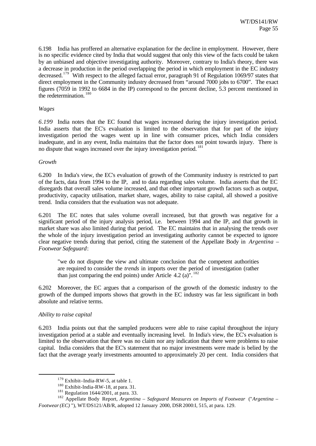6.198 India has proffered an alternative explanation for the decline in employment. However, there is no specific evidence cited by India that would suggest that only this view of the facts could be taken by an unbiased and objective investigating authority. Moreover, contrary to India's theory, there was a decrease in production in the period overlapping the period in which employment in the EC industry decreased.<sup>179</sup> With respect to the alleged factual error, paragraph 91 of Regulation 1069/97 states that direct employment in the Community industry decreased from "around 7000 jobs to 6700". The exact figures (7059 in 1992 to 6684 in the IP) correspond to the percent decline, 5.3 percent mentioned in the redetermination.<sup>180</sup>

### *Wages*

*6.199* India notes that the EC found that wages increased during the injury investigation period. India asserts that the EC's evaluation is limited to the observation that for part of the injury investigation period the wages went up in line with consumer prices, which India considers inadequate, and in any event, India maintains that the factor does not point towards injury. There is no dispute that wages increased over the injury investigation period. <sup>181</sup>

#### *Growth*

6.200 In India's view, the EC's evaluation of growth of the Community industry is restricted to part of the facts, data from 1994 to the IP, and to data regarding sales volume. India asserts that the EC disregards that overall sales volume increased, and that other important growth factors such as output, productivity, capacity utilisation, market share, wages, ability to raise capital, all showed a positive trend. India considers that the evaluation was not adequate.

6.201 The EC notes that sales volume overall increased, but that growth was negative for a significant period of the injury analysis period, i.e. between 1994 and the IP, and that growth in market share was also limited during that period. The EC maintains that in analysing the trends over the whole of the injury investigation period an investigating authority cannot be expected to ignore clear negative trends during that period, citing the statement of the Appellate Body in *Argentina – Footwear Safeguard*:

"we do not dispute the view and ultimate conclusion that the competent authorities are required to consider the *trends* in imports over the period of investigation (rather than just comparing the end points) under Article  $4.2$  (a)<sup>" $182$ </sup>

6.202 Moreover, the EC argues that a comparison of the growth of the domestic industry to the growth of the dumped imports shows that growth in the EC industry was far less significant in both absolute and relative terms.

# *Ability to raise capital*

l

6.203 India points out that the sampled producers were able to raise capital throughout the injury investigation period at a stable and eventually increasing level. In India's view, the EC's evaluation is limited to the observation that there was no claim nor any indication that there were problems to raise capital. India considers that the EC's statement that no major investments were made is belied by the fact that the average yearly investments amounted to approximately 20 per cent. India considers that

<sup>&</sup>lt;sup>179</sup> Exhibit–India-RW-5, at table 1.

<sup>180</sup> Exhibit-India-RW-18, at para. 31.

 $181$  Regulation 1644/2001, at para. 33.

<sup>182</sup> Appellate Body Report, *Argentina – Safeguard Measures on Imports of Footwear* ("*Argentina – Footwear (EC)* "), WT/DS121/AB/R, adopted 12 January 2000, DSR 2000:I, 515, at para. 129.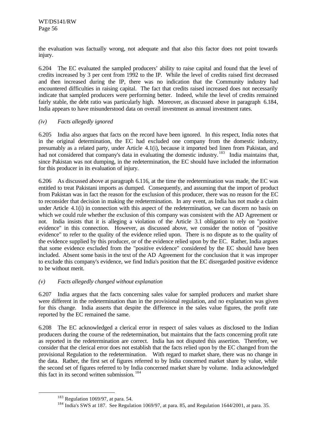the evaluation was factually wrong, not adequate and that also this factor does not point towards injury.

6.204 The EC evaluated the sampled producers' ability to raise capital and found that the level of credits increased by 3 per cent from 1992 to the IP. While the level of credits raised first decreased and then increased during the IP, there was no indication that the Community industry had encountered difficulties in raising capital. The fact that credits raised increased does not necessarily indicate that sampled producers were performing better. Indeed, while the level of credits remained fairly stable, the debt ratio was particularly high. Moreover, as discussed above in paragraph 6.184, India appears to have misunderstood data on overall investment as annual investment rates.

# *(iv) Facts allegedly ignored*

6.205 India also argues that facts on the record have been ignored. In this respect, India notes that in the original determination, the EC had excluded one company from the domestic industry, presumably as a related party, under Article 4.1(i), because it imported bed linen from Pakistan, and had not considered that company's data in evaluating the domestic industry.<sup>183</sup> India maintains that, since Pakistan was not dumping, in the redetermination, the EC should have included the information for this producer in its evaluation of injury.

6.206 As discussed above at paragraph 6.116, at the time the redetermination was made, the EC was entitled to treat Pakistani imports as dumped. Consequently, and assuming that the import of product from Pakistan was in fact the reason for the exclusion of this producer, there was no reason for the EC to reconsider that decision in making the redetermination. In any event, as India has not made a claim under Article 4.1(i) in connection with this aspect of the redetermination, we can discern no basis on which we could rule whether the exclusion of this company was consistent with the AD Agreement or not. India insists that it is alleging a violation of the Article 3.1 obligation to rely on "positive evidence" in this connection. However, as discussed above, we consider the notion of "positive evidence" to refer to the quality of the evidence relied upon. There is no dispute as to the quality of the evidence supplied by this producer, or of the evidence relied upon by the EC. Rather, India argues that some evidence excluded from the "positive evidence" considered by the EC should have been included. Absent some basis in the text of the AD Agreement for the conclusion that it was improper to exclude this company's evidence, we find India's position that the EC disregarded positive evidence to be without merit.

# *(v) Facts allegedly changed without explanation*

6.207 India argues that the facts concerning sales value for sampled producers and market share were different in the redetermination than in the provisional regulation, and no explanation was given for this change. India asserts that despite the difference in the sales value figures, the profit rate reported by the EC remained the same.

6.208 The EC acknowledged a clerical error in respect of sales values as disclosed to the Indian producers during the course of the redetermination, but maintains that the facts concerning profit rate as reported in the redetermination are correct. India has not disputed this assertion. Therefore, we consider that the clerical error does not establish that the facts relied upon by the EC changed from the provisional Regulation to the redetermination. With regard to market share, there was no change in the data. Rather, the first set of figures referred to by India concerned market share by value, while the second set of figures referred to by India concerned market share by volume. India acknowledged this fact in its second written submission. <sup>184</sup>

<sup>183</sup> Regulation 1069/97, at para. 54.

<sup>&</sup>lt;sup>184</sup> India's SWS at 187. See Regulation 1069/97, at para. 85, and Regulation 1644/2001, at para. 35.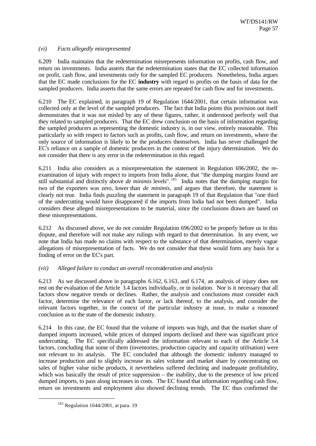# *(vi) Facts allegedly misrepresented*

6.209 India maintains that the redetermination misrepresents information on profits, cash flow, and return on investments. India asserts that the redetermination states that the EC collected information on profit, cash flow, and investments only for the sampled EC producers. Nonetheless, India argues that the EC made conclusions for the EC **industry** with regard to profits on the basis of data for the sampled producers. India asserts that the same errors are repeated for cash flow and for investments.

6.210 The EC explained, in paragraph 19 of Regulation 1644/2001, that certain information was collected only at the level of the sampled producers. The fact that India points this provision out itself demonstrates that it was not misled by any of these figures, rather, it understood perfectly well that they related to sampled producers. That the EC drew conclusion on the basis of information regarding the sampled producers as representing the domestic industry is, in our view, entirely reasonable. This particularly so with respect to factors such as profits, cash flow, and return on investments, where the only source of information is likely to be the producers themselves. India has never challenged the EC's reliance on a sample of domestic producers in the context of the injury determination. We do not consider that there is any error in the redetermination in this regard.

6.211 India also considers as a misrepresentation the statement in Regulation 696/2002, the reexamination of injury with respect to imports from India alone, that "the dumping margins found are still substantial and distinctly above *de minimis* levels". <sup>185</sup> India notes that the dumping margin for two of the exporters was zero, lower than *de minimis*, and argues that therefore, the statement is clearly not true. India finds puzzling the statement in paragraph 19 of that Regulation that "one third of the undercutting would have disappeared if the imports from India had not been dumped". India considers these alleged misrepresentations to be material, since the conclusions drawn are based on these misrepresentations.

6.212 As discussed above, we do not consider Regulation 696/2002 to be properly before us in this dispute, and therefore will not make any rulings with regard to that determination. In any event, we note that India has made no claims with respect to the substance of that determination, merely vague allegations of misrepresentation of facts. We do not consider that these would form any basis for a finding of error on the EC's part.

# *(vii) Alleged failure to conduct an overall recons*id*eration and analysis*

6.213 As we discussed above in paragraphs 6.162, 6.163, and 6.174, an analysis of injury does not rest on the evaluation of the Article 3.4 factors individually, or in isolation. Nor is it necessary that all factors show negative trends or declines. Rather, the analysis and conclusions must consider each factor, determine the relevance of each factor, or lack thereof, to the analysis, and consider the relevant factors together, in the context of the particular industry at issue, to make a reasoned conclusion as to the state of the domestic industry.

6.214 In this case, the EC found that the volume of imports was high, and that the market share of dumped imports increased, while prices of dumped imports declined and there was significant price undercutting. The EC specifically addressed the information relevant to each of the Article 3.4 factors, concluding that some of them (inventories, production capacity and capacity utilisation) were not relevant to its analysis. The EC concluded that although the domestic industry managed to increase production and to slightly increase its sales volume and market share by concentrating on sales of higher value niche products, it nevertheless suffered declining and inadequate profitability, which was basically the result of price suppression – the inability, due to the presence of low priced dumped imports, to pass along increases in costs. The EC found that information regarding cash flow, return on investments and employment also showed declining trends. The EC thus confirmed the

 $185$  Regulation 1644/2001, at para. 19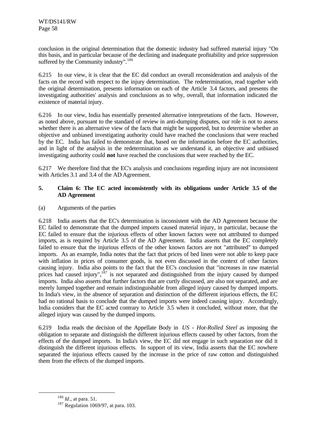conclusion in the original determination that the domestic industry had suffered material injury "On this basis, and in particular because of the declining and inadequate profitability and price suppression suffered by the Community industry".<sup>186</sup>

6.215 In our view, it is clear that the EC did conduct an overall reconsideration and analysis of the facts on the record with respect to the injury determination. The redetermination, read together with the original determination, presents information on each of the Article 3.4 factors, and presents the investigating authorities' analysis and conclusions as to why, overall, that information indicated the existence of material injury.

6.216 In our view, India has essentially presented alternative interpretations of the facts. However, as noted above, pursuant to the standard of review in anti-dumping disputes, our role is not to assess whether there is an alternative view of the facts that might be supported, but to determine whether an objective and unbiased investigating authority could have reached the conclusions that were reached by the EC. India has failed to demonstrate that, based on the information before the EC authorities, and in light of the analysis in the redetermination as we understand it, an objective and unbiased investigating authority could **not** have reached the conclusions that were reached by the EC.

6.217 We therefore find that the EC's analysis and conclusions regarding injury are not inconsistent with Articles 3.1 and 3.4 of the AD Agreement.

# **5. Claim 6: The EC acted inconsistently with its obligations under Article 3.5 of the AD Agreement**

(a) Arguments of the parties

6.218 India asserts that the EC's determination is inconsistent with the AD Agreement because the EC failed to demonstrate that the dumped imports caused material injury, in particular, because the EC failed to ensure that the injurious effects of other known factors were not attributed to dumped imports, as is required by Article 3.5 of the AD Agreement. India asserts that the EC completely failed to ensure that the injurious effects of the other known factors are not "attributed" to dumped imports. As an example, India notes that the fact that prices of bed linen were not able to keep pace with inflation in prices of consumer goods, is not even discussed in the context of other factors causing injury. India also points to the fact that the EC's conclusion that "increases in raw material prices had caused injury", $187$  is not separated and distinguished from the injury caused by dumped imports. India also asserts that further factors that are curtly discussed, are also not separated, and are merely lumped together and remain indistinguishable from alleged injury caused by dumped imports. In India's view, in the absence of separation and distinction of the different injurious effects, the EC had no rational basis to conclude that the dumped imports were indeed causing injury. Accordingly, India considers that the EC acted contrary to Article 3.5 when it concluded, without more, that the alleged injury was caused by the dumped imports.

6.219 India reads the decision of the Appellate Body in *US - Hot-Rolled Steel* as imposing the obligation to separate and distinguish the different injurious effects caused by other factors, from the effects of the dumped imports. In India's view, the EC did not engage in such separation nor did it distinguish the different injurious effects. In support of its view, India asserts that the EC nowhere separated the injurious effects caused by the increase in the price of raw cotton and distinguished them from the effects of the dumped imports.

<sup>186</sup> *Id*., at para. 51.

<sup>187</sup> Regulation 1069/97, at para. 103.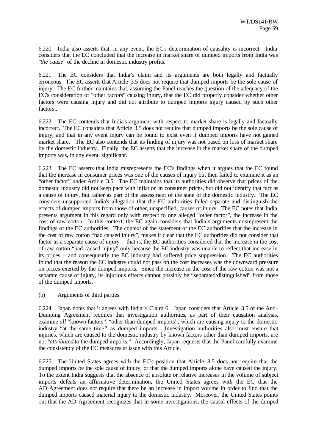6.220 India also asserts that, in any event, the EC's determination of causality is incorrect. India considers that the EC concluded that the increase in market share of dumped imports from India was "*the cause*" of the decline in domestic industry profits.

6.221 The EC considers that India's claim and its arguments are both legally and factually erroneous. The EC asserts that Article 3.5 does not require that dumped imports be the sole cause of injury. The EC further maintains that, assuming the Panel reaches the question of the adequacy of the EC's consideration of "other factors" causing injury, that the EC did properly consider whether other factors were causing injury and did not attribute to dumped imports injury caused by such other factors..

6.222 The EC contends that India's argument with respect to market share is legally and factually incorrect. The EC considers that Article 3.5 does not require that dumped imports be the sole cause of injury, and that in any event injury can be found to exist even if dumped imports have not gained market share. The EC also contends that its finding of injury was not based on loss of market share by the domestic industry. Finally, the EC asserts that the increase in the market share of the dumped imports was, in any event, significant.

6.223 The EC asserts that India misrepresents the EC's findings when it argues that the EC found that the increase in consumer prices was one of the causes of injury but then failed to examine it as an "other factor" under Article 3.5. The EC maintains that its authorities did observe that prices of the domestic industry did not keep pace with inflation in consumer prices, but did not identify that fact as a cause of injury, but rather as part of the assessment of the state of the domestic industry. The EC considers unsupported India's allegation that the EC authorities failed separate and distinguish the effects of dumped imports from those of other, unspecified, causes of injury. The EC notes that India presents argument in this regard only with respect to one alleged "other factor", the increase in the cost of raw cotton. In this context, the EC again considers that India's arguments misrepresent the findings of the EC authorities. The context of the statement of the EC authorities that the increase in the cost of raw cotton "had caused injury", makes it clear that the EC authorities did not consider that factor as a separate cause of injury -- that is, the EC authorities considered that the increase in the cost of raw cotton "had caused injury" only because the EC industry was unable to reflect that increase in its prices – and consequently the EC industry had suffered price suppression. The EC authorities found that the reason the EC industry could not pass on the cost increases was the downward pressure on prices exerted by the dumped imports. Since the increase in the cost of the raw cotton was not a separate cause of injury, its injurious effects cannot possibly be "separated/distinguished" from those of the dumped imports.

# (b) Arguments of third parties

6.224 Japan notes that it agrees with India 's Claim 6. Japan considers that Article 3.5 of the Anti-Dumping Agreement requires that investigation authorities, as part of their causation analysis, examine *all* "known factors", "other than dumped imports", which are causing injury to the domestic industry "at the same time" as dumped imports. Investigation authorities also must ensure that injuries, which are caused to the domestic industry by known factors other than dumped imports, are not "*attributed* to the dumped imports." Accordingly, Japan requests that the Panel carefully examine the consistency of the EC measures at issue with this Article.

6.225 The United States agrees with the EC's position that Article 3.5 does not require that the dumped imports be the sole cause of injury, or that the dumped imports alone have caused the injury. To the extent India suggests that the absence of absolute or relative increases in the volume of subject imports defeats an affirmative determination, the United States agrees with the EC that the AD Agreement does not require that there be an increase in import volume in order to find that the dumped imports caused material injury to the domestic industry. Moreover, the United States points out that the AD Agreement recognizes that in some investigations, the causal effects of the dumped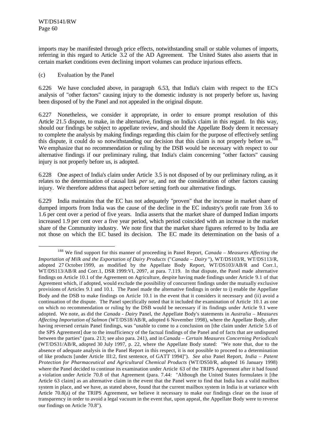l

imports may be manifested through price effects, notwithstanding small or stable volumes of imports, referring in this regard to Article 3.2 of the AD Agreement. The United States also asserts that in certain market conditions even declining import volumes can produce injurious effects.

# (c) Evaluation by the Panel

6.226 We have concluded above, in paragraph 6.53, that India's claim with respect to the EC's analysis of "other factors" causing injury to the domestic industry is not properly before us, having been disposed of by the Panel and not appealed in the original dispute.

6.227 Nonetheless, we consider it appropriate, in order to ensure prompt resolution of this Article 21.5 dispute, to make, in the alternative, findings on India's claim in this regard. In this way, should our findings be subject to appellate review, and should the Appellate Body deem it necessary to complete the analysis by making findings regarding this claim for the purpose of effectively settling this dispute, it could do so notwithstanding our decision that this claim is not properly before us.<sup>188</sup> We emphasize that no recommendation or ruling by the DSB would be necessary with respect to our alternative findings if our preliminary ruling, that India's claim concerning "other factors" causing injury is not properly before us, is adopted.

6.228 One aspect of India's claim under Article 3.5 is not disposed of by our preliminary ruling, as it relates to the determination of causal link *per se*, and not the consideration of other factors causing injury. We therefore address that aspect before setting forth our alternative findings.

6.229 India maintains that the EC has not adequately "proven" that the increase in market share of dumped imports from India was the cause of the decline in the EC industry's profit rate from 3.6 to 1.6 per cent over a period of five years. India asserts that the market share of dumped Indian imports increased 1.9 per cent over a five year period, which period coincided with an increase in the market share of the Community industry. We note first that the market share figures referred to by India are not those on which the EC based its decision. The EC made its determination on the basis of a

<sup>188</sup> We find support for this manner of proceeding in Panel Report, *Canada – Measures Affecting the Importation of Milk and the Exportation of Dairy Products* ("*Canada – Dairy* "), WT/DS103/R, WT/DS113/R, adopted 27 October 1999, as modified by the Appellate Body Report, WT/DS103/AB/R and Corr.1, WT/DS113/AB/R and Corr.1, DSR 1999:VI, 2097, at para. 7.119. In that dispute, the Panel made alternative findings on Article 10.1 of the Agreement on Agriculture, despite having made findings under Article 9.1 of that Agreement which, if adopted, would exclude the possibility of concurrent findings under the mutually exclusive provisions of Articles 9.1 and 10.1. The Panel made the alternative findings in order to i) enable the Appellate Body and the DSB to make findings on Article 10.1 in the event that it considers it necessary and (ii) avoid a continuation of the dispute. The Panel specifically noted that it included the examination of Article 10.1 as one on which no recommendation or ruling by the DSB would be necessary if its findings under Article 9.1 were adopted. We note, as did the *Canada - Dairy* Panel, the Appellate Body's statements in *Australia – Measures Affecting Importation of Salmon* (WT/DS18/AB/R, adopted 6 November 1998), where the Appellate Body, after having reversed certain Panel findings, was "unable to come to a conclusion on [the claim under Article 5.6 of the SPS Agreement] due to the insufficiency of the factual findings of the Panel and of facts that are undisputed between the parties" (para. 213; see also para. 241), and in *Canada – Certain Measures Concerning Periodicals* (WT/DS31/AB/R, adopted 30 July 1997, p. 22, where the Appellate Body stated: "We note that, due to the absence of adequate analysis in the Panel Report in this respect, it is not possible to proceed to a determination of like products [under Article III:2, first sentence, of GATT 1994]"). *See also* Panel Report, *India – Patent Protection for Pharmaceutical and Agricultural Chemical Products* (WT/DS50/R, adopted 16 January 1998) where the Panel decided to continue its examination under Article 63 of the TRIPS Agreement after it had found a violation under Article 70.8 of that Agreement (para. 7.44: "Although the United States formulates it [the Article 63 claim] as an alternative claim in the event that the Panel were to find that India has a valid mailbox system in place, and we have, as stated above, found that the current mailbox system in India is at variance with Article 70.8(a) of the TRIPS Agreement, we believe it necessary to make our findings clear on the issue of transparency in order to avoid a legal vacuum in the event that, upon appeal, the Appellate Body were to reverse our findings on Article 70.8").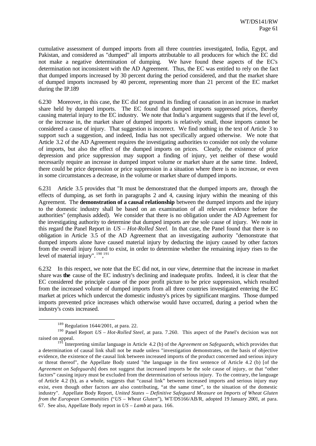cumulative assessment of dumped imports from all three countries investigated, India, Egypt, and Pakistan, and considered as "dumped" all imports attributable to all producers for which the EC did not make a negative determination of dumping. We have found these aspects of the EC's determination not inconsistent with the AD Agreement. Thus, the EC was entitled to rely on the fact that dumped imports increased by 30 percent during the period considered, and that the market share of dumped imports increased by 40 percent, representing more than 21 percent of the EC market during the IP.189

6.230 Moreover, in this case, the EC did not ground its finding of causation in an increase in market share held by dumped imports. The EC found that dumped imports suppressed prices, thereby causing material injury to the EC industry. We note that India's argument suggests that if the level of, or the increase in, the market share of dumped imports is relatively small, those imports cannot be considered a cause of injury. That suggestion is incorrect. We find nothing in the text of Article 3 to support such a suggestion, and indeed, India has not specifically argued otherwise. We note that Article 3.2 of the AD Agreement requires the investigating authorities to consider not only the volume of imports, but also the effect of the dumped imports on prices. Clearly, the existence of price depression and price suppression may support a finding of injury, yet neither of these would necessarily require an increase in dumped import volume or market share at the same time. Indeed, there could be price depression or price suppression in a situation where there is no increase, or even in some circumstances a decrease, in the volume or market share of dumped imports.

6.231 Article 3.5 provides that "It must be demonstrated that the dumped imports are, through the effects of dumping, as set forth in paragraphs 2 and 4, causing injury within the meaning of this Agreement. The **demonstration of a causal relationship** between the dumped imports and the injury to the domestic industry shall be based on an examination of all relevant evidence before the authorities" (emphasis added). We consider that there is no obligation under the AD Agreement for the investigating authority to determine that dumped imports are the sole cause of injury. We note in this regard the Panel Report in *US – Hot-Rolled Steel*. In that case, the Panel found that there is no obligation in Article 3.5 of the AD Agreement that an investigating authority "demonstrate that dumped imports alone have caused material injury by deducting the injury caused by other factors from the overall injury found to exist, in order to determine whether the remaining injury rises to the level of material injury".  $190,191$ 

6.232 In this respect, we note that the EC did not, in our view, determine that the increase in market share was **the** cause of the EC industry's declining and inadequate profits. Indeed, it is clear that the EC considered the principle cause of the poor profit picture to be price suppression, which resulted from the increased volume of dumped imports from all three countries investigated entering the EC market at prices which undercut the domestic industry's prices by significant margins. Those dumped imports prevented price increases which otherwise would have occurred, during a period when the industry's costs increased.

<sup>189</sup> Regulation 1644/2001, at para. 22.

<sup>190</sup> Panel Report *US – Hot-Rolled Steel*, at para. 7.260. This aspect of the Panel's decision was not raised on appeal.

<sup>191</sup> Interpreting similar language in Article 4.2 (b) of the *Agreement on Safeguards*, which provides that a determination of causal link shall not be made unless "investigation demonstrates, on the basis of objective evidence, the existence of the causal link between increased imports of the product concerned and serious injury or threat thereof", the Appellate Body stated "the language in the first sentence of Article 4.2 (b) [of the *Agreement on Safeguards*] does not suggest that increased imports be the sole cause of injury, or that "other factors" causing injury must be excluded from the determination of serious injury. To the contrary, the language of Article 4.2 (b), as a whole, suggests that "causal link" between increased imports and serious injury may exist, even though other factors are also contributing, "at the same time", to the situation of the domestic industry". Appellate Body Report, *United States – Definitive Safeguard Measure on Imports of Wheat Gluten from the European Communities* ("*US – Wheat Gluten*"), WT/DS166/AB/R, adopted 19 January 2001, at para. 67. See also, Appellate Body report in *US – Lamb* at para. 166.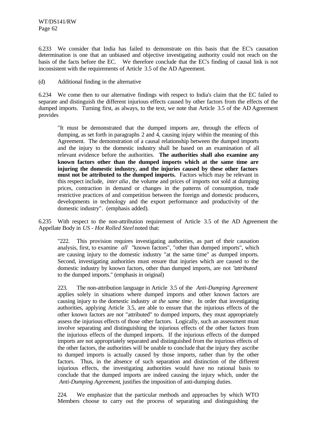6.233 We consider that India has failed to demonstrate on this basis that the EC's causation determination is one that an unbiased and objective investigating authority could not reach on the basis of the facts before the EC. We therefore conclude that the EC's finding of causal link is not inconsistent with the requirements of Article 3.5 of the AD Agreement.

(d) Additional finding in the alternative

6.234 We come then to our alternative findings with respect to India's claim that the EC failed to separate and distinguish the different injurious effects caused by other factors from the effects of the dumped imports. Turning first, as always, to the text, we note that Article 3.5 of the AD Agreement provides

"It must be demonstrated that the dumped imports are, through the effects of dumping, as set forth in paragraphs 2 and 4, causing injury within the meaning of this Agreement. The demonstration of a causal relationship between the dumped imports and the injury to the domestic industry shall be based on an examination of all relevant evidence before the authorities. **The authorities shall also examine any known factors other than the dumped imports which at the same time are injuring the domestic industry, and the injuries caused by these other factors must not be attributed to the dumped imports.** Factors which may be relevant in this respect include, *inter alia*, the volume and prices of imports not sold at dumping prices, contraction in demand or changes in the patterns of consumption, trade restrictive practices of and competition between the foreign and domestic producers, developments in technology and the export performance and productivity of the domestic industry". (emphasis added).

6.235 With respect to the non-attribution requirement of Article 3.5 of the AD Agreement the Appellate Body in *US - Hot Rolled Steel* noted that:

"222. This provision requires investigating authorities, as part of their causation analysis, first, to examine *all* "known factors", "other than dumped imports", which are causing injury to the domestic industry "at the same time" as dumped imports. Second, investigating authorities must ensure that injuries which are caused to the domestic industry by known factors, other than dumped imports, are not "*attributed* to the dumped imports." (emphasis in original)

223. The non-attribution language in Article 3.5 of the *Anti-Dumping Agreement* applies solely in situations where dumped imports and other known factors are causing injury to the domestic industry *at the same time*. In order that investigating authorities, applying Article 3.5, are able to ensure that the injurious effects of the other known factors are not "attributed" to dumped imports, they must appropriately assess the injurious effects of those other factors. Logically, such an assessment must involve separating and distinguishing the injurious effects of the other factors from the injurious effects of the dumped imports. If the injurious effects of the dumped imports are not appropriately separated and distinguished from the injurious effects of the other factors, the authorities will be unable to conclude that the injury they ascribe to dumped imports is actually caused by those imports, rather than by the other factors. Thus, in the absence of such separation and distinction of the different injurious effects, the investigating authorities would have no rational basis to conclude that the dumped imports are indeed causing the injury which, under the *Anti-Dumping Agreement*, justifies the imposition of anti-dumping duties.

224. We emphasize that the particular methods and approaches by which WTO Members choose to carry out the process of separating and distinguishing the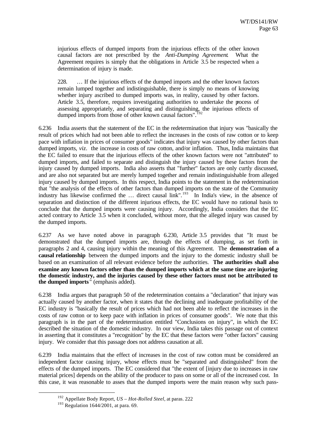injurious effects of dumped imports from the injurious effects of the other known causal factors are not prescribed by the *Anti-Dumping Agreement*. What the Agreement requires is simply that the obligations in Article 3.5 be respected when a determination of injury is made.

228. … If the injurious effects of the dumped imports and the other known factors remain lumped together and indistinguishable, there is simply no means of knowing whether injury ascribed to dumped imports was, in reality, caused by other factors. Article 3.5, therefore, requires investigating authorities to undertake the process of assessing appropriately, and separating and distinguishing, the injurious effects of dumped imports from those of other known causal factors".

6.236 India asserts that the statement of the EC in the redetermination that injury was "basically the result of prices which had not been able to reflect the increases in the costs of raw cotton or to keep pace with inflation in prices of consumer goods" indicates that injury was caused by other factors than dumped imports, *viz*. the increase in costs of raw cotton, and/or inflation. Thus, India maintains that the EC failed to ensure that the injurious effects of the other known factors were not "attributed" to dumped imports, and failed to separate and distinguish the injury caused by these factors from the injury caused by dumped imports. India also asserts that "further" factors are only curtly discussed, and are also not separated but are merely lumped together and remain indistinguishable from alleged injury caused by dumped imports. In this respect, India points to the statement in the redetermination that "the analysis of the effects of other factors than dumped imports on the state of the Community industry has likewise confirmed the  $\ldots$  direct causal link".<sup>193</sup> In India's view, in the absence of separation and distinction of the different injurious effects, the EC would have no rational basis to conclude that the dumped imports were causing injury. Accordingly, India considers that the EC acted contrary to Article 3.5 when it concluded, without more, that the alleged injury was caused by the dumped imports.

6.237 As we have noted above in paragraph 6.230, Article 3.5 provides that "It must be demonstrated that the dumped imports are, through the effects of dumping, as set forth in paragraphs 2 and 4, causing injury within the meaning of this Agreement. The **demonstration of a causal relationship** between the dumped imports and the injury to the domestic industry shall be based on an examination of all relevant evidence before the authorities. **The authorities shall also examine any known factors other than the dumped imports which at the same time are injuring the domestic industry, and the injuries caused by these other factors must not be attributed to the dumped imports** " (emphasis added).

6.238 India argues that paragraph 50 of the redetermination contains a "declaration" that injury was actually caused by another factor, when it states that the declining and inadequate profitability of the EC industry is "basically the result of prices which had not been able to reflect the increases in the costs of raw cotton or to keep pace with inflation in prices of consumer goods". We note that this paragraph is in the part of the redetermination entitled "Conclusions on injury", in which the EC described the situation of the domestic industry. In our view, India takes this passage out of context in asserting that it constitutes a "recognition" by the EC that these factors were "other factors" causing injury. We consider that this passage does not address causation at all.

6.239 India maintains that the effect of increases in the cost of raw cotton must be considered an independent factor causing injury, whose effects must be "separated and distinguished" from the effects of the dumped imports. The EC considered that "the extent of [injury due to increases in raw material prices] depends on the ability of the producer to pass on some or all of the increased cost. In this case, it was reasonable to asses that the dumped imports were the main reason why such pass-

<sup>192</sup> Appellate Body Report, *US – Hot-Rolled Steel*, at paras. 222

 $193$  Regulation 1644/2001, at para. 69.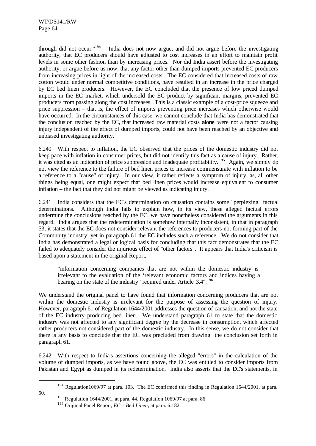through did not occur."<sup>194</sup> India does not now argue, and did not argue before the investigating authority, that EC producers should have adjusted to cost increases in an effort to maintain profit levels in some other fashion than by increasing prices. Nor did India assert before the investigating authority, or argue before us now, that any factor other than dumped imports prevented EC producers from increasing prices in light of the increased costs. The EC considered that increased costs of raw cotton would under normal competitive conditions, have resulted in an increase in the price charged by EC bed linen producers. However, the EC concluded that the presence of low priced dumped imports in the EC market, which undersold the EC product by significant margins, prevented EC producers from passing along the cost increases. This is a classic example of a cost-price squeeze and price suppression – that is, the effect of imports preventing price increases which otherwise would have occurred. In the circumstances of this case, we cannot conclude that India has demonstrated that the conclusion reached by the EC, that increased raw material costs **alone** were not a factor causing injury independent of the effect of dumped imports, could not have been reached by an objective and unbiased investigating authority.

6.240 With respect to inflation, the EC observed that the prices of the domestic industry did not keep pace with inflation in consumer prices, but did not identify this fact as a cause of injury. Rather, it was cited as an indication of price suppression and inadequate profitability. <sup>195</sup> Again, we simply do not view the reference to the failure of bed linen prices to increase commensurate with inflation to be a reference to a "cause" of injury. In our view, it rather reflects a symptom of injury, as, all other things being equal, one might expect that bed linen prices would increase equivalent to consumer inflation – the fact that they did not might be viewed as indicating injury.

6.241 India considers that the EC's determination on causation contains some "perplexing" factual determinations. Although India fails to explain how, in its view, these alleged factual errors undermine the conclusions reached by the EC, we have nonetheless considered the arguments in this regard. India argues that the redetermination is somehow internally inconsistent, in that in paragraph 53, it states that the EC does not consider relevant the references to producers not forming part of the Community industry; yet in paragraph 61 the EC includes such a reference. We do not consider that India has demonstrated a legal or logical basis for concluding that this fact demonstrates that the EC failed to adequately consider the injurious effect of "other factors". It appears that India's criticism is based upon a statement in the original Report,

"information concerning companies that are not within the domestic industry is irrelevant to the evaluation of the 'relevant economic factors and indices having a bearing on the state of the industry" required under Article 3.4".<sup>196</sup>

We understand the original panel to have found that information concerning producers that are not within the domestic industry is irrelevant for the purpose of assessing the question of injury. However, paragraph 61 of Regulation 1644/2001 addresses the question of causation, and not the state of the EC industry producing bed linen. We understand paragraph 61 to state that the domestic industry was not affected to any significant degree by the decrease in consumption, which affected rather producers not considered part of the domestic industry. In this sense, we do not consider that there is any basis to conclude that the EC was precluded from drawing the conclusion set forth in paragraph 61.

6.242 With respect to India's assertions concerning the alleged "errors" in the calculation of the volume of dumped imports, as we have found above, the EC was entitled to consider imports from Pakistan and Egypt as dumped in its redetermination. India also asserts that the EC's statements, in

<sup>&</sup>lt;sup>194</sup> Regulation1069/97 at para. 103. The EC confirmed this finding in Regulation 1644/2001, at para.

<sup>60.</sup>

 $195$  Regulation 1644/2001, at para. 44, Regulation 1069/97 at para. 86.

<sup>196</sup> Original Panel Report, *EC – Bed Linen*, at para. 6.182.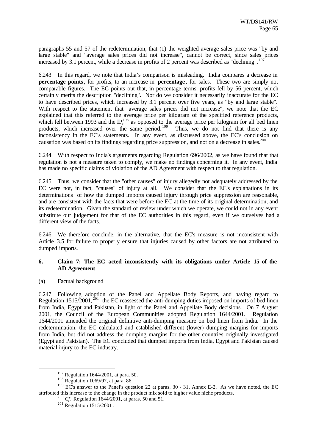paragraphs 55 and 57 of the redetermination, that (1) the weighted average sales price was "by and large stable" and "average sales prices did not increase", cannot be correct, since sales prices increased by 3.1 percent, while a decrease in profits of 2 percent was described as "declining". <sup>197</sup>

6.243 In this regard, we note that India's comparison is misleading. India compares a decrease in **percentage points**, for profits, to an increase in **percentage**, for sales. These two are simply not comparable figures. The EC points out that, in percentage terms, profits fell by 56 percent, which certainly merits the description "declining". Nor do we consider it necessarily inaccurate for the EC to have described prices, which increased by 3.1 percent over five years, as "by and large stable". With respect to the statement that "average sales prices did not increase", we note that the EC explained that this referred to the average price per kilogram of the specified reference products, which fell between 1993 and the IP,<sup>198</sup> as opposed to the average price per kilogram for all bed linen products, which increased over the same period.<sup>199</sup> Thus, we do not find that there is any inconsistency in the EC's statements. In any event, as discussed above, the EC's conclusion on causation was based on its findings regarding price suppression, and not on a decrease in sales.<sup>200</sup>

6.244 With respect to India's arguments regarding Regulation 696/2002, as we have found that that regulation is not a measure taken to comply, we make no findings concerning it. In any event, India has made no specific claims of violation of the AD Agreement with respect to that regulation.

6.245 Thus, we consider that the "other causes" of injury allegedly not adequately addressed by the EC were not, in fact, "causes" of injury at all. We consider that the EC's explanations in its determinations of how the dumped imports caused injury through price suppression are reasonable, and are consistent with the facts that were before the EC at the time of its original determination, and its redetermination. Given the standard of review under which we operate, we could not in any event substitute our judgement for that of the EC authorities in this regard, even if we ourselves had a different view of the facts.

6.246 We therefore conclude, in the alternative, that the EC's measure is not inconsistent with Article 3.5 for failure to properly ensure that injuries caused by other factors are not attributed to dumped imports.

# **6. Claim 7: The EC acted inconsistently with its obligations under Article 15 of the AD Agreement**

(a) Factual background

l

6.247 Following adoption of the Panel and Appellate Body Reports, and having regard to Regulation  $1515/2001$ ,  $^{201}$  the EC reassessed the anti-dumping duties imposed on imports of bed linen from India, Egypt and Pakistan, in light of the Panel and Appellate Body decisions. On 7 August 2001, the Council of the European Communities adopted Regulation 1644/2001. Regulation 1644/2001 amended the original definitive anti-dumping measure on bed linen from India. In the redetermination, the EC calculated and established different (lower) dumping margins for imports from India, but did not address the dumping margins for the other countries originally investigated (Egypt and Pakistan). The EC concluded that dumped imports from India, Egypt and Pakistan caused material injury to the EC industry.

<sup>197</sup> Regulation 1644/2001, at para. 50.

 $198$  Regulation 1069/97, at para. 86.

<sup>&</sup>lt;sup>199</sup> EC's answer to the Panel's question 22 at paras. 30 - 31, Annex E-2. As we have noted, the EC attributed this increase to the change in the product mix sold to higher value niche products.

<sup>200</sup> *Cf*. Regulation 1644/2001, at paras. 50 and 51.

 $^{201}$  Regulation 1515/2001.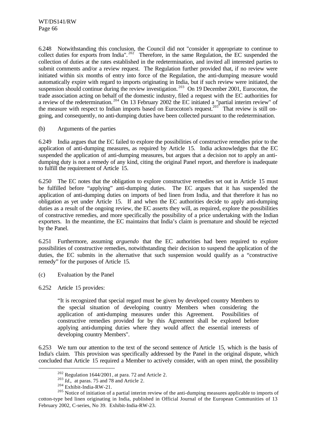6.248 Notwithstanding this conclusion, the Council did not "consider it appropriate to continue to collect duties for exports from India".<sup>202</sup> Therefore, in the same Regulation, the EC suspended the collection of duties at the rates established in the redetermination, and invited all interested parties to submit comments and/or a review request. The Regulation further provided that, if no review were initiated within six months of entry into force of the Regulation, the anti-dumping measure would automatically expire with regard to imports originating in India, but if such review were initiated, the suspension should continue during the review investigation.<sup>203</sup> On 19 December 2001, Eurocoton, the trade association acting on behalf of the domestic industry, filed a request with the EC authorities for a review of the redetermination. <sup>204</sup> On 13 February 2002 the EC initiated a "partial interim review" of the measure with respect to Indian imports based on Eurocoton's request.<sup>205</sup> That review is still ongoing, and consequently, no anti-dumping duties have been collected pursuant to the redetermination.

# (b) Arguments of the parties

6.249 India argues that the EC failed to explore the possibilities of constructive remedies prior to the application of anti-dumping measures, as required by Article 15. India acknowledges that the EC suspended the application of anti-dumping measures, but argues that a decision not to apply an antidumping duty is not a remedy of any kind, citing the original Panel report, and therefore is inadequate to fulfill the requirement of Article 15.

6.250 The EC notes that the obligation to explore constructive remedies set out in Article 15 must be fulfilled before "applying" anti-dumping duties. The EC argues that it has suspended the application of anti-dumping duties on imports of bed linen from India, and that therefore it has no obligation as yet under Article 15. If and when the EC authorities decide to apply anti-dumping duties as a result of the ongoing review, the EC asserts they will, as required, explore the possibilities of constructive remedies, and more specifically the possibility of a price undertaking with the Indian exporters. In the meantime, the EC maintains that India's claim is premature and should be rejected by the Panel.

6.251 Furthermore, assuming *arguendo* that the EC authorities had been required to explore possibilities of constructive remedies, notwithstanding their decision to suspend the application of the duties, the EC submits in the alternative that such suspension would qualify as a "constructive remedy" for the purposes of Article 15.

- (c) Evaluation by the Panel
- 6.252 Article 15 provides:

l

"It is recognized that special regard must be given by developed country Members to the special situation of developing country Members when considering the application of anti-dumping measures under this Agreement. Possibilities of constructive remedies provided for by this Agreement shall be explored before applying anti-dumping duties where they would affect the essential interests of developing country Members".

6.253 We turn our attention to the text of the second sentence of Article 15, which is the basis of India's claim. This provision was specifically addressed by the Panel in the original dispute, which concluded that Article 15 required a Member to actively consider, with an open mind, the possibility

<sup>202</sup> Regulation 1644/2001*,* at para. 72 and Article 2.

 $^{203}$  *Id.*, at paras. 75 and 78 and Article 2.

<sup>204</sup> Exhibit-India-RW-21.

<sup>&</sup>lt;sup>205</sup> Notice of initiation of a partial interim review of the anti-dumping measures applicable to imports of cotton-type bed linen originating in India, published in Official Journal of the European Communities of 13 February 2002, C-series, No 39. Exhibit-India-RW-23.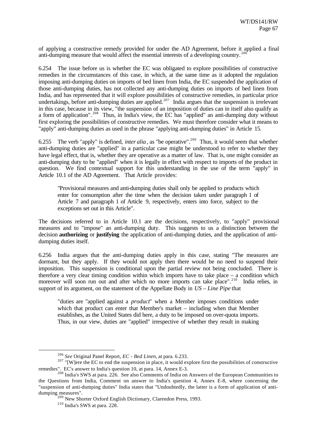of applying a constructive remedy provided for under the AD Agreement, before it applied a final anti-dumping measure that would affect the essential interests of a developing country.<sup>20</sup>

6.254 The issue before us is whether the EC was obligated to explore possibilities of constructive remedies in the circumstances of this case, in which, at the same time as it adopted the regulation imposing anti-dumping duties on imports of bed linen from India, the EC suspended the application of those anti-dumping duties, has not collected any anti-dumping duties on imports of bed linen from India, and has represented that it will explore possibilities of constructive remedies, in particular price undertakings, before anti-dumping duties are applied.<sup>207</sup> India argues that the suspension is irrelevant in this case, because in its view, "the suspension of an imposition of duties can in itself also qualify as a form of application". <sup>208</sup> Thus, in India's view, the EC has "applied" an anti-dumping duty without first exploring the possibilities of constructive remedies. We must therefore consider what it means to "apply" anti-dumping duties as used in the phrase "applying anti-dumping duties" in Article 15.

6.255 The verb "apply" is defined, *inter alia*, as "be operative".<sup>209</sup> Thus, it would seem that whether anti-dumping duties are "applied" in a particular case might be understood to refer to whether they have legal effect, that is, whether they are operative as a matter of law. That is, one might consider an anti-dumping duty to be "applied" when it is legally in effect with respect to imports of the product in question. We find contextual support for this understanding in the use of the term "apply" in Article 10.1 of the AD Agreement. That Article provides:

"Provisional measures and anti-dumping duties shall only be applied to products which enter for consumption after the time when the decision taken under paragraph 1 of Article 7 and paragraph 1 of Article 9, respectively, enters into force, subject to the exceptions set out in this Article".

The decisions referred to in Article 10.1 are the decisions, respectively, to "apply" provisional measures and to "impose" an anti-dumping duty. This suggests to us a distinction between the decision **authorizing** or **justifying** the application of anti-dumping duties, and the application of antidumping duties itself.

6.256 India argues that the anti-dumping duties apply in this case, stating "The measures are dormant, but they apply. If they would not apply then there would be no need to suspend their imposition. This suspension is conditional upon the partial review not being concluded. There is therefore a very clear timing condition within which imports have to take place – a condition which moreover will soon run out and after which no more imports can take place".<sup>210</sup> India relies, in support of its argument, on the statement of the Appellate Body in *US – Line Pipe* that

"duties are "applied against a *product*" when a Member imposes conditions under which that product can enter that Member's market – including when that Member establishes, as the United States did here, a duty to be imposed on over-quota imports. Thus, in our view, duties are "applied" irrespective of whether they result in making

<sup>206</sup> *See* Original Panel Report, *EC - Bed Linen*, at para. 6.233.

 $207$  "[W]ere the EC to end the suspension in place, it would explore first the possibilities of constructive remedies". EC's answer to India's question 10, at para. 14, Annex E-3.

<sup>&</sup>lt;sup>208</sup> India's SWS at para. 226. See also Comments of India on Answers of the European Communities to the Questions from India, Comment on answer to India's question 4, Annex E-8, where concerning the "suspension of anti-dumping duties" India states that "Undoubtedly, the latter is a form of application of antidumping measures".

<sup>&</sup>lt;sup>209</sup> New Shorter Oxford English Dictionary, Clarendon Press, 1993.

<sup>210</sup> India's SWS at para. 228.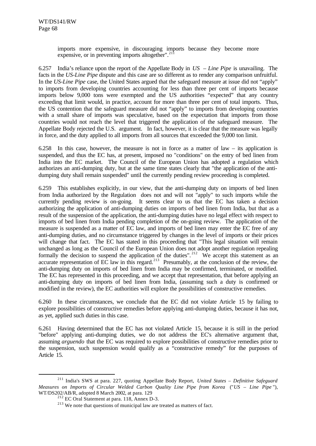imports more expensive, in discouraging imports because they become more expensive, or in preventing imports altogether". $^{21}$ 

6.257 India's reliance upon the report of the Appellate Body in *US – Line Pipe* is unavailing. The facts in the *US-Line Pipe* dispute and this case are so different as to render any comparison unfruitful. In the *US-Line Pipe* case, the United States argued that the safeguard measure at issue did not "apply" to imports from developing countries accounting for less than three per cent of imports because imports below 9,000 tons were exempted and the US authorities "expected" that any country exceeding that limit would, in practice, account for more than three per cent of total imports. Thus, the US contention that the safeguard measure did not "apply" to imports from developing countries with a small share of imports was speculative, based on the expectation that imports from those countries would not reach the level that triggered the application of the safeguard measure. The Appellate Body rejected the U.S. argument. In fact, however, it is clear that the measure was legally in force, and the duty applied to all imports from all sources that exceeded the 9,000 ton limit.

6.258 In this case, however, the measure is not in force as a matter of law – its application is suspended, and thus the EC has, at present, imposed no "conditions" on the entry of bed linen from India into the EC market. The Council of the European Union has adopted a regulation which authorizes an anti-dumping duty, but at the same time states clearly that "the application of the antidumping duty shall remain suspended" until the currently pending review proceeding is completed.

6.259 This establishes explicitly, in our view, that the anti-dumping duty on imports of bed linen from India authorized by the Regulation does not and will not "apply" to such imports while the currently pending review is on-going. It seems clear to us that the EC has taken a decision authorizing the application of anti-dumping duties on imports of bed linen from India, but that as a result of the suspension of the application, the anti-dumping duties have no legal effect with respect to imports of bed linen from India pending completion of the on-going review. The application of the measure is suspended as a matter of EC law, and imports of bed linen may enter the EC free of any anti-dumping duties, and no circumstance triggered by changes in the level of imports or their prices will change that fact. The EC has stated in this proceeding that "This legal situation will remain unchanged as long as the Council of the European Union does not adopt another regulation repealing formally the decision to suspend the application of the duties". <sup>212</sup> We accept this statement as an accurate representation of EC law in this regard.<sup>213</sup> Presumably, at the conclusion of the review, the anti-dumping duty on imports of bed linen from India may be confirmed, terminated, or modified. The EC has represented in this proceeding, and we accept that representation, that before applying an anti-dumping duty on imports of bed linen from India, (assuming such a duty is confirmed or modified in the review), the EC authorities will explore the possibilities of constructive remedies.

6.260 In these circumstances, we conclude that the EC did not violate Article 15 by failing to explore possibilities of constructive remedies before applying anti-dumping duties, because it has not, as yet, applied such duties in this case.

6.261 Having determined that the EC has not violated Article 15, because it is still in the period "before" applying anti-dumping duties, we do not address the EC's alternative argument that, assuming *arguendo* that the EC was required to explore possibilities of constructive remedies prior to the suspension, such suspension would qualify as a "constructive remedy" for the purposes of Article 15.

<sup>211</sup> India's SWS at para. 227, quoting Appellate Body Report, *United States – Definitive Safeguard Measures on Imports of Circular Welded Carbon Quality Line Pipe from Korea* ("*US – Line Pipe* "), WT/DS202/AB/R, adopted 8 March 2002, at para. 129

 $2^{12}$  EC Oral Statement at para. 118, Annex D-3.

 $213$  We note that questions of municipal law are treated as matters of fact.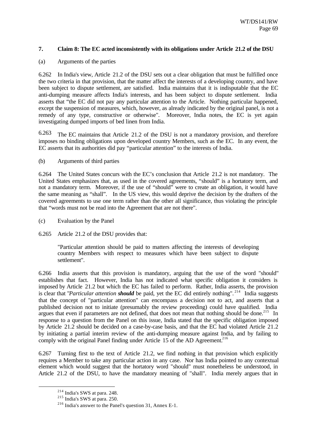# **7. Claim 8: The EC acted inconsistently with its obligations under Article 21.2 of the DSU**

### (a) Arguments of the parties

6.262 In India's view, Article 21.2 of the DSU sets out a clear obligation that must be fulfilled once the two criteria in that provision, that the matter affect the interests of a developing country, and have been subject to dispute settlement, are satisfied. India maintains that it is indisputable that the EC anti-dumping measure affects India's interests, and has been subject to dispute settlement. India asserts that "the EC did not pay any particular attention to the Article. Nothing particular happened, except the suspension of measures, which, however, as already indicated by the original panel, is not a remedy of any type, constructive or otherwise". Moreover, India notes, the EC is yet again investigating dumped imports of bed linen from India.

6.263 The EC maintains that Article 21.2 of the DSU is not a mandatory provision, and therefore imposes no binding obligations upon developed country Members, such as the EC. In any event, the EC asserts that its authorities did pay "particular attention" to the interests of India.

(b) Arguments of third parties

6.264 The United States concurs with the EC's conclusion that Article 21.2 is not mandatory. The United States emphasizes that, as used in the covered agreements, "should" is a hortatory term, and not a mandatory term. Moreover, if the use of "should" were to create an obligation, it would have the same meaning as "shall". In the US view, this would deprive the decision by the drafters of the covered agreements to use one term rather than the other all significance, thus violating the principle that "words must not be read into the Agreement that are not there".

- (c) Evaluation by the Panel
- 6.265 Article 21.2 of the DSU provides that:

"Particular attention should be paid to matters affecting the interests of developing country Members with respect to measures which have been subject to dispute settlement".

6.266 India asserts that this provision is mandatory, arguing that the use of the word "should" establishes that fact. However, India has not indicated what specific obligation it considers is imposed by Article 21.2 but which the EC has failed to perform. Rather, India asserts, the provision is clear that "*Particular attention should* be paid, yet the EC did entirely nothing". <sup>214</sup> India suggests that the concept of "particular attention" can encompass a decision not to act, and asserts that a published decision not to initiate (presumably the review proceeding) could have qualified. India argues that even if parameters are not defined, that does not mean that nothing should be done.<sup>215</sup> In response to a question from the Panel on this issue, India stated that the specific obligation imposed by Article 21.2 should be decided on a case-by-case basis, and that the EC had violated Article 21.2 by initiating a partial interim review of the anti-dumping measure against India, and by failing to comply with the original Panel finding under Article  $15$  of the AD Agreement.<sup>216</sup>

6.267 Turning first to the text of Article 21.2, we find nothing in that provision which explicitly requires a Member to take any particular action in any case. Nor has India pointed to any contextual element which would suggest that the hortatory word "should" must nonetheless be understood, in Article 21.2 of the DSU, to have the mandatory meaning of "shall". India merely argues that in

<sup>214</sup> India's SWS at para. 248.

 $^{215}$  India's SWS at para. 250.

<sup>216</sup> India's answer to the Panel's question 31, Annex E-1.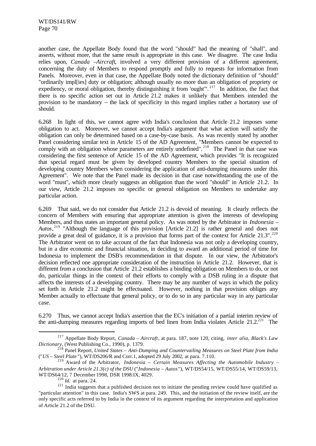another case, the Appellate Body found that the word "should" had the meaning of "shall", and asserts, without more, that the same result is appropriate in this case. We disagree. The case India relies upon, *Canada –Aircraft*, involved a very different provision of a different agreement, concerning the duty of Members to respond promptly and fully to requests for information from Panels. Moreover, even in that case, the Appellate Body noted the dictionary definition of "should" "ordinarily impl[ies] duty or obligation; although usually no more than an obligation of propriety or expediency, or moral obligation, thereby distinguishing it from 'ought'". <sup>217</sup> In addition, the fact that there is no specific action set out in Article 21.2 makes it unlikely that Members intended the provision to be mandatory – the lack of specificity in this regard implies rather a hortatory use of should.

6.268 In light of this, we cannot agree with India's conclusion that Article 21.2 imposes some obligation to act. Moreover, we cannot accept India's argument that what action will satisfy the obligation can only be determined based on a case-by-case basis. As was recently stated by another Panel considering similar text in Article 15 of the AD Agreement, "Members cannot be expected to comply with an obligation whose parameters are entirely undefined".<sup>218</sup> The Panel in that case was considering the first sentence of Article 15 of the AD Agreement, which provides "It is recognized that special regard must be given by developed country Members to the special situation of developing country Members when considering the application of anti-dumping measures under this Agreement". We note that the Panel made its decision in that case notwithstanding the use of the word "must", which more clearly suggests an obligation than the word "should" in Article 21.2. In our view, Article 21.2 imposes no specific or general obligation on Members to undertake any particular action.

6.269 That said, we do not consider that Article 21.2 is devoid of meaning. It clearly reflects the concern of Members with ensuring that appropriate attention is given the interests of developing Members, and thus states an important general policy. As was noted by the Arbitrator in *Indonesia – Autos*, <sup>219</sup> "Although the language of this provision [Article 21.2] is rather general and does not provide a great deal of guidance, it is a provision that forms part of the context for Article 21.3".<sup>220</sup> The Arbitrator went on to take account of the fact that Indonesia was not only a developing country, but in a dire economic and financial situation, in deciding to award an additional period of time for Indonesia to implement the DSB's recommendation in that dispute. In our view, the Arbitrator's decision reflected one appropriate consideration of the instruction in Article 21.2. However, that is different from a conclusion that Article 21.2 establishes a binding obligation on Members to do, or not do, particular things in the context of their efforts to comply with a DSB ruling in a dispute that affects the interests of a developing country. There may be any number of ways in which the policy set forth in Article 21.2 might be effectuated. However, nothing in that provision obliges any Member actually to effectuate that general policy, or to do so in any particular way in any particular case.

6.270 Thus, we cannot accept India's assertion that the EC's initiation of a partial interim review of the anti-dumping measures regarding imports of bed linen from India violates Article 21.2.<sup>221</sup> The

<sup>217</sup> Appellate Body Report, *Canada – Aircraft*, at para. 187, note 120, citing, *inter alia*, *Black's Law Dictionary*, (West Publishing Co., 1990), p. 1379.

<sup>218</sup> Panel Report, *United States – Anti-Dumping and Countervailing Measures on Steel Plate from India* ("*US – Steel Plate* "), WT/DS206/R and Corr.1, adopted 29 July 2002, at para. 7.110.

<sup>219</sup> Award of the Arbitrator, *Indonesia – Certain Measures Affecting the Automobile Industry – Arbitration under Article 21.3(c) of the DSU* ("*Indonesia – Autos*"), WT/DS54/15, WT/DS55/14, WT/DS59/13, WT/DS64/12, 7 December 1998, DSR 1998:IX, 4029.

<sup>220</sup> *Id.* at para. 24.

<sup>&</sup>lt;sup>221</sup> India suggests that a published decision not to initiate the pending review could have qualified as "particular attention" in this case. India's SWS at para. 249. This, and the initiation of the review itself, are the only specific acts referred to by India in the context of its argument regarding the interpretation and application of Article 21.2 of the DSU.